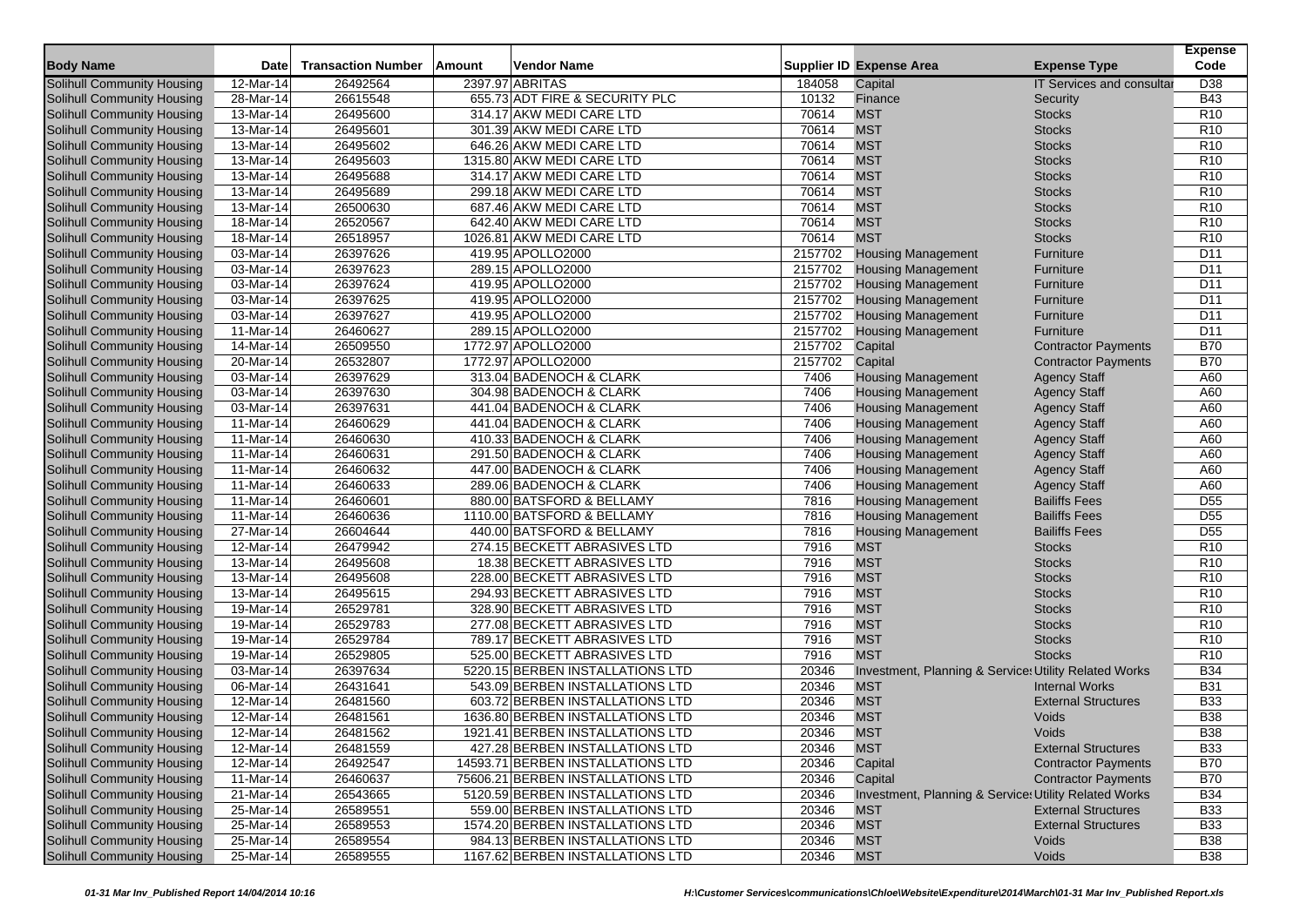|                                   |                         |                           |        |                                   |         |                                                       |                                  | <b>Expense</b>  |
|-----------------------------------|-------------------------|---------------------------|--------|-----------------------------------|---------|-------------------------------------------------------|----------------------------------|-----------------|
| <b>Body Name</b>                  | Date                    | <b>Transaction Number</b> | Amount | Vendor Name                       |         | <b>Supplier ID Expense Area</b>                       | <b>Expense Type</b>              | Code            |
| <b>Solihull Community Housing</b> | 12-Mar-14               | 26492564                  |        | 2397.97 ABRITAS                   | 184058  | Capital                                               | <b>IT Services and consultar</b> | D <sub>38</sub> |
| Solihull Community Housing        | 28-Mar-14               | 26615548                  |        | 655.73 ADT FIRE & SECURITY PLC    | 10132   | Finance                                               | Security                         | <b>B43</b>      |
| Solihull Community Housing        | $13-Mar-14$             | 26495600                  |        | 314.17 AKW MEDI CARE LTD          | 70614   | <b>MST</b>                                            | <b>Stocks</b>                    | R <sub>10</sub> |
| Solihull Community Housing        | 13-Mar-14               | 26495601                  |        | 301.39 AKW MEDI CARE LTD          | 70614   | <b>MST</b>                                            | <b>Stocks</b>                    | R <sub>10</sub> |
| Solihull Community Housing        | 13-Mar-14               | 26495602                  |        | 646.26 AKW MEDI CARE LTD          | 70614   | <b>MST</b>                                            | <b>Stocks</b>                    | R <sub>10</sub> |
| <b>Solihull Community Housing</b> | 13-Mar-14               | 26495603                  |        | 1315.80 AKW MEDI CARE LTD         | 70614   | <b>MST</b>                                            | <b>Stocks</b>                    | R <sub>10</sub> |
| Solihull Community Housing        | 13-Mar-14               | 26495688                  |        | 314.17 AKW MEDI CARE LTD          | 70614   | <b>MST</b>                                            | <b>Stocks</b>                    | R <sub>10</sub> |
| Solihull Community Housing        | 13-Mar-14               | 26495689                  |        | 299.18 AKW MEDI CARE LTD          | 70614   | <b>MST</b>                                            | <b>Stocks</b>                    | R <sub>10</sub> |
| Solihull Community Housing        | 13-Mar-14               | 26500630                  |        | 687.46 AKW MEDI CARE LTD          | 70614   | <b>MST</b>                                            | <b>Stocks</b>                    | R <sub>10</sub> |
| Solihull Community Housing        | $\overline{18}$ -Mar-14 | 26520567                  |        | 642.40 AKW MEDI CARE LTD          | 70614   | <b>MST</b>                                            | <b>Stocks</b>                    | R <sub>10</sub> |
| Solihull Community Housing        | 18-Mar-14               | 26518957                  |        | 1026.81 AKW MEDI CARE LTD         | 70614   | <b>MST</b>                                            | <b>Stocks</b>                    | R <sub>10</sub> |
| Solihull Community Housing        | 03-Mar-14               | 26397626                  |        | 419.95 APOLLO2000                 | 2157702 | <b>Housing Management</b>                             | Furniture                        | D <sub>11</sub> |
| Solihull Community Housing        | 03-Mar-14               | 26397623                  |        | 289.15 APOLLO2000                 | 2157702 | <b>Housing Management</b>                             | Furniture                        | D <sub>11</sub> |
| Solihull Community Housing        | 03-Mar-14               | 26397624                  |        | 419.95 APOLLO2000                 | 2157702 | <b>Housing Management</b>                             | Furniture                        | D <sub>11</sub> |
| Solihull Community Housing        | 03-Mar-14               | 26397625                  |        | 419.95 APOLLO2000                 | 2157702 | <b>Housing Management</b>                             | Furniture                        | D <sub>11</sub> |
| Solihull Community Housing        | 03-Mar-14               | 26397627                  |        | 419.95 APOLLO2000                 | 2157702 | <b>Housing Management</b>                             | Furniture                        | D <sub>11</sub> |
| Solihull Community Housing        | 11-Mar-14               | 26460627                  |        | 289.15 APOLLO2000                 | 2157702 | <b>Housing Management</b>                             | Furniture                        | D <sub>11</sub> |
| Solihull Community Housing        | 14-Mar-14               | 26509550                  |        | 1772.97 APOLLO2000                | 2157702 | Capital                                               | <b>Contractor Payments</b>       | <b>B70</b>      |
| Solihull Community Housing        | $20$ -Mar-14            | 26532807                  |        | 1772.97 APOLLO2000                | 2157702 | Capital                                               | <b>Contractor Payments</b>       | <b>B70</b>      |
| Solihull Community Housing        | 03-Mar-14               | 26397629                  |        | 313.04 BADENOCH & CLARK           | 7406    | <b>Housing Management</b>                             | <b>Agency Staff</b>              | A60             |
| Solihull Community Housing        | 03-Mar-14               | 26397630                  |        | 304.98 BADENOCH & CLARK           | 7406    | <b>Housing Management</b>                             | <b>Agency Staff</b>              | A60             |
| Solihull Community Housing        | 03-Mar-14               | 26397631                  |        | 441.04 BADENOCH & CLARK           | 7406    | <b>Housing Management</b>                             | <b>Agency Staff</b>              | A60             |
| Solihull Community Housing        | 11-Mar-14               | 26460629                  |        | 441.04 BADENOCH & CLARK           | 7406    | <b>Housing Management</b>                             | <b>Agency Staff</b>              | A60             |
| Solihull Community Housing        | 11-Mar-14               | 26460630                  |        | 410.33 BADENOCH & CLARK           | 7406    | <b>Housing Management</b>                             | <b>Agency Staff</b>              | A60             |
| Solihull Community Housing        | 11-Mar-14               | 26460631                  |        | 291.50 BADENOCH & CLARK           | 7406    | <b>Housing Management</b>                             | <b>Agency Staff</b>              | A60             |
| Solihull Community Housing        | 11-Mar-14               | 26460632                  |        | 447.00 BADENOCH & CLARK           | 7406    | <b>Housing Management</b>                             | <b>Agency Staff</b>              | A60             |
| Solihull Community Housing        | 11-Mar-14               | 26460633                  |        | 289.06 BADENOCH & CLARK           | 7406    | <b>Housing Management</b>                             | <b>Agency Staff</b>              | A60             |
| Solihull Community Housing        | 11-Mar-14               | 26460601                  |        | 880.00 BATSFORD & BELLAMY         | 7816    | <b>Housing Management</b>                             | <b>Bailiffs Fees</b>             | D <sub>55</sub> |
| Solihull Community Housing        | 11-Mar-14               | 26460636                  |        | 1110.00 BATSFORD & BELLAMY        | 7816    | <b>Housing Management</b>                             | <b>Bailiffs Fees</b>             | D <sub>55</sub> |
| Solihull Community Housing        | 27-Mar-14               | 26604644                  |        | 440.00 BATSFORD & BELLAMY         | 7816    | <b>Housing Management</b>                             | <b>Bailiffs Fees</b>             | D <sub>55</sub> |
| Solihull Community Housing        | 12-Mar-14               | 26479942                  |        | 274.15 BECKETT ABRASIVES LTD      | 7916    | <b>MST</b>                                            | <b>Stocks</b>                    | R <sub>10</sub> |
| Solihull Community Housing        | 13-Mar-14               | 26495608                  |        | 18.38 BECKETT ABRASIVES LTD       | 7916    | <b>MST</b>                                            | <b>Stocks</b>                    | R <sub>10</sub> |
| Solihull Community Housing        | 13-Mar-14               | 26495608                  |        | 228.00 BECKETT ABRASIVES LTD      | 7916    | <b>MST</b>                                            | <b>Stocks</b>                    | <b>R10</b>      |
| Solihull Community Housing        | 13-Mar-14               | 26495615                  |        | 294.93 BECKETT ABRASIVES LTD      | 7916    | <b>MST</b>                                            | <b>Stocks</b>                    | R <sub>10</sub> |
| Solihull Community Housing        | 19-Mar-14               | 26529781                  |        | 328.90 BECKETT ABRASIVES LTD      | 7916    | <b>MST</b>                                            | <b>Stocks</b>                    | R <sub>10</sub> |
| Solihull Community Housing        | $19-Mar-14$             | 26529783                  |        | 277.08 BECKETT ABRASIVES LTD      | 7916    | <b>MST</b>                                            | <b>Stocks</b>                    | R <sub>10</sub> |
| Solihull Community Housing        | 19-Mar-14               | 26529784                  |        | 789.17 BECKETT ABRASIVES LTD      | 7916    | <b>MST</b>                                            | <b>Stocks</b>                    | <b>R10</b>      |
| Solihull Community Housing        | 19-Mar-14               | 26529805                  |        | 525.00 BECKETT ABRASIVES LTD      | 7916    | <b>MST</b>                                            | <b>Stocks</b>                    | R <sub>10</sub> |
| Solihull Community Housing        | 03-Mar-14               | 26397634                  |        | 5220.15 BERBEN INSTALLATIONS LTD  | 20346   | Investment, Planning & Service: Utility Related Works |                                  | <b>B34</b>      |
| Solihull Community Housing        | 06-Mar-14               | 26431641                  |        | 543.09 BERBEN INSTALLATIONS LTD   | 20346   | <b>MST</b>                                            | <b>Internal Works</b>            | <b>B31</b>      |
| Solihull Community Housing        | 12-Mar-14               | 26481560                  |        | 603.72 BERBEN INSTALLATIONS LTD   | 20346   | <b>MST</b>                                            | <b>External Structures</b>       | <b>B33</b>      |
| Solihull Community Housing        | 12-Mar-14               | 26481561                  |        | 1636.80 BERBEN INSTALLATIONS LTD  | 20346   | <b>MST</b>                                            | Voids                            | <b>B38</b>      |
| Solihull Community Housing        | 12-Mar-14               | 26481562                  |        | 1921.41 BERBEN INSTALLATIONS LTD  | 20346   | <b>MST</b>                                            | Voids                            | <b>B38</b>      |
| Solihull Community Housing        | 12-Mar-14               | 26481559                  |        | 427.28 BERBEN INSTALLATIONS LTD   | 20346   | <b>MST</b>                                            | <b>External Structures</b>       | <b>B33</b>      |
| Solihull Community Housing        | $12$ -Mar-14            | 26492547                  |        | 14593.71 BERBEN INSTALLATIONS LTD | 20346   | Capital                                               | <b>Contractor Payments</b>       | <b>B70</b>      |
| Solihull Community Housing        | 11-Mar-14               | 26460637                  |        | 75606.21 BERBEN INSTALLATIONS LTD | 20346   | Capital                                               | <b>Contractor Payments</b>       | <b>B70</b>      |
| Solihull Community Housing        | 21-Mar-14               | 26543665                  |        | 5120.59 BERBEN INSTALLATIONS LTD  | 20346   | Investment, Planning & Service: Utility Related Works |                                  | <b>B34</b>      |
| Solihull Community Housing        | $25-Mar-14$             | 26589551                  |        | 559.00 BERBEN INSTALLATIONS LTD   | 20346   | <b>MST</b>                                            | <b>External Structures</b>       | <b>B33</b>      |
| Solihull Community Housing        | 25-Mar-14               | 26589553                  |        | 1574.20 BERBEN INSTALLATIONS LTD  | 20346   | <b>MST</b>                                            | <b>External Structures</b>       | <b>B33</b>      |
| Solihull Community Housing        | 25-Mar-14               | 26589554                  |        | 984.13 BERBEN INSTALLATIONS LTD   | 20346   | <b>MST</b>                                            | Voids                            | <b>B38</b>      |
| Solihull Community Housing        | 25-Mar-14               | 26589555                  |        | 1167.62 BERBEN INSTALLATIONS LTD  | 20346   | <b>MST</b>                                            | Voids                            | <b>B38</b>      |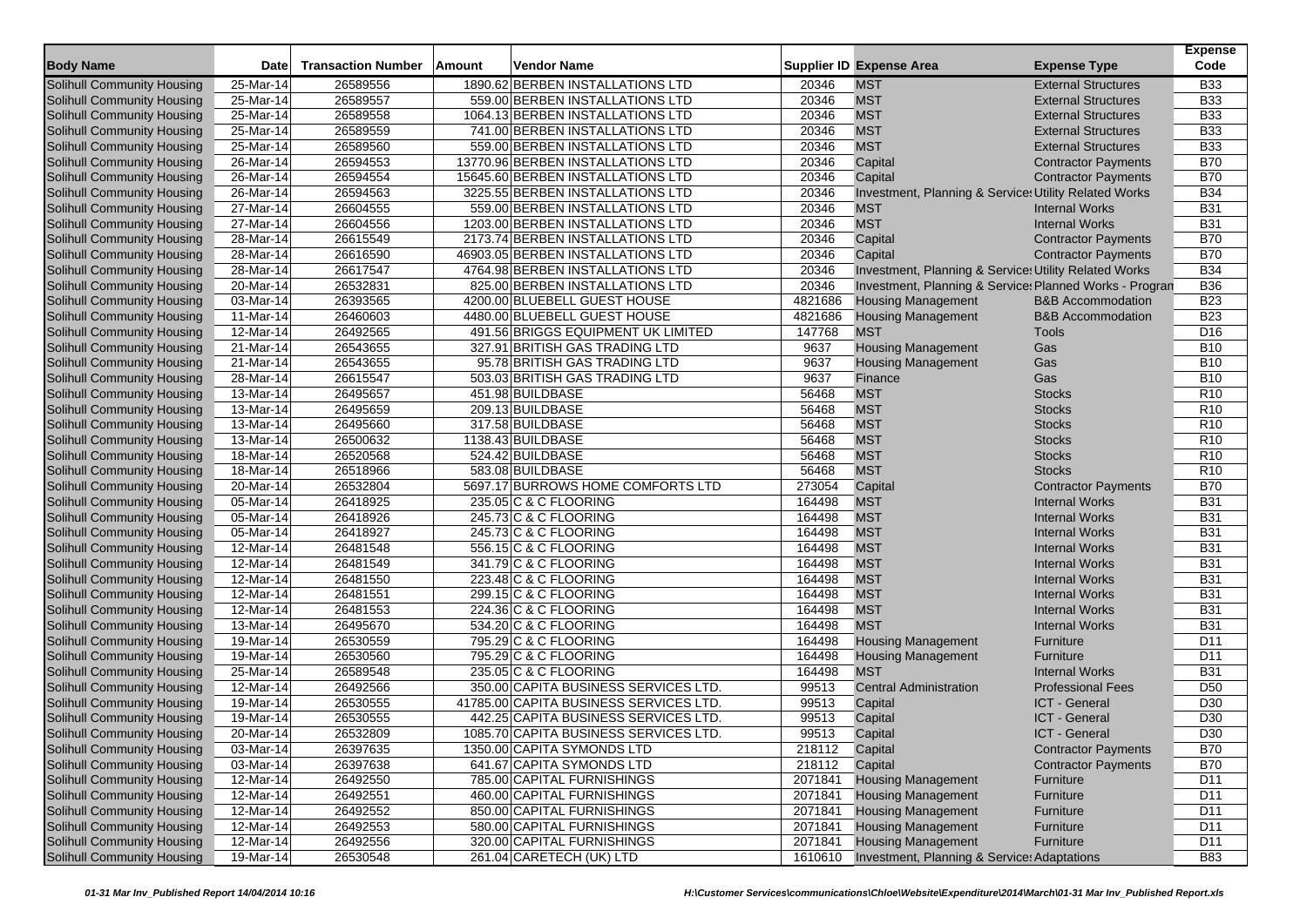|                                   |                         |                           |        |                                        |         |                                                         |                              | <b>Expense</b>  |
|-----------------------------------|-------------------------|---------------------------|--------|----------------------------------------|---------|---------------------------------------------------------|------------------------------|-----------------|
| <b>Body Name</b>                  | <b>Date</b>             | <b>Transaction Number</b> | Amount | Vendor Name                            |         | <b>Supplier ID Expense Area</b>                         | <b>Expense Type</b>          | Code            |
| <b>Solihull Community Housing</b> | 25-Mar-14               | 26589556                  |        | 1890.62 BERBEN INSTALLATIONS LTD       | 20346   | <b>MST</b>                                              | <b>External Structures</b>   | <b>B33</b>      |
| Solihull Community Housing        | 25-Mar-14               | 26589557                  |        | 559.00 BERBEN INSTALLATIONS LTD        | 20346   | <b>MST</b>                                              | <b>External Structures</b>   | <b>B33</b>      |
| Solihull Community Housing        | $25$ -Mar-14            | 26589558                  |        | 1064.13 BERBEN INSTALLATIONS LTD       | 20346   | <b>MST</b>                                              | <b>External Structures</b>   | <b>B33</b>      |
| Solihull Community Housing        | 25-Mar-14               | 26589559                  |        | 741.00 BERBEN INSTALLATIONS LTD        | 20346   | <b>MST</b>                                              | <b>External Structures</b>   | <b>B33</b>      |
| Solihull Community Housing        | 25-Mar-14               | 26589560                  |        | 559.00 BERBEN INSTALLATIONS LTD        | 20346   | <b>MST</b>                                              | <b>External Structures</b>   | <b>B33</b>      |
| Solihull Community Housing        | $\overline{26}$ -Mar-14 | 26594553                  |        | 13770.96 BERBEN INSTALLATIONS LTD      | 20346   | Capital                                                 | <b>Contractor Payments</b>   | <b>B70</b>      |
| Solihull Community Housing        | 26-Mar-14               | 26594554                  |        | 15645.60 BERBEN INSTALLATIONS LTD      | 20346   | Capital                                                 | <b>Contractor Payments</b>   | <b>B70</b>      |
| Solihull Community Housing        | 26-Mar-14               | 26594563                  |        | 3225.55 BERBEN INSTALLATIONS LTD       | 20346   | Investment, Planning & Service: Utility Related Works   |                              | <b>B34</b>      |
| Solihull Community Housing        | $27$ -Mar-14            | 26604555                  |        | 559.00 BERBEN INSTALLATIONS LTD        | 20346   | <b>MST</b>                                              | <b>Internal Works</b>        | <b>B31</b>      |
| Solihull Community Housing        | 27-Mar-14               | 26604556                  |        | 1203.00 BERBEN INSTALLATIONS LTD       | 20346   | <b>MST</b>                                              | <b>Internal Works</b>        | <b>B31</b>      |
| Solihull Community Housing        | 28-Mar-14               | 26615549                  |        | 2173.74 BERBEN INSTALLATIONS LTD       | 20346   | Capital                                                 | <b>Contractor Payments</b>   | <b>B70</b>      |
| Solihull Community Housing        | $28$ -Mar-14            | 26616590                  |        | 46903.05 BERBEN INSTALLATIONS LTD      | 20346   | Capital                                                 | <b>Contractor Payments</b>   | <b>B70</b>      |
| Solihull Community Housing        | 28-Mar-14               | 26617547                  |        | 4764.98 BERBEN INSTALLATIONS LTD       | 20346   | Investment, Planning & Service: Utility Related Works   |                              | <b>B34</b>      |
| Solihull Community Housing        | 20-Mar-14               | 26532831                  |        | 825.00 BERBEN INSTALLATIONS LTD        | 20346   | Investment, Planning & Service: Planned Works - Progran |                              | <b>B36</b>      |
| Solihull Community Housing        | 03-Mar-14               | 26393565                  |        | 4200.00 BLUEBELL GUEST HOUSE           | 4821686 | <b>Housing Management</b>                               | <b>B&amp;B Accommodation</b> | <b>B23</b>      |
| <b>Solihull Community Housing</b> | 11-Mar-14               | 26460603                  |        | 4480.00 BLUEBELL GUEST HOUSE           | 4821686 | <b>Housing Management</b>                               | <b>B&amp;B Accommodation</b> | <b>B23</b>      |
| Solihull Community Housing        | 12-Mar-14               | 26492565                  |        | 491.56 BRIGGS EQUIPMENT UK LIMITED     | 147768  | <b>MST</b>                                              | Tools                        | D <sub>16</sub> |
| <b>Solihull Community Housing</b> | 21-Mar-14               | 26543655                  |        | 327.91 BRITISH GAS TRADING LTD         | 9637    | <b>Housing Management</b>                               | Gas                          | <b>B10</b>      |
| Solihull Community Housing        | 21-Mar-14               | 26543655                  |        | 95.78 BRITISH GAS TRADING LTD          | 9637    | <b>Housing Management</b>                               | Gas                          | <b>B10</b>      |
| Solihull Community Housing        | 28-Mar-14               | 26615547                  |        | 503.03 BRITISH GAS TRADING LTD         | 9637    | Finance                                                 | Gas                          | <b>B10</b>      |
| Solihull Community Housing        | 13-Mar-14               | 26495657                  |        | 451.98 BUILDBASE                       | 56468   | <b>MST</b>                                              | <b>Stocks</b>                | R <sub>10</sub> |
| Solihull Community Housing        | 13-Mar-14               | 26495659                  |        | 209.13 BUILDBASE                       | 56468   | <b>MST</b>                                              | <b>Stocks</b>                | R <sub>10</sub> |
| Solihull Community Housing        | 13-Mar-14               | 26495660                  |        | 317.58 BUILDBASE                       | 56468   | <b>MST</b>                                              | <b>Stocks</b>                | R <sub>10</sub> |
| Solihull Community Housing        | 13-Mar-14               | 26500632                  |        | 1138.43 BUILDBASE                      | 56468   | <b>MST</b>                                              | <b>Stocks</b>                | R <sub>10</sub> |
| <b>Solihull Community Housing</b> | 18-Mar-14               | 26520568                  |        | 524.42 BUILDBASE                       | 56468   | <b>MST</b>                                              | <b>Stocks</b>                | R <sub>10</sub> |
| Solihull Community Housing        | 18-Mar-14               | 26518966                  |        | 583.08 BUILDBASE                       | 56468   | <b>MST</b>                                              | <b>Stocks</b>                | R <sub>10</sub> |
| Solihull Community Housing        | 20-Mar-14               | 26532804                  |        | 5697.17 BURROWS HOME COMFORTS LTD      | 273054  | Capital                                                 | <b>Contractor Payments</b>   | <b>B70</b>      |
| Solihull Community Housing        | 05-Mar-14               | 26418925                  |        | 235.05 C & C FLOORING                  | 164498  | <b>MST</b>                                              | <b>Internal Works</b>        | <b>B31</b>      |
| Solihull Community Housing        | 05-Mar-14               | 26418926                  |        | 245.73 C & C FLOORING                  | 164498  | <b>MST</b>                                              | <b>Internal Works</b>        | <b>B31</b>      |
| Solihull Community Housing        | 05-Mar-14               | 26418927                  |        | 245.73 C & C FLOORING                  | 164498  | <b>MST</b>                                              | <b>Internal Works</b>        | <b>B31</b>      |
| Solihull Community Housing        | $12-Mar-14$             | 26481548                  |        | 556.15 C & C FLOORING                  | 164498  | <b>MST</b>                                              | <b>Internal Works</b>        | <b>B31</b>      |
| Solihull Community Housing        | 12-Mar-14               | 26481549                  |        | 341.79 C & C FLOORING                  | 164498  | <b>MST</b>                                              | <b>Internal Works</b>        | <b>B31</b>      |
| Solihull Community Housing        | 12-Mar-14               | 26481550                  |        | 223.48 C & C FLOORING                  | 164498  | <b>MST</b>                                              | <b>Internal Works</b>        | <b>B31</b>      |
| Solihull Community Housing        | 12-Mar-14               | 26481551                  |        | 299.15 C & C FLOORING                  | 164498  | <b>MST</b>                                              | <b>Internal Works</b>        | <b>B31</b>      |
| Solihull Community Housing        | 12-Mar-14               | 26481553                  |        | 224.36 C & C FLOORING                  | 164498  | <b>MST</b>                                              | <b>Internal Works</b>        | <b>B31</b>      |
| Solihull Community Housing        | 13-Mar-14               | 26495670                  |        | 534.20 C & C FLOORING                  | 164498  | <b>MST</b>                                              | <b>Internal Works</b>        | <b>B31</b>      |
| Solihull Community Housing        | 19-Mar-14               | 26530559                  |        | 795.29 C & C FLOORING                  | 164498  | <b>Housing Management</b>                               | Furniture                    | D <sub>11</sub> |
| Solihull Community Housing        | 19-Mar-14               | 26530560                  |        | 795.29 C & C FLOORING                  | 164498  | <b>Housing Management</b>                               | Furniture                    | D <sub>11</sub> |
| Solihull Community Housing        | 25-Mar-14               | 26589548                  |        | 235.05 C & C FLOORING                  | 164498  | <b>MST</b>                                              | <b>Internal Works</b>        | <b>B31</b>      |
| Solihull Community Housing        | 12-Mar-14               | 26492566                  |        | 350.00 CAPITA BUSINESS SERVICES LTD.   | 99513   | <b>Central Administration</b>                           | <b>Professional Fees</b>     | D <sub>50</sub> |
| Solihull Community Housing        | 19-Mar-14               | 26530555                  |        | 41785.00 CAPITA BUSINESS SERVICES LTD. | 99513   | Capital                                                 | <b>ICT - General</b>         | D <sub>30</sub> |
| <b>Solihull Community Housing</b> | 19-Mar-14               | 26530555                  |        | 442.25 CAPITA BUSINESS SERVICES LTD.   | 99513   | Capital                                                 | ICT - General                | D <sub>30</sub> |
| Solihull Community Housing        | 20-Mar-14               | 26532809                  |        | 1085.70 CAPITA BUSINESS SERVICES LTD   | 99513   | Capital                                                 | <b>ICT - General</b>         | D <sub>30</sub> |
| Solihull Community Housing        | 03-Mar-14               | 26397635                  |        | 1350.00 CAPITA SYMONDS LTD             | 218112  | Capital                                                 | <b>Contractor Payments</b>   | <b>B70</b>      |
| Solihull Community Housing        | 03-Mar-14               | 26397638                  |        | 641.67 CAPITA SYMONDS LTD              | 218112  |                                                         | <b>Contractor Payments</b>   | <b>B70</b>      |
| Solihull Community Housing        | 12-Mar-14               | 26492550                  |        | 785.00 CAPITAL FURNISHINGS             | 2071841 | Capital<br><b>Housing Management</b>                    | Furniture                    | D11             |
| Solihull Community Housing        | 12-Mar-14               | 26492551                  |        | 460.00 CAPITAL FURNISHINGS             | 2071841 | <b>Housing Management</b>                               |                              | D11             |
| Solihull Community Housing        | 12-Mar-14               | 26492552                  |        | 850.00 CAPITAL FURNISHINGS             | 2071841 | <b>Housing Management</b>                               | Furniture                    | D11             |
| Solihull Community Housing        | $\overline{12}$ -Mar-14 | 26492553                  |        | 580.00 CAPITAL FURNISHINGS             | 2071841 | <b>Housing Management</b>                               | Furniture                    | D11             |
| Solihull Community Housing        | 12-Mar-14               | 26492556                  |        | 320.00 CAPITAL FURNISHINGS             | 2071841 |                                                         | Furniture<br>Furniture       | D11             |
|                                   |                         |                           |        |                                        |         | <b>Housing Management</b>                               |                              |                 |
| Solihull Community Housing        | 19-Mar-14               | 26530548                  |        | 261.04 CARETECH (UK) LTD               | 1610610 | Investment, Planning & Service: Adaptations             |                              | <b>B83</b>      |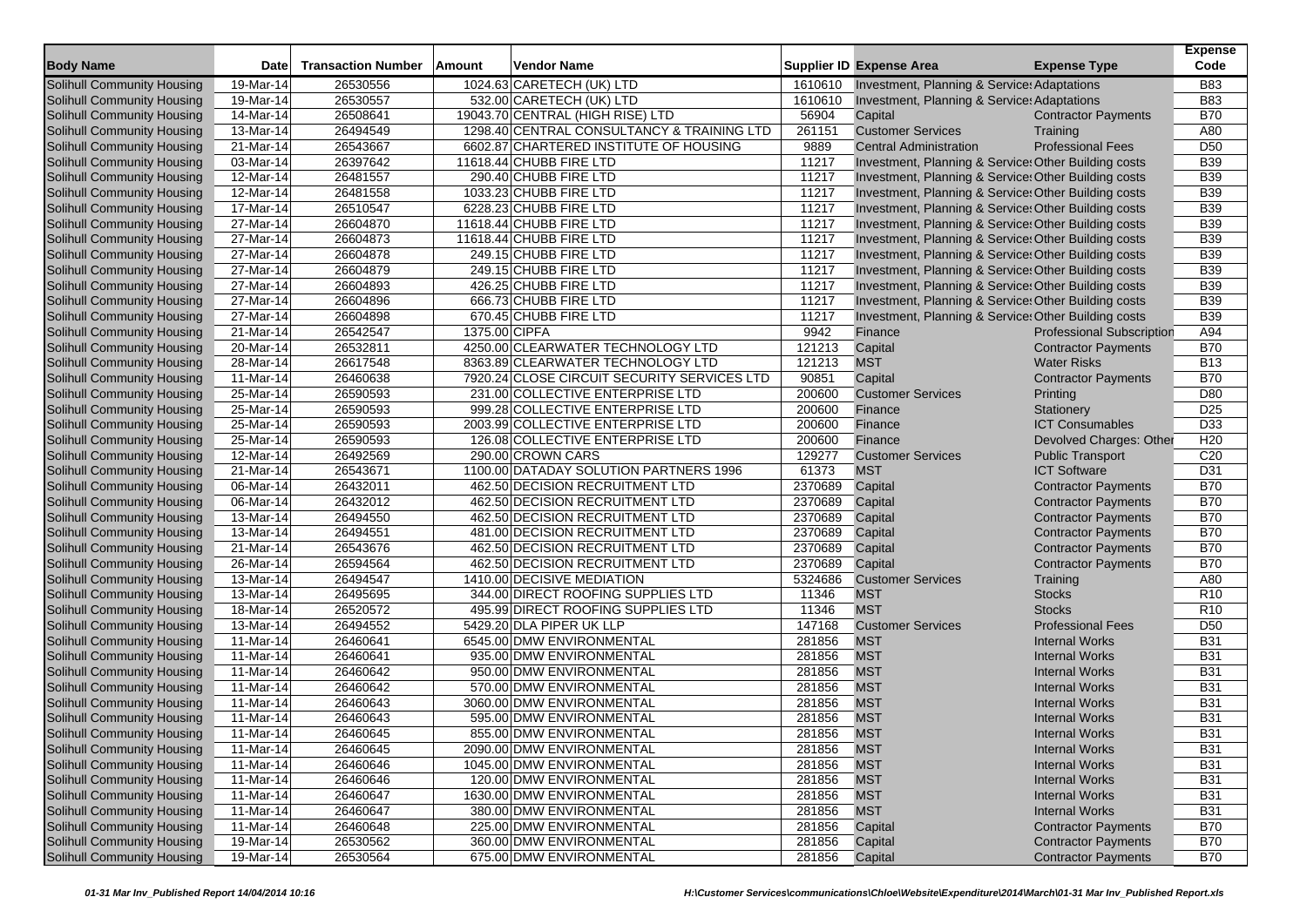| <b>Body Name</b>                                         | <b>Date</b>             | <b>Transaction Number</b> | Amount        | Vendor Name                                                       |                    | <b>Supplier ID Expense Area</b>                                                                       | <b>Expense Type</b>              | <b>Expense</b><br>Code        |
|----------------------------------------------------------|-------------------------|---------------------------|---------------|-------------------------------------------------------------------|--------------------|-------------------------------------------------------------------------------------------------------|----------------------------------|-------------------------------|
|                                                          | 19-Mar-14               | 26530556                  |               |                                                                   |                    |                                                                                                       |                                  | <b>B83</b>                    |
| Solihull Community Housing<br>Solihull Community Housing |                         |                           |               | 1024.63 CARETECH (UK) LTD                                         | 1610610<br>1610610 | Investment, Planning & Service: Adaptations<br><b>Investment, Planning &amp; Service: Adaptations</b> |                                  | <b>B83</b>                    |
|                                                          | 19-Mar-14<br>14-Mar-14  | 26530557<br>26508641      |               | 532.00 CARETECH (UK) LTD                                          | 56904              |                                                                                                       |                                  | <b>B70</b>                    |
| Solihull Community Housing                               |                         |                           |               | 19043.70 CENTRAL (HIGH RISE) LTD                                  | 261151             | Capital<br><b>Customer Services</b>                                                                   | <b>Contractor Payments</b>       |                               |
| Solihull Community Housing                               | 13-Mar-14               | 26494549                  |               | 1298.40 CENTRAL CONSULTANCY & TRAINING LTD                        |                    |                                                                                                       | Training                         | A80                           |
| Solihull Community Housing                               | 21-Mar-14<br>03-Mar-14  | 26543667<br>26397642      |               | 6602.87 CHARTERED INSTITUTE OF HOUSING<br>11618.44 CHUBB FIRE LTD | 9889<br>11217      | <b>Central Administration</b>                                                                         | <b>Professional Fees</b>         | D <sub>50</sub><br><b>B39</b> |
| Solihull Community Housing                               |                         |                           |               |                                                                   |                    | Investment, Planning & Service: Other Building costs                                                  |                                  |                               |
| Solihull Community Housing                               | 12-Mar-14               | 26481557                  |               | 290.40 CHUBB FIRE LTD                                             | 11217              | Investment, Planning & Service: Other Building costs                                                  |                                  | <b>B39</b>                    |
| Solihull Community Housing                               | 12-Mar-14               | 26481558                  |               | 1033.23 CHUBB FIRE LTD                                            | 11217              | Investment, Planning & Service: Other Building costs                                                  |                                  | <b>B39</b>                    |
| Solihull Community Housing                               | 17-Mar-14               | 26510547                  |               | 6228.23 CHUBB FIRE LTD                                            | 11217              | Investment, Planning & Service: Other Building costs                                                  |                                  | <b>B39</b>                    |
| Solihull Community Housing                               | 27-Mar-14               | 26604870                  |               | 11618.44 CHUBB FIRE LTD                                           | 11217              | Investment, Planning & Service: Other Building costs                                                  |                                  | <b>B39</b>                    |
| Solihull Community Housing                               | 27-Mar-14               | 26604873                  |               | 11618.44 CHUBB FIRE LTD                                           | 11217              | Investment, Planning & Service: Other Building costs                                                  |                                  | <b>B39</b>                    |
| Solihull Community Housing                               | $27$ -Mar-14            | 26604878                  |               | 249.15 CHUBB FIRE LTD                                             | 11217              | Investment, Planning & Service: Other Building costs                                                  |                                  | <b>B39</b>                    |
| Solihull Community Housing                               | 27-Mar-14               | 26604879                  |               | 249.15 CHUBB FIRE LTD                                             | 11217              | Investment, Planning & Service: Other Building costs                                                  |                                  | <b>B39</b>                    |
| Solihull Community Housing                               | 27-Mar-14               | 26604893                  |               | 426.25 CHUBB FIRE LTD                                             | 11217              | Investment, Planning & Service: Other Building costs                                                  |                                  | <b>B39</b>                    |
| Solihull Community Housing                               | 27-Mar-14               | 26604896                  |               | 666.73 CHUBB FIRE LTD                                             | 11217              | Investment, Planning & Service: Other Building costs                                                  |                                  | <b>B39</b>                    |
| Solihull Community Housing                               | 27-Mar-14               | 26604898                  |               | 670.45 CHUBB FIRE LTD                                             | 11217              | Investment, Planning & Service: Other Building costs                                                  |                                  | <b>B39</b>                    |
| Solihull Community Housing                               | 21-Mar-14               | 26542547                  | 1375.00 CIPFA |                                                                   | 9942               | Finance                                                                                               | <b>Professional Subscription</b> | A94                           |
| Solihull Community Housing                               | $20$ -Mar-14            | 26532811                  |               | 4250.00 CLEARWATER TECHNOLOGY LTD                                 | 121213             | Capital                                                                                               | <b>Contractor Payments</b>       | <b>B70</b>                    |
| Solihull Community Housing                               | 28-Mar-14               | 26617548                  |               | 8363.89 CLEARWATER TECHNOLOGY LTD                                 | 121213             | <b>MST</b>                                                                                            | <b>Water Risks</b>               | <b>B13</b>                    |
| <b>Solihull Community Housing</b>                        | 11-Mar-14               | 26460638                  |               | 7920.24 CLOSE CIRCUIT SECURITY SERVICES LTD                       | 90851              | Capital                                                                                               | <b>Contractor Payments</b>       | <b>B70</b>                    |
| Solihull Community Housing                               | 25-Mar-14               | 26590593                  |               | 231.00 COLLECTIVE ENTERPRISE LTD                                  | 200600             | <b>Customer Services</b>                                                                              | Printing                         | D80                           |
| Solihull Community Housing                               | $25$ -Mar-14            | 26590593                  |               | 999.28 COLLECTIVE ENTERPRISE LTD                                  | 200600             | Finance                                                                                               | Stationery                       | D <sub>25</sub>               |
| <b>Solihull Community Housing</b>                        | 25-Mar-14               | 26590593                  |               | 2003.99 COLLECTIVE ENTERPRISE LTD                                 | 200600             | Finance                                                                                               | <b>ICT Consumables</b>           | D33                           |
| Solihull Community Housing                               | $25-Mar-14$             | 26590593                  |               | 126.08 COLLECTIVE ENTERPRISE LTD                                  | 200600             | Finance                                                                                               | Devolved Charges: Other          | H <sub>20</sub>               |
| <b>Solihull Community Housing</b>                        | 12-Mar-14               | 26492569                  |               | 290.00 CROWN CARS                                                 | 129277             | <b>Customer Services</b>                                                                              | <b>Public Transport</b>          | C <sub>20</sub>               |
| Solihull Community Housing                               | 21-Mar-14               | 26543671                  |               | 1100.00 DATADAY SOLUTION PARTNERS 1996                            | 61373              | <b>MST</b>                                                                                            | <b>ICT Software</b>              | D31                           |
| Solihull Community Housing                               | 06-Mar-14               | 26432011                  |               | 462.50 DECISION RECRUITMENT LTD                                   | 2370689            | Capital                                                                                               | <b>Contractor Payments</b>       | <b>B70</b>                    |
| <b>Solihull Community Housing</b>                        | 06-Mar-14               | 26432012                  |               | 462.50 DECISION RECRUITMENT LTD                                   | 2370689            | Capital                                                                                               | <b>Contractor Payments</b>       | <b>B70</b>                    |
| Solihull Community Housing                               | 13-Mar-14               | 26494550                  |               | 462.50 DECISION RECRUITMENT LTD                                   | 2370689            | Capital                                                                                               | <b>Contractor Payments</b>       | <b>B70</b>                    |
| Solihull Community Housing                               | 13-Mar-14               | 26494551                  |               | 481.00 DECISION RECRUITMENT LTD                                   | 2370689            | Capital                                                                                               | <b>Contractor Payments</b>       | <b>B70</b>                    |
| Solihull Community Housing                               | 21-Mar-14               | 26543676                  |               | 462.50 DECISION RECRUITMENT LTD                                   | 2370689            | Capital                                                                                               | <b>Contractor Payments</b>       | <b>B70</b>                    |
| Solihull Community Housing                               | 26-Mar-14               | 26594564                  |               | 462.50 DECISION RECRUITMENT LTD                                   | 2370689            | Capital                                                                                               | <b>Contractor Payments</b>       | <b>B70</b>                    |
| Solihull Community Housing                               | 13-Mar-14               | 26494547                  |               | 1410.00 DECISIVE MEDIATION                                        | 5324686            | <b>Customer Services</b>                                                                              | Training                         | A80                           |
| Solihull Community Housing                               | $13$ -Mar-14            | 26495695                  |               | 344.00 DIRECT ROOFING SUPPLIES LTD                                | 11346              | <b>MST</b>                                                                                            | Stocks                           | R <sub>10</sub>               |
| Solihull Community Housing                               | 18-Mar-14               | 26520572                  |               | 495.99 DIRECT ROOFING SUPPLIES LTD                                | 11346              | <b>MST</b>                                                                                            | <b>Stocks</b>                    | R <sub>10</sub>               |
| Solihull Community Housing                               | 13-Mar-14               | 26494552                  |               | 5429.20 DLA PIPER UK LLP                                          | 147168             | <b>Customer Services</b>                                                                              | <b>Professional Fees</b>         | D <sub>50</sub>               |
| Solihull Community Housing                               | $11-Mar-14$             | 26460641                  |               | 6545.00 DMW ENVIRONMENTAL                                         | 281856             | <b>MST</b>                                                                                            | <b>Internal Works</b>            | <b>B31</b>                    |
| Solihull Community Housing                               | 11-Mar-14               | 26460641                  |               | 935.00 DMW ENVIRONMENTAL                                          | 281856             | <b>MST</b>                                                                                            | <b>Internal Works</b>            | <b>B31</b>                    |
| Solihull Community Housing                               | 11-Mar-14               | 26460642                  |               | 950.00 DMW ENVIRONMENTAL                                          | 281856             | <b>MST</b>                                                                                            | <b>Internal Works</b>            | <b>B31</b>                    |
| Solihull Community Housing                               | 11-Mar-14               | 26460642                  |               | 570.00 DMW ENVIRONMENTAL                                          | 281856             | <b>MST</b>                                                                                            | <b>Internal Works</b>            | <b>B31</b>                    |
| Solihull Community Housing                               | 11-Mar-14               | 26460643                  |               | 3060.00 DMW ENVIRONMENTAL                                         | 281856             | <b>MST</b>                                                                                            | <b>Internal Works</b>            | <b>B31</b>                    |
| Solihull Community Housing                               | 11-Mar-14               | 26460643                  |               | 595.00 DMW ENVIRONMENTAL                                          | 281856             | <b>MST</b>                                                                                            | <b>Internal Works</b>            | <b>B31</b>                    |
| Solihull Community Housing                               | 11-Mar-14               | 26460645                  |               | 855.00 DMW ENVIRONMENTAL                                          | 281856             | <b>MST</b>                                                                                            | <b>Internal Works</b>            | <b>B31</b>                    |
| Solihull Community Housing                               | 11-Mar-14               | 26460645                  |               | 2090.00 DMW ENVIRONMENTAL                                         | 281856             | <b>MST</b>                                                                                            | <b>Internal Works</b>            | <b>B31</b>                    |
| Solihull Community Housing                               | $11-Mar-14$             | 26460646                  |               | 1045.00 DMW ENVIRONMENTAL                                         | 281856             | <b>MST</b>                                                                                            | <b>Internal Works</b>            | <b>B31</b>                    |
| Solihull Community Housing                               | $\overline{1}$ 1-Mar-14 | 26460646                  |               | 120.00 DMW ENVIRONMENTAL                                          | 281856             | <b>MST</b>                                                                                            | <b>Internal Works</b>            | <b>B31</b>                    |
| Solihull Community Housing                               | 11-Mar-14               | 26460647                  |               | 1630.00 DMW ENVIRONMENTAL                                         | 281856             | <b>MST</b>                                                                                            | <b>Internal Works</b>            | <b>B31</b>                    |
| Solihull Community Housing                               | 11-Mar-14               | 26460647                  |               | 380.00 DMW ENVIRONMENTAL                                          | 281856             | <b>MST</b>                                                                                            | <b>Internal Works</b>            | <b>B31</b>                    |
| Solihull Community Housing                               | $\overline{1}$ 1-Mar-14 | 26460648                  |               | 225.00 DMW ENVIRONMENTAL                                          | 281856             | Capital                                                                                               | <b>Contractor Payments</b>       | <b>B70</b>                    |
| Solihull Community Housing                               | 19-Mar-14               | 26530562                  |               | 360.00 DMW ENVIRONMENTAL                                          | 281856             | Capital                                                                                               | <b>Contractor Payments</b>       | <b>B70</b>                    |
| Solihull Community Housing                               | 19-Mar-14               | 26530564                  |               | 675.00 DMW ENVIRONMENTAL                                          | 281856             | Capital                                                                                               | <b>Contractor Payments</b>       | <b>B70</b>                    |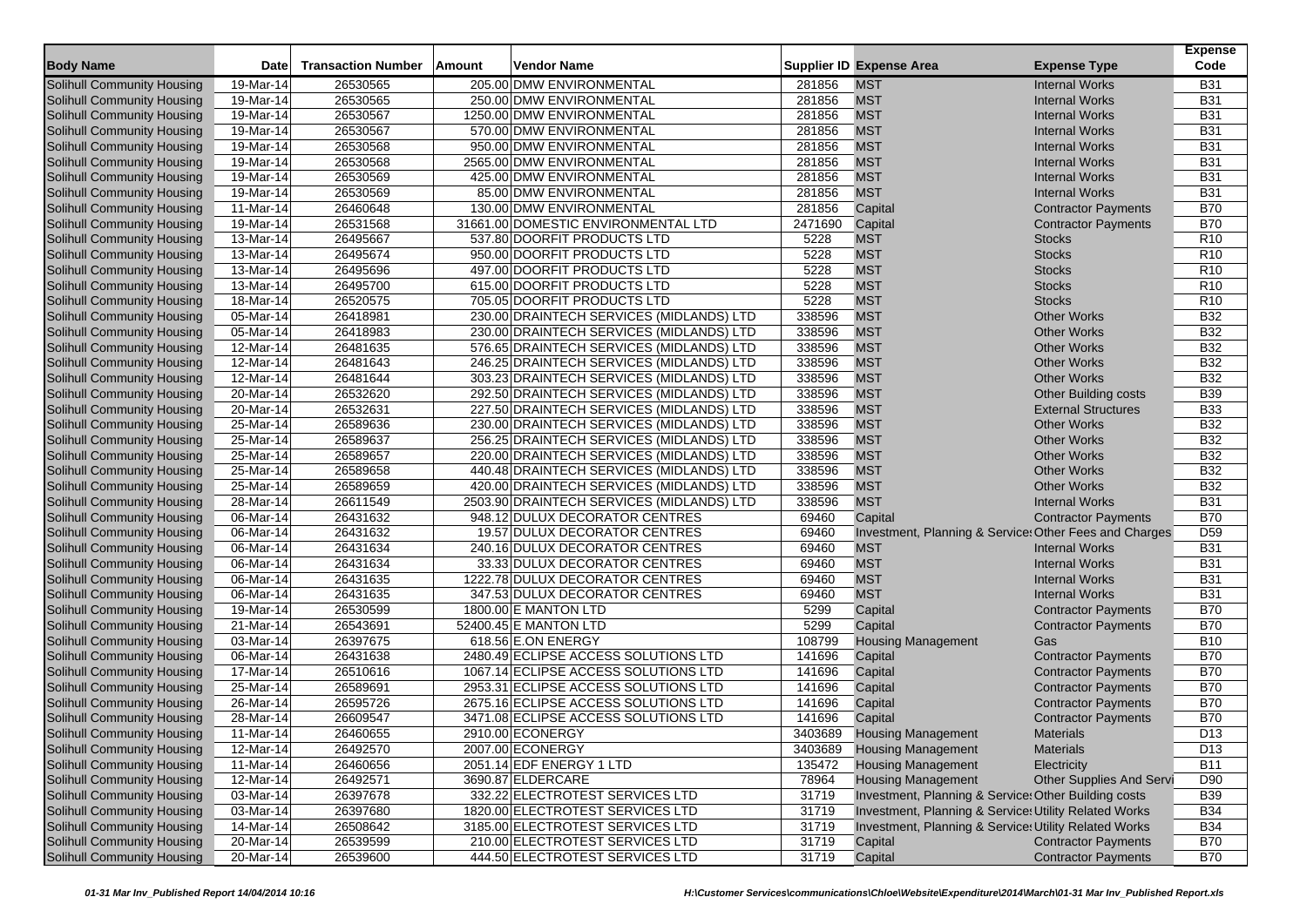|                                   |                         |                           |        |                                           |         |                                                        |                                 | <b>Expense</b>  |
|-----------------------------------|-------------------------|---------------------------|--------|-------------------------------------------|---------|--------------------------------------------------------|---------------------------------|-----------------|
| <b>Body Name</b>                  | Date                    | <b>Transaction Number</b> | Amount | Vendor Name                               |         | <b>Supplier ID Expense Area</b>                        | <b>Expense Type</b>             | Code            |
| Solihull Community Housing        | 19-Mar-14               | 26530565                  |        | 205.00 DMW ENVIRONMENTAL                  | 281856  | <b>MST</b>                                             | <b>Internal Works</b>           | <b>B31</b>      |
| Solihull Community Housing        | 19-Mar-14               | 26530565                  |        | 250.00 DMW ENVIRONMENTAL                  | 281856  | <b>MST</b>                                             | <b>Internal Works</b>           | <b>B31</b>      |
| Solihull Community Housing        | 19-Mar-14               | 26530567                  |        | 1250.00 DMW ENVIRONMENTAL                 | 281856  | <b>MST</b>                                             | <b>Internal Works</b>           | <b>B31</b>      |
| Solihull Community Housing        | 19-Mar-14               | 26530567                  |        | 570.00 DMW ENVIRONMENTAL                  | 281856  | <b>MST</b>                                             | <b>Internal Works</b>           | <b>B31</b>      |
| Solihull Community Housing        | 19-Mar-14               | 26530568                  |        | 950.00 DMW ENVIRONMENTAL                  | 281856  | <b>MST</b>                                             | <b>Internal Works</b>           | <b>B31</b>      |
| Solihull Community Housing        | 19-Mar-14               | 26530568                  |        | 2565.00 DMW ENVIRONMENTAL                 | 281856  | <b>MST</b>                                             | <b>Internal Works</b>           | <b>B31</b>      |
| Solihull Community Housing        | 19-Mar-14               | 26530569                  |        | 425.00 DMW ENVIRONMENTAL                  | 281856  | <b>MST</b>                                             | <b>Internal Works</b>           | <b>B31</b>      |
| Solihull Community Housing        | 19-Mar-14               | 26530569                  |        | 85.00 DMW ENVIRONMENTAL                   | 281856  | <b>MST</b>                                             | <b>Internal Works</b>           | <b>B31</b>      |
| Solihull Community Housing        | 11-Mar-14               | 26460648                  |        | 130.00 DMW ENVIRONMENTAL                  | 281856  | Capital                                                | <b>Contractor Payments</b>      | <b>B70</b>      |
| Solihull Community Housing        | 19-Mar-14               | 26531568                  |        | 31661.00 DOMESTIC ENVIRONMENTAL LTD       | 2471690 | Capital                                                | <b>Contractor Payments</b>      | <b>B70</b>      |
| Solihull Community Housing        | 13-Mar-14               | 26495667                  |        | 537.80 DOORFIT PRODUCTS LTD               | 5228    | <b>MST</b>                                             | <b>Stocks</b>                   | R <sub>10</sub> |
| <b>Solihull Community Housing</b> | 13-Mar-14               | 26495674                  |        | 950.00 DOORFIT PRODUCTS LTD               | 5228    | <b>MST</b>                                             | <b>Stocks</b>                   | R <sub>10</sub> |
| Solihull Community Housing        | $\overline{1}$ 3-Mar-14 | 26495696                  |        | 497.00 DOORFIT PRODUCTS LTD               | 5228    | <b>MST</b>                                             | <b>Stocks</b>                   | R <sub>10</sub> |
| Solihull Community Housing        | 13-Mar-14               | 26495700                  |        | 615.00 DOORFIT PRODUCTS LTD               | 5228    | <b>MST</b>                                             | <b>Stocks</b>                   | <b>R10</b>      |
| Solihull Community Housing        | 18-Mar-14               | 26520575                  |        | 705.05 DOORFIT PRODUCTS LTD               | 5228    | <b>MST</b>                                             | <b>Stocks</b>                   | R <sub>10</sub> |
| Solihull Community Housing        | 05-Mar-14               | 26418981                  |        | 230.00 DRAINTECH SERVICES (MIDLANDS) LTD  | 338596  | <b>MST</b>                                             | <b>Other Works</b>              | <b>B32</b>      |
| Solihull Community Housing        | 05-Mar-14               | 26418983                  |        | 230.00 DRAINTECH SERVICES (MIDLANDS) LTD  | 338596  | <b>MST</b>                                             | <b>Other Works</b>              | <b>B32</b>      |
| Solihull Community Housing        | 12-Mar-14               | 26481635                  |        | 576.65 DRAINTECH SERVICES (MIDLANDS) LTD  | 338596  | <b>MST</b>                                             | <b>Other Works</b>              | <b>B32</b>      |
| Solihull Community Housing        | 12-Mar-14               | 26481643                  |        | 246.25 DRAINTECH SERVICES (MIDLANDS) LTD  | 338596  | <b>MST</b>                                             | <b>Other Works</b>              | <b>B32</b>      |
| <b>Solihull Community Housing</b> | 12-Mar-14               | 26481644                  |        | 303.23 DRAINTECH SERVICES (MIDLANDS) LTD  | 338596  | <b>MST</b>                                             | <b>Other Works</b>              | <b>B32</b>      |
| Solihull Community Housing        | 20-Mar-14               | 26532620                  |        | 292.50 DRAINTECH SERVICES (MIDLANDS) LTD  | 338596  | <b>MST</b>                                             | <b>Other Building costs</b>     | <b>B39</b>      |
| Solihull Community Housing        | 20-Mar-14               | 26532631                  |        | 227.50 DRAINTECH SERVICES (MIDLANDS) LTD  | 338596  | <b>MST</b>                                             | <b>External Structures</b>      | <b>B33</b>      |
| Solihull Community Housing        | 25-Mar-14               | 26589636                  |        | 230.00 DRAINTECH SERVICES (MIDLANDS) LTD  | 338596  | <b>MST</b>                                             | <b>Other Works</b>              | <b>B32</b>      |
| Solihull Community Housing        | 25-Mar-14               | 26589637                  |        | 256.25 DRAINTECH SERVICES (MIDLANDS) LTD  | 338596  | <b>MST</b>                                             | <b>Other Works</b>              | <b>B32</b>      |
| Solihull Community Housing        | 25-Mar-14               | 26589657                  |        | 220.00 DRAINTECH SERVICES (MIDLANDS) LTD  | 338596  | <b>MST</b>                                             | <b>Other Works</b>              | <b>B32</b>      |
| Solihull Community Housing        | 25-Mar-14               | 26589658                  |        | 440.48 DRAINTECH SERVICES (MIDLANDS) LTD  | 338596  | <b>MST</b>                                             | <b>Other Works</b>              | <b>B32</b>      |
| Solihull Community Housing        | 25-Mar-14               | 26589659                  |        | 420.00 DRAINTECH SERVICES (MIDLANDS) LTD  | 338596  | <b>MST</b>                                             | <b>Other Works</b>              | <b>B32</b>      |
| Solihull Community Housing        | 28-Mar-14               | 26611549                  |        | 2503.90 DRAINTECH SERVICES (MIDLANDS) LTD | 338596  | <b>MST</b>                                             | <b>Internal Works</b>           | <b>B31</b>      |
| Solihull Community Housing        | 06-Mar-14               | 26431632                  |        | 948.12 DULUX DECORATOR CENTRES            | 69460   | Capital                                                | <b>Contractor Payments</b>      | <b>B70</b>      |
| Solihull Community Housing        | 06-Mar-14               | 26431632                  |        | 19.57 DULUX DECORATOR CENTRES             | 69460   | Investment, Planning & Service: Other Fees and Charges |                                 | D <sub>59</sub> |
| Solihull Community Housing        | $\overline{06}$ -Mar-14 | 26431634                  |        | 240.16 DULUX DECORATOR CENTRES            | 69460   | <b>MST</b>                                             | <b>Internal Works</b>           | <b>B31</b>      |
| Solihull Community Housing        | 06-Mar-14               | 26431634                  |        | 33.33 DULUX DECORATOR CENTRES             | 69460   | <b>MST</b>                                             | <b>Internal Works</b>           | <b>B31</b>      |
| Solihull Community Housing        | 06-Mar-14               | 26431635                  |        | 1222.78 DULUX DECORATOR CENTRES           | 69460   | <b>MST</b>                                             | <b>Internal Works</b>           | <b>B31</b>      |
| Solihull Community Housing        | 06-Mar-14               | 26431635                  |        | 347.53 DULUX DECORATOR CENTRES            | 69460   | <b>MST</b>                                             | <b>Internal Works</b>           | <b>B31</b>      |
| Solihull Community Housing        | 19-Mar-14               | 26530599                  |        | 1800.00 E MANTON LTD                      | 5299    | Capital                                                | <b>Contractor Payments</b>      | <b>B70</b>      |
| Solihull Community Housing        | 21-Mar-14               | 26543691                  |        | 52400.45 E MANTON LTD                     | 5299    | Capital                                                | <b>Contractor Payments</b>      | <b>B70</b>      |
| Solihull Community Housing        | 03-Mar-14               | 26397675                  |        | 618.56 E.ON ENERGY                        | 108799  | <b>Housing Management</b>                              | Gas                             | <b>B10</b>      |
| Solihull Community Housing        | 06-Mar-14               | 26431638                  |        | 2480.49 ECLIPSE ACCESS SOLUTIONS LTD      | 141696  | Capital                                                | <b>Contractor Payments</b>      | <b>B70</b>      |
| Solihull Community Housing        | 17-Mar-14               | 26510616                  |        | 1067.14 ECLIPSE ACCESS SOLUTIONS LTD      | 141696  | Capital                                                | <b>Contractor Payments</b>      | <b>B70</b>      |
| Solihull Community Housing        | 25-Mar-14               | 26589691                  |        | 2953.31 ECLIPSE ACCESS SOLUTIONS LTD      | 141696  | Capital                                                | <b>Contractor Payments</b>      | <b>B70</b>      |
| Solihull Community Housing        | 26-Mar-14               | 26595726                  |        | 2675.16 ECLIPSE ACCESS SOLUTIONS LTD      | 141696  | Capital                                                | <b>Contractor Payments</b>      | <b>B70</b>      |
| Solihull Community Housing        | 28-Mar-14               | 26609547                  |        | 3471.08 ECLIPSE ACCESS SOLUTIONS LTD      | 141696  | Capital                                                | <b>Contractor Payments</b>      | <b>B70</b>      |
| Solihull Community Housing        | 11-Mar-14               | 26460655                  |        | 2910.00 ECONERGY                          | 3403689 | <b>Housing Management</b>                              | <b>Materials</b>                | D <sub>13</sub> |
| Solihull Community Housing        | 12-Mar-14               | 26492570                  |        | 2007.00 ECONERGY                          | 3403689 | <b>Housing Management</b>                              | <b>Materials</b>                | D <sub>13</sub> |
| Solihull Community Housing        | 11-Mar-14               | 26460656                  |        | 2051.14 EDF ENERGY 1 LTD                  | 135472  | <b>Housing Management</b>                              | Electricity                     | <b>B11</b>      |
| Solihull Community Housing        | 12-Mar-14               | 26492571                  |        | 3690.87 ELDERCARE                         | 78964   | <b>Housing Management</b>                              | <b>Other Supplies And Servi</b> | D90             |
| Solihull Community Housing        | 03-Mar-14               | 26397678                  |        | 332.22 ELECTROTEST SERVICES LTD           | 31719   | Investment, Planning & Service: Other Building costs   |                                 | <b>B39</b>      |
| Solihull Community Housing        | 03-Mar-14               | 26397680                  |        | 1820.00 ELECTROTEST SERVICES LTD          | 31719   | Investment, Planning & Service: Utility Related Works  |                                 | <b>B34</b>      |
| Solihull Community Housing        | 14-Mar-14               | 26508642                  |        | 3185.00 ELECTROTEST SERVICES LTD          | 31719   | Investment, Planning & Service: Utility Related Works  |                                 | <b>B34</b>      |
| Solihull Community Housing        | 20-Mar-14               | 26539599                  |        | 210.00 ELECTROTEST SERVICES LTD           | 31719   | Capital                                                | <b>Contractor Payments</b>      | <b>B70</b>      |
| Solihull Community Housing        | 20-Mar-14               | 26539600                  |        | 444.50 ELECTROTEST SERVICES LTD           | 31719   | Capital                                                | <b>Contractor Payments</b>      | <b>B70</b>      |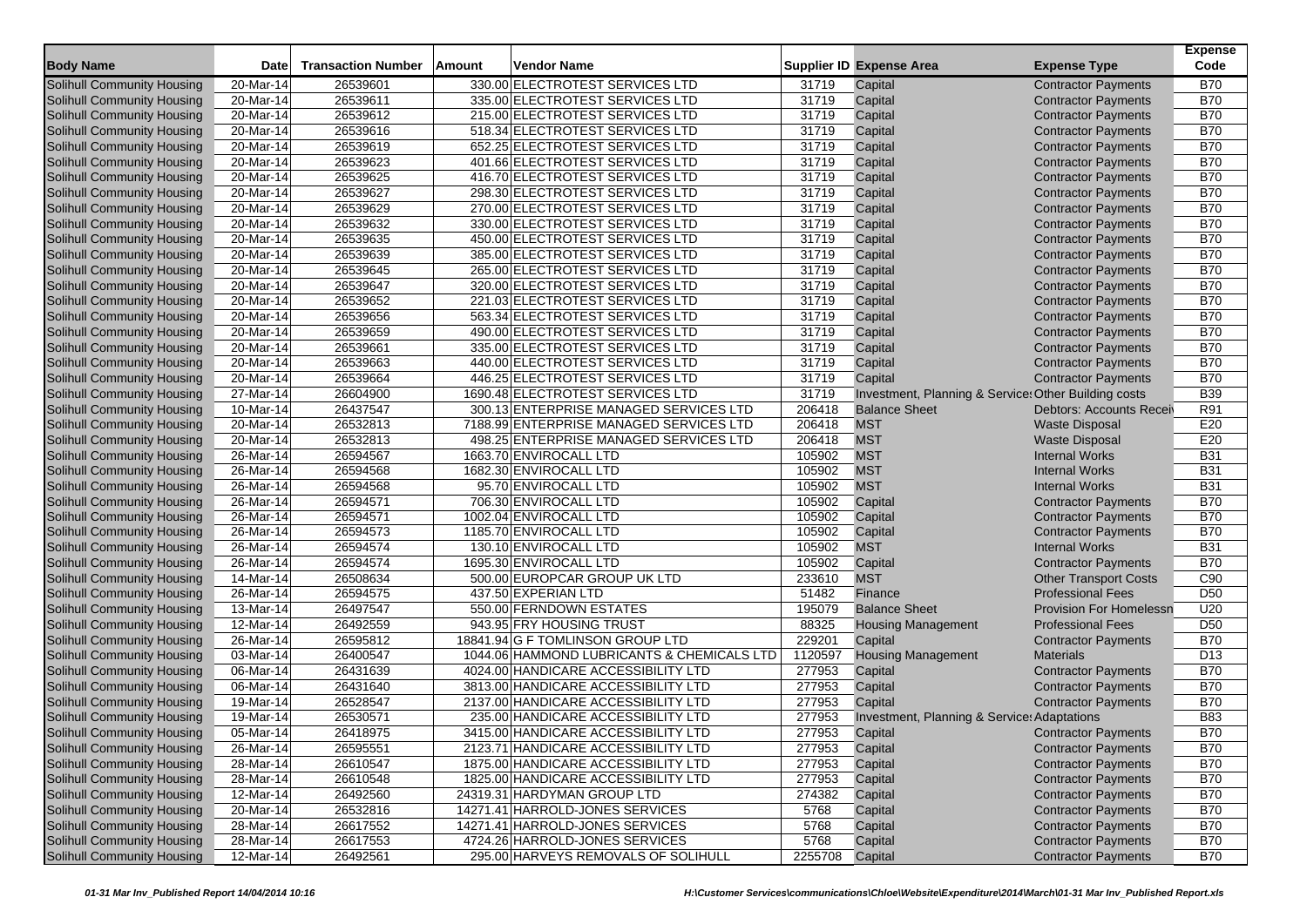|                                   |                         |                           |               |                                            |                 |                                                      |                                | <b>Expense</b>  |
|-----------------------------------|-------------------------|---------------------------|---------------|--------------------------------------------|-----------------|------------------------------------------------------|--------------------------------|-----------------|
| <b>Body Name</b>                  | Date                    | <b>Transaction Number</b> | <b>Amount</b> | Vendor Name                                |                 | <b>Supplier ID Expense Area</b>                      | <b>Expense Type</b>            | Code            |
| <b>Solihull Community Housing</b> | 20-Mar-14               | 26539601                  |               | 330.00 ELECTROTEST SERVICES LTD            | 31719           | Capital                                              | <b>Contractor Payments</b>     | <b>B70</b>      |
| Solihull Community Housing        | 20-Mar-14               | 26539611                  |               | 335.00 ELECTROTEST SERVICES LTD            | 31719           | Capital                                              | <b>Contractor Payments</b>     | <b>B70</b>      |
| Solihull Community Housing        | 20-Mar-14               | 26539612                  |               | 215.00 ELECTROTEST SERVICES LTD            | 31719           | Capital                                              | <b>Contractor Payments</b>     | <b>B70</b>      |
| Solihull Community Housing        | 20-Mar-14               | 26539616                  |               | 518.34 ELECTROTEST SERVICES LTD            | 31719           | Capital                                              | <b>Contractor Payments</b>     | <b>B70</b>      |
| Solihull Community Housing        | 20-Mar-14               | 26539619                  |               | 652.25 ELECTROTEST SERVICES LTD            | 31719           | Capital                                              | <b>Contractor Payments</b>     | <b>B70</b>      |
| Solihull Community Housing        | 20-Mar-14               | 26539623                  |               | 401.66 ELECTROTEST SERVICES LTD            | 31719           | Capital                                              | <b>Contractor Payments</b>     | <b>B70</b>      |
| Solihull Community Housing        | 20-Mar-14               | 26539625                  |               | 416.70 ELECTROTEST SERVICES LTD            | 31719           | Capital                                              | <b>Contractor Payments</b>     | <b>B70</b>      |
| Solihull Community Housing        | 20-Mar-14               | 26539627                  |               | 298.30 ELECTROTEST SERVICES LTD            | 31719           | Capital                                              | <b>Contractor Payments</b>     | <b>B70</b>      |
| Solihull Community Housing        | 20-Mar-14               | 26539629                  |               | 270.00 ELECTROTEST SERVICES LTD            | 31719           | Capital                                              | <b>Contractor Payments</b>     | <b>B70</b>      |
| Solihull Community Housing        | 20-Mar-14               | 26539632                  |               | 330.00 ELECTROTEST SERVICES LTD            | 31719           | Capital                                              | <b>Contractor Payments</b>     | <b>B70</b>      |
| Solihull Community Housing        | 20-Mar-14               | 26539635                  |               | 450.00 ELECTROTEST SERVICES LTD            | 31719           | Capital                                              | <b>Contractor Payments</b>     | <b>B70</b>      |
| Solihull Community Housing        | 20-Mar-14               | 26539639                  |               | 385.00 ELECTROTEST SERVICES LTD            | 31719           | Capital                                              | <b>Contractor Payments</b>     | <b>B70</b>      |
| Solihull Community Housing        | 20-Mar-14               | 26539645                  |               | 265.00 ELECTROTEST SERVICES LTD            | 31719           | Capital                                              | <b>Contractor Payments</b>     | <b>B70</b>      |
| Solihull Community Housing        | 20-Mar-14               | 26539647                  |               | 320.00 ELECTROTEST SERVICES LTD            | 31719           | Capital                                              | <b>Contractor Payments</b>     | <b>B70</b>      |
| Solihull Community Housing        | 20-Mar-14               | 26539652                  |               | 221.03 ELECTROTEST SERVICES LTD            | 31719           | Capital                                              | <b>Contractor Payments</b>     | <b>B70</b>      |
| Solihull Community Housing        | 20-Mar-14               | 26539656                  |               | 563.34 ELECTROTEST SERVICES LTD            | 31719           | Capital                                              | <b>Contractor Payments</b>     | <b>B70</b>      |
| Solihull Community Housing        | 20-Mar-14               | 26539659                  |               | 490.00 ELECTROTEST SERVICES LTD            | 31719           | Capital                                              | <b>Contractor Payments</b>     | <b>B70</b>      |
| Solihull Community Housing        | 20-Mar-14               | 26539661                  |               | 335.00 ELECTROTEST SERVICES LTD            | 31719           | Capital                                              | <b>Contractor Payments</b>     | <b>B70</b>      |
| Solihull Community Housing        | 20-Mar-14               | 26539663                  |               | 440.00 ELECTROTEST SERVICES LTD            | 31719           | Capital                                              | <b>Contractor Payments</b>     | <b>B70</b>      |
| Solihull Community Housing        | 20-Mar-14               | 26539664                  |               | 446.25 ELECTROTEST SERVICES LTD            | 31719           | Capital                                              | <b>Contractor Payments</b>     | <b>B70</b>      |
| Solihull Community Housing        | $\overline{27}$ -Mar-14 | 26604900                  |               | 1690.48 ELECTROTEST SERVICES LTD           | 31719           | Investment, Planning & Service: Other Building costs |                                | <b>B39</b>      |
| Solihull Community Housing        | 10-Mar-14               | 26437547                  |               | 300.13 ENTERPRISE MANAGED SERVICES LTD     | 206418          | <b>Balance Sheet</b>                                 | Debtors: Accounts Receiv       | R91             |
| Solihull Community Housing        | 20-Mar-14               | 26532813                  |               | 7188.99 ENTERPRISE MANAGED SERVICES LTD    | 206418          | <b>MST</b>                                           | <b>Waste Disposal</b>          | E20             |
| Solihull Community Housing        | 20-Mar-14               | 26532813                  |               | 498.25 ENTERPRISE MANAGED SERVICES LTD     | 206418          | <b>MST</b>                                           | <b>Waste Disposal</b>          | E20             |
| Solihull Community Housing        | 26-Mar-14               | 26594567                  |               | 1663.70 ENVIROCALL LTD                     | 105902          | <b>MST</b>                                           | <b>Internal Works</b>          | <b>B31</b>      |
| Solihull Community Housing        | 26-Mar-14               | 26594568                  |               | 1682.30 ENVIROCALL LTD                     | 105902          | <b>MST</b>                                           | <b>Internal Works</b>          | <b>B31</b>      |
| <b>Solihull Community Housing</b> | 26-Mar-14               | 26594568                  |               | 95.70 ENVIROCALL LTD                       | 105902          | <b>MST</b>                                           | <b>Internal Works</b>          | <b>B31</b>      |
| Solihull Community Housing        | $26$ -Mar-14            | 26594571                  |               | 706.30 ENVIROCALL LTD                      | 105902          | Capital                                              | <b>Contractor Payments</b>     | <b>B70</b>      |
| Solihull Community Housing        | 26-Mar-14               | 26594571                  |               | 1002.04 ENVIROCALL LTD                     | 105902          | Capital                                              | <b>Contractor Payments</b>     | <b>B70</b>      |
| Solihull Community Housing        | 26-Mar-14               | 26594573                  |               | 1185.70 ENVIROCALL LTD                     | 105902          | Capital                                              | <b>Contractor Payments</b>     | <b>B70</b>      |
| Solihull Community Housing        | 26-Mar-14               | 26594574                  |               | 130.10 ENVIROCALL LTD                      | 105902          | <b>MST</b>                                           | <b>Internal Works</b>          | <b>B31</b>      |
| Solihull Community Housing        | 26-Mar-14               | 26594574                  |               | 1695.30 ENVIROCALL LTD                     | 105902          | Capital                                              | <b>Contractor Payments</b>     | <b>B70</b>      |
| Solihull Community Housing        | 14-Mar-14               | 26508634                  |               | 500.00 EUROPCAR GROUP UK LTD               | 233610          | <b>MST</b>                                           | <b>Other Transport Costs</b>   | C90             |
| Solihull Community Housing        | 26-Mar-14               | 26594575                  |               | 437.50 EXPERIAN LTD                        | 51482           | Finance                                              | <b>Professional Fees</b>       | D <sub>50</sub> |
| Solihull Community Housing        | 13-Mar-14               | 26497547                  |               | 550.00 FERNDOWN ESTATES                    | 195079          | <b>Balance Sheet</b>                                 | <b>Provision For Homelessn</b> | U20             |
| Solihull Community Housing        | 12-Mar-14               | 26492559                  |               | 943.95 FRY HOUSING TRUST                   | 88325           | <b>Housing Management</b>                            | <b>Professional Fees</b>       | D <sub>50</sub> |
| Solihull Community Housing        | 26-Mar-14               | 26595812                  |               | 18841.94 G F TOMLINSON GROUP LTD           | 229201          | Capital                                              | <b>Contractor Payments</b>     | <b>B70</b>      |
| Solihull Community Housing        | 03-Mar-14               | 26400547                  |               | 1044.06 HAMMOND LUBRICANTS & CHEMICALS LTD | 1120597         | <b>Housing Management</b>                            | <b>Materials</b>               | D <sub>13</sub> |
| Solihull Community Housing        | 06-Mar-14               | 26431639                  |               | 4024.00 HANDICARE ACCESSIBILITY LTD        | 277953          | Capital                                              | <b>Contractor Payments</b>     | <b>B70</b>      |
| Solihull Community Housing        | 06-Mar-14               | 26431640                  |               | 3813.00 HANDICARE ACCESSIBILITY LTD        | 277953          | Capital                                              | <b>Contractor Payments</b>     | <b>B70</b>      |
| <b>Solihull Community Housing</b> | 19-Mar-14               | 26528547                  |               | 2137.00 HANDICARE ACCESSIBILITY LTD        | 277953          | Capital                                              | <b>Contractor Payments</b>     | <b>B70</b>      |
| Solihull Community Housing        | 19-Mar-14               | 26530571                  |               | 235.00 HANDICARE ACCESSIBILITY LTD         | 277953          | Investment, Planning & Service: Adaptations          |                                | <b>B83</b>      |
| <b>Solihull Community Housing</b> | $\overline{05}$ -Mar-14 | 26418975                  |               | 3415.00 HANDICARE ACCESSIBILITY LTD        | 277953          | Capital                                              | <b>Contractor Payments</b>     | <b>B70</b>      |
| Solihull Community Housing        | 26-Mar-14               | 26595551                  |               | 2123.71 HANDICARE ACCESSIBILITY LTD        | 277953          | Capital                                              | <b>Contractor Payments</b>     | <b>B70</b>      |
| Solihull Community Housing        | $\overline{28}$ -Mar-14 | 26610547                  |               | 1875.00 HANDICARE ACCESSIBILITY LTD        | 277953          | Capital                                              | <b>Contractor Payments</b>     | <b>B70</b>      |
| Solihull Community Housing        | 28-Mar-14               | 26610548                  |               | 1825.00 HANDICARE ACCESSIBILITY LTD        | 277953          | Capital                                              | <b>Contractor Payments</b>     | <b>B70</b>      |
| Solihull Community Housing        | 12-Mar-14               | 26492560                  |               | 24319.31 HARDYMAN GROUP LTD                | 274382          | Capital                                              | <b>Contractor Payments</b>     | <b>B70</b>      |
| Solihull Community Housing        | $20$ -Mar-14            | 26532816                  |               | 14271.41 HARROLD-JONES SERVICES            | 5768            | Capital                                              | <b>Contractor Payments</b>     | <b>B70</b>      |
| Solihull Community Housing        | 28-Mar-14               | 26617552                  |               | 14271.41 HARROLD-JONES SERVICES            | 5768            | Capital                                              | <b>Contractor Payments</b>     | <b>B70</b>      |
| Solihull Community Housing        | 28-Mar-14               | 26617553                  |               | 4724.26 HARROLD-JONES SERVICES             | 5768            | Capital                                              | <b>Contractor Payments</b>     | <b>B70</b>      |
| Solihull Community Housing        | 12-Mar-14               | 26492561                  |               | 295.00 HARVEYS REMOVALS OF SOLIHULL        | 2255708 Capital |                                                      | <b>Contractor Payments</b>     | <b>B70</b>      |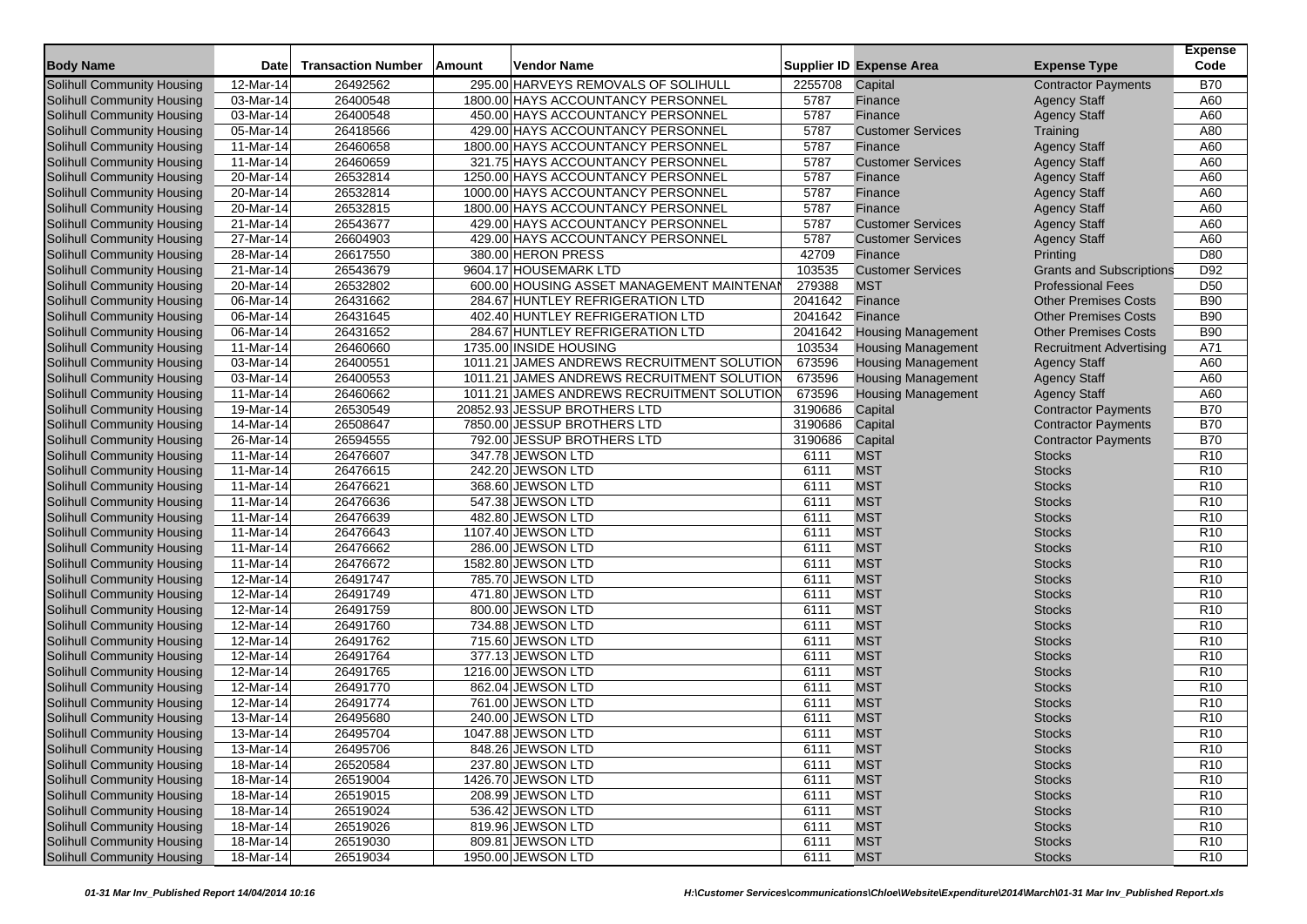|                                   |                         |                           |        |                                            |         |                                 |                                 | <b>Expense</b>  |
|-----------------------------------|-------------------------|---------------------------|--------|--------------------------------------------|---------|---------------------------------|---------------------------------|-----------------|
| <b>Body Name</b>                  | <b>Date</b>             | <b>Transaction Number</b> | Amount | Vendor Name                                |         | <b>Supplier ID Expense Area</b> | <b>Expense Type</b>             | Code            |
| <b>Solihull Community Housing</b> | 12-Mar-14               | 26492562                  |        | 295.00 HARVEYS REMOVALS OF SOLIHULL        | 2255708 | Capital                         | <b>Contractor Payments</b>      | <b>B70</b>      |
| Solihull Community Housing        | 03-Mar-14               | 26400548                  |        | 1800.00 HAYS ACCOUNTANCY PERSONNEL         | 5787    | Finance                         | <b>Agency Staff</b>             | A60             |
| Solihull Community Housing        | 03-Mar-14               | 26400548                  |        | 450.00 HAYS ACCOUNTANCY PERSONNEL          | 5787    | Finance                         | <b>Agency Staff</b>             | A60             |
| Solihull Community Housing        | 05-Mar-14               | 26418566                  |        | 429.00 HAYS ACCOUNTANCY PERSONNEL          | 5787    | <b>Customer Services</b>        | Training                        | A80             |
| Solihull Community Housing        | 11-Mar-14               | 26460658                  |        | 1800.00 HAYS ACCOUNTANCY PERSONNEL         | 5787    | Finance                         | <b>Agency Staff</b>             | A60             |
| Solihull Community Housing        | 11-Mar-14               | 26460659                  |        | 321.75 HAYS ACCOUNTANCY PERSONNEL          | 5787    | <b>Customer Services</b>        | <b>Agency Staff</b>             | A60             |
| Solihull Community Housing        | 20-Mar-14               | 26532814                  |        | 1250.00 HAYS ACCOUNTANCY PERSONNEL         | 5787    | Finance                         | <b>Agency Staff</b>             | A60             |
| Solihull Community Housing        | 20-Mar-14               | 26532814                  |        | 1000.00 HAYS ACCOUNTANCY PERSONNEL         | 5787    | Finance                         | <b>Agency Staff</b>             | A60             |
| <b>Solihull Community Housing</b> | 20-Mar-14               | 26532815                  |        | 1800.00 HAYS ACCOUNTANCY PERSONNEL         | 5787    | Finance                         | <b>Agency Staff</b>             | A60             |
| Solihull Community Housing        | 21-Mar-14               | 26543677                  |        | 429.00 HAYS ACCOUNTANCY PERSONNEL          | 5787    | <b>Customer Services</b>        | <b>Agency Staff</b>             | A60             |
| Solihull Community Housing        | 27-Mar-14               | 26604903                  |        | 429.00 HAYS ACCOUNTANCY PERSONNEL          | 5787    | <b>Customer Services</b>        | <b>Agency Staff</b>             | A60             |
| <b>Solihull Community Housing</b> | 28-Mar-14               | 26617550                  |        | 380.00 HERON PRESS                         | 42709   | Finance                         | Printing                        | D80             |
| Solihull Community Housing        | $21$ -Mar-14            | 26543679                  |        | 9604.17 HOUSEMARK LTD                      | 103535  | <b>Customer Services</b>        | <b>Grants and Subscriptions</b> | D92             |
| Solihull Community Housing        | 20-Mar-14               | 26532802                  |        | 600.00 HOUSING ASSET MANAGEMENT MAINTENAI  | 279388  | <b>MST</b>                      | <b>Professional Fees</b>        | D <sub>50</sub> |
| Solihull Community Housing        | 06-Mar-14               | 26431662                  |        | 284.67 HUNTLEY REFRIGERATION LTD           | 2041642 | Finance                         | <b>Other Premises Costs</b>     | <b>B90</b>      |
| Solihull Community Housing        | 06-Mar-14               | 26431645                  |        | 402.40 HUNTLEY REFRIGERATION LTD           | 2041642 | Finance                         | <b>Other Premises Costs</b>     | <b>B90</b>      |
| Solihull Community Housing        | 06-Mar-14               | 26431652                  |        | 284.67 HUNTLEY REFRIGERATION LTD           | 2041642 | <b>Housing Management</b>       | <b>Other Premises Costs</b>     | <b>B90</b>      |
| Solihull Community Housing        | 11-Mar-14               | 26460660                  |        | 1735.00 INSIDE HOUSING                     | 103534  | <b>Housing Management</b>       | <b>Recruitment Advertising</b>  | A71             |
| Solihull Community Housing        | 03-Mar-14               | 26400551                  |        | 1011.21 JAMES ANDREWS RECRUITMENT SOLUTION | 673596  | <b>Housing Management</b>       | <b>Agency Staff</b>             | A60             |
| Solihull Community Housing        | 03-Mar-14               | 26400553                  |        | 1011.21 JAMES ANDREWS RECRUITMENT SOLUTION | 673596  | <b>Housing Management</b>       | <b>Agency Staff</b>             | A60             |
| Solihull Community Housing        | 11-Mar-14               | 26460662                  |        | 1011.21 JAMES ANDREWS RECRUITMENT SOLUTION | 673596  | <b>Housing Management</b>       | <b>Agency Staff</b>             | A60             |
| Solihull Community Housing        | 19-Mar-14               | 26530549                  |        | 20852.93 JESSUP BROTHERS LTD               | 3190686 | Capital                         | <b>Contractor Payments</b>      | <b>B70</b>      |
| Solihull Community Housing        | 14-Mar-14               | 26508647                  |        | 7850.00 JESSUP BROTHERS LTD                | 3190686 | Capital                         | <b>Contractor Payments</b>      | <b>B70</b>      |
| Solihull Community Housing        | 26-Mar-14               | 26594555                  |        | 792.00 JESSUP BROTHERS LTD                 | 3190686 | Capital                         | <b>Contractor Payments</b>      | <b>B70</b>      |
| Solihull Community Housing        | 11-Mar-14               | 26476607                  |        | 347.78 JEWSON LTD                          | 6111    | <b>MST</b>                      | <b>Stocks</b>                   | R <sub>10</sub> |
| Solihull Community Housing        | 11-Mar-14               | 26476615                  |        | 242.20 JEWSON LTD                          | 6111    | <b>MST</b>                      | <b>Stocks</b>                   | R <sub>10</sub> |
| Solihull Community Housing        | 11-Mar-14               | 26476621                  |        | 368.60 JEWSON LTD                          | 6111    | <b>MST</b>                      | <b>Stocks</b>                   | R <sub>10</sub> |
| Solihull Community Housing        | 11-Mar-14               | 26476636                  |        | 547.38 JEWSON LTD                          | 6111    | <b>MST</b>                      | <b>Stocks</b>                   | R <sub>10</sub> |
| Solihull Community Housing        | 11-Mar-14               | 26476639                  |        | 482.80 JEWSON LTD                          | 6111    | <b>MST</b>                      | <b>Stocks</b>                   | R <sub>10</sub> |
| Solihull Community Housing        | 11-Mar-14               | 26476643                  |        | 1107.40 JEWSON LTD                         | 6111    | <b>MST</b>                      | <b>Stocks</b>                   | R <sub>10</sub> |
| Solihull Community Housing        | 11-Mar-14               | 26476662                  |        | 286.00 JEWSON LTD                          | 6111    | <b>MST</b>                      | <b>Stocks</b>                   | R <sub>10</sub> |
| Solihull Community Housing        | 11-Mar-14               | 26476672                  |        | 1582.80 JEWSON LTD                         | 6111    | <b>MST</b>                      | <b>Stocks</b>                   | R <sub>10</sub> |
| Solihull Community Housing        | 12-Mar-14               | 26491747                  |        | 785.70 JEWSON LTD                          | 6111    | <b>MST</b>                      | <b>Stocks</b>                   | R <sub>10</sub> |
| Solihull Community Housing        | $\overline{12}$ -Mar-14 | 26491749                  |        | 471.80 JEWSON LTD                          | 6111    | <b>MST</b>                      | <b>Stocks</b>                   | R <sub>10</sub> |
| Solihull Community Housing        | 12-Mar-14               | 26491759                  |        | 800.00 JEWSON LTD                          | 6111    | <b>MST</b>                      | <b>Stocks</b>                   | R <sub>10</sub> |
| Solihull Community Housing        | 12-Mar-14               | 26491760                  |        | 734.88 JEWSON LTD                          | 6111    | <b>MST</b>                      | <b>Stocks</b>                   | R <sub>10</sub> |
| Solihull Community Housing        | 12-Mar-14               | 26491762                  |        | 715.60 JEWSON LTD                          | 6111    | <b>MST</b>                      | <b>Stocks</b>                   | R <sub>10</sub> |
| Solihull Community Housing        | 12-Mar-14               | 26491764                  |        | 377.13 JEWSON LTD                          | 6111    | <b>MST</b>                      | <b>Stocks</b>                   | R <sub>10</sub> |
| <b>Solihull Community Housing</b> | 12-Mar-14               | 26491765                  |        | 1216.00 JEWSON LTD                         | 6111    | <b>MST</b>                      | <b>Stocks</b>                   | R <sub>10</sub> |
| Solihull Community Housing        | $\overline{12}$ -Mar-14 | 26491770                  |        | 862.04 JEWSON LTD                          | 6111    | <b>MST</b>                      | <b>Stocks</b>                   | R <sub>10</sub> |
| Solihull Community Housing        | 12-Mar-14               | 26491774                  |        | 761.00 JEWSON LTD                          | 6111    | <b>MST</b>                      | <b>Stocks</b>                   | R <sub>10</sub> |
| Solihull Community Housing        | 13-Mar-14               | 26495680                  |        | 240.00 JEWSON LTD                          | 6111    | <b>MST</b>                      | <b>Stocks</b>                   | R <sub>10</sub> |
| Solihull Community Housing        | 13-Mar-14               | 26495704                  |        | 1047.88 JEWSON LTD                         | 6111    | <b>MST</b>                      | <b>Stocks</b>                   | R <sub>10</sub> |
| Solihull Community Housing        | 13-Mar-14               | 26495706                  |        | 848.26 JEWSON LTD                          | 6111    | <b>MST</b>                      | <b>Stocks</b>                   | R <sub>10</sub> |
| Solihull Community Housing        | 18-Mar-14               | 26520584                  |        | 237.80 JEWSON LTD                          | 6111    | <b>MST</b>                      | <b>Stocks</b>                   | R <sub>10</sub> |
| Solihull Community Housing        | 18-Mar-14               | 26519004                  |        | 1426.70 JEWSON LTD                         | 6111    | <b>MST</b>                      | <b>Stocks</b>                   | R <sub>10</sub> |
| Solihull Community Housing        | 18-Mar-14               | 26519015                  |        | 208.99 JEWSON LTD                          | 6111    | <b>MST</b>                      | <b>Stocks</b>                   | R <sub>10</sub> |
| Solihull Community Housing        | 18-Mar-14               | 26519024                  |        | 536.42 JEWSON LTD                          | 6111    | <b>MST</b>                      | <b>Stocks</b>                   | R <sub>10</sub> |
| Solihull Community Housing        | 18-Mar-14               | 26519026                  |        | 819.96 JEWSON LTD                          | 6111    | <b>MST</b>                      | <b>Stocks</b>                   | R <sub>10</sub> |
| Solihull Community Housing        | 18-Mar-14               | 26519030                  |        | 809.81 JEWSON LTD                          | 6111    | <b>MST</b>                      | <b>Stocks</b>                   | R <sub>10</sub> |
| Solihull Community Housing        | 18-Mar-14               | 26519034                  |        | 1950.00 JEWSON LTD                         | 6111    | <b>MST</b>                      | <b>Stocks</b>                   | R <sub>10</sub> |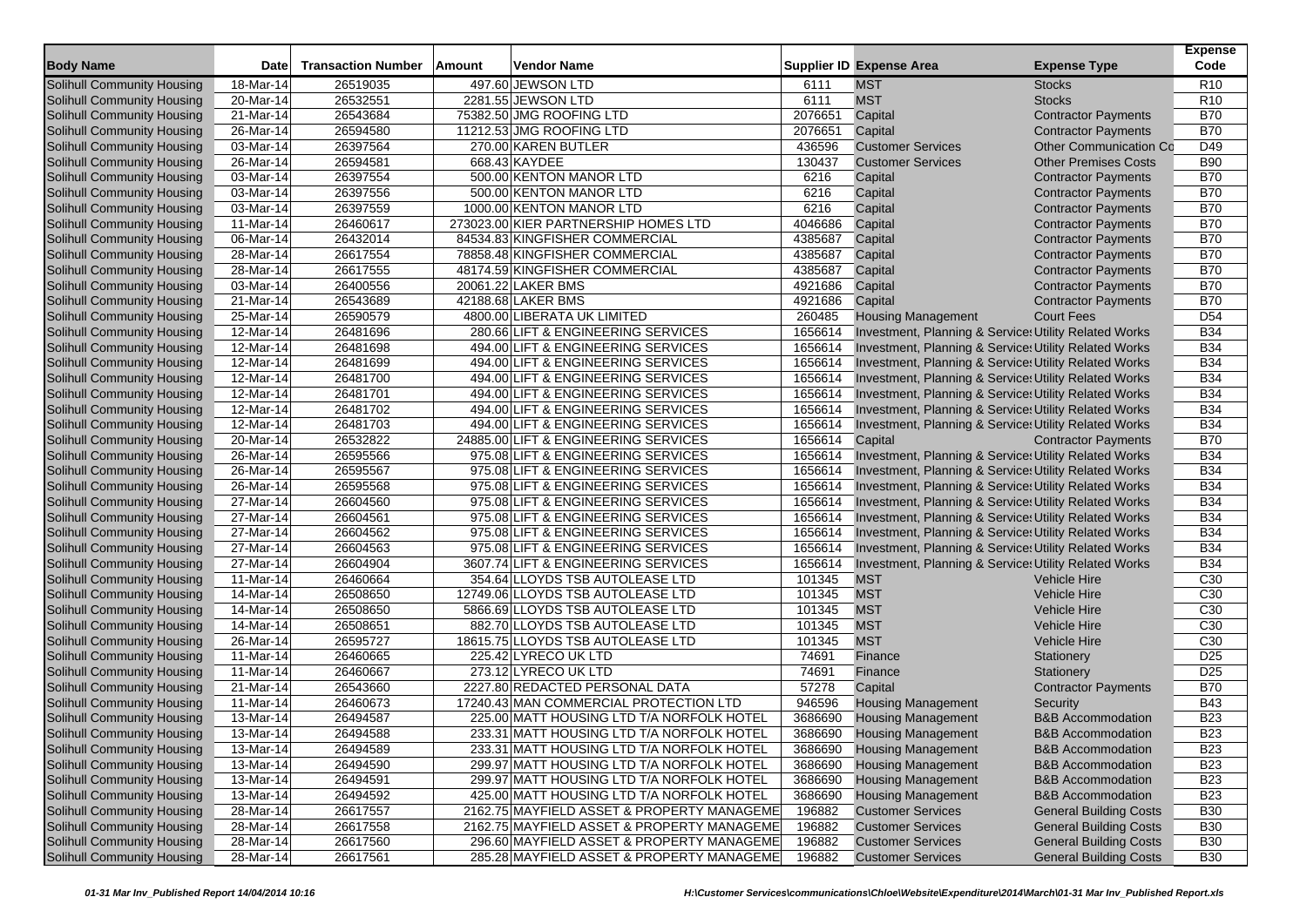|                                                          |                         |                           |               |                                                                                         |                  |                                                                  |                               | <b>Expense</b>  |
|----------------------------------------------------------|-------------------------|---------------------------|---------------|-----------------------------------------------------------------------------------------|------------------|------------------------------------------------------------------|-------------------------------|-----------------|
| <b>Body Name</b>                                         | Date                    | <b>Transaction Number</b> | <b>Amount</b> | Vendor Name                                                                             |                  | <b>Supplier ID Expense Area</b>                                  | <b>Expense Type</b>           | Code            |
| <b>Solihull Community Housing</b>                        | 18-Mar-14               | 26519035                  |               | 497.60 JEWSON LTD                                                                       | 6111             | <b>MST</b>                                                       | <b>Stocks</b>                 | R <sub>10</sub> |
| Solihull Community Housing                               | 20-Mar-14               | 26532551                  |               | 2281.55 JEWSON LTD                                                                      | 6111             | <b>MST</b>                                                       | <b>Stocks</b>                 | R <sub>10</sub> |
| Solihull Community Housing                               | 21-Mar-14               | 26543684                  |               | 75382.50 JMG ROOFING LTD                                                                | 2076651          | Capital                                                          | <b>Contractor Payments</b>    | <b>B70</b>      |
| Solihull Community Housing                               | 26-Mar-14               | 26594580                  |               | 11212.53 JMG ROOFING LTD                                                                | 2076651          | Capital                                                          | <b>Contractor Payments</b>    | <b>B70</b>      |
| Solihull Community Housing                               | 03-Mar-14               | 26397564                  |               | 270.00 KAREN BUTLER                                                                     | 436596           | <b>Customer Services</b>                                         | <b>Other Communication Co</b> | D49             |
| Solihull Community Housing                               | 26-Mar-14               | 26594581                  |               | 668.43 KAYDEE                                                                           | 130437           | <b>Customer Services</b>                                         | <b>Other Premises Costs</b>   | <b>B90</b>      |
| Solihull Community Housing                               | 03-Mar-14               | 26397554                  |               | 500.00 KENTON MANOR LTD                                                                 | 6216             | Capital                                                          | <b>Contractor Payments</b>    | <b>B70</b>      |
| Solihull Community Housing                               | 03-Mar-14               | 26397556                  |               | 500.00 KENTON MANOR LTD                                                                 | 6216             | Capital                                                          | <b>Contractor Payments</b>    | <b>B70</b>      |
| Solihull Community Housing                               | 03-Mar-14               | 26397559                  |               | 1000.00 KENTON MANOR LTD                                                                | 6216             | Capital                                                          | <b>Contractor Payments</b>    | <b>B70</b>      |
| Solihull Community Housing                               | 11-Mar-14               | 26460617                  |               | 273023.00 KIER PARTNERSHIP HOMES LTD                                                    | 4046686          | Capital                                                          | <b>Contractor Payments</b>    | <b>B70</b>      |
| Solihull Community Housing                               | 06-Mar-14               | 26432014                  |               | 84534.83 KINGFISHER COMMERCIAL                                                          | 4385687          | Capital                                                          | <b>Contractor Payments</b>    | <b>B70</b>      |
| Solihull Community Housing                               | 28-Mar-14               | 26617554                  |               | 78858.48 KINGFISHER COMMERCIAL                                                          | 4385687          | Capital                                                          | <b>Contractor Payments</b>    | <b>B70</b>      |
| Solihull Community Housing                               | 28-Mar-14               | 26617555                  |               | 48174.59 KINGFISHER COMMERCIAL                                                          | 4385687          | Capital                                                          | <b>Contractor Payments</b>    | <b>B70</b>      |
| Solihull Community Housing                               | 03-Mar-14               | 26400556                  |               | 20061.22 LAKER BMS                                                                      | 4921686          | Capital                                                          | <b>Contractor Payments</b>    | <b>B70</b>      |
| Solihull Community Housing                               | 21-Mar-14               | 26543689                  |               | 42188.68 LAKER BMS                                                                      | 4921686          | Capital                                                          | <b>Contractor Payments</b>    | <b>B70</b>      |
| Solihull Community Housing                               | 25-Mar-14               | 26590579                  |               | 4800.00 LIBERATA UK LIMITED                                                             | 260485           | <b>Housing Management</b>                                        | <b>Court Fees</b>             | D <sub>54</sub> |
| Solihull Community Housing                               | 12-Mar-14               | 26481696                  |               | 280.66 LIFT & ENGINEERING SERVICES                                                      | 1656614          | Investment, Planning & Service: Utility Related Works            |                               | <b>B34</b>      |
| Solihull Community Housing                               | $12-Mar-14$             | 26481698                  |               | 494.00 LIFT & ENGINEERING SERVICES                                                      | 1656614          | Investment, Planning & Service: Utility Related Works            |                               | <b>B34</b>      |
| Solihull Community Housing                               | 12-Mar-14               | 26481699                  |               | 494.00 LIFT & ENGINEERING SERVICES                                                      | 1656614          | Investment, Planning & Service: Utility Related Works            |                               | <b>B34</b>      |
| Solihull Community Housing                               | 12-Mar-14               | 26481700                  |               | 494.00 LIFT & ENGINEERING SERVICES                                                      | 1656614          | Investment, Planning & Service: Utility Related Works            |                               | <b>B34</b>      |
| Solihull Community Housing                               | 12-Mar-14               | 26481701                  |               | 494.00 LIFT & ENGINEERING SERVICES                                                      | 1656614          | Investment, Planning & Service: Utility Related Works            |                               | <b>B34</b>      |
| Solihull Community Housing                               | 12-Mar-14               | 26481702                  |               | 494.00 LIFT & ENGINEERING SERVICES                                                      | 1656614          | Investment, Planning & Service: Utility Related Works            |                               | <b>B34</b>      |
| Solihull Community Housing                               | 12-Mar-14               | 26481703                  |               | 494.00 LIFT & ENGINEERING SERVICES                                                      | 1656614          | Investment, Planning & Service: Utility Related Works            |                               | <b>B34</b>      |
| Solihull Community Housing                               | $\overline{20}$ -Mar-14 | 26532822                  |               | 24885.00 LIFT & ENGINEERING SERVICES                                                    | 1656614          | Capital                                                          | <b>Contractor Payments</b>    | <b>B70</b>      |
| Solihull Community Housing                               | 26-Mar-14               | 26595566                  |               | 975.08 LIFT & ENGINEERING SERVICES                                                      | 1656614          | Investment, Planning & Service: Utility Related Works            |                               | <b>B34</b>      |
| Solihull Community Housing                               | 26-Mar-14               | 26595567                  |               | 975.08 LIFT & ENGINEERING SERVICES                                                      | 1656614          | Investment, Planning & Service: Utility Related Works            |                               | <b>B34</b>      |
| Solihull Community Housing                               | 26-Mar-14               | 26595568                  |               | 975.08 LIFT & ENGINEERING SERVICES                                                      | 1656614          | <b>Investment, Planning &amp; Service: Utility Related Works</b> |                               | <b>B34</b>      |
| Solihull Community Housing                               | 27-Mar-14               | 26604560                  |               | 975.08 LIFT & ENGINEERING SERVICES                                                      | 1656614          | Investment, Planning & Service: Utility Related Works            |                               | <b>B34</b>      |
| Solihull Community Housing                               | 27-Mar-14               | 26604561                  |               | 975.08 LIFT & ENGINEERING SERVICES                                                      | 1656614          | Investment, Planning & Service: Utility Related Works            |                               | <b>B34</b>      |
| Solihull Community Housing                               | 27-Mar-14               | 26604562                  |               | 975.08 LIFT & ENGINEERING SERVICES                                                      | 1656614          | Investment, Planning & Service: Utility Related Works            |                               | <b>B34</b>      |
| Solihull Community Housing                               | 27-Mar-14               | 26604563                  |               | 975.08 LIFT & ENGINEERING SERVICES                                                      | 1656614          | Investment, Planning & Service: Utility Related Works            |                               | <b>B34</b>      |
| Solihull Community Housing                               | 27-Mar-14               | 26604904                  |               | 3607.74 LIFT & ENGINEERING SERVICES                                                     | 1656614          | Investment, Planning & Service: Utility Related Works            |                               | <b>B34</b>      |
| Solihull Community Housing                               | 11-Mar-14               | 26460664                  |               | 354.64 LLOYDS TSB AUTOLEASE LTD                                                         | 101345           | <b>MST</b>                                                       | <b>Vehicle Hire</b>           | C <sub>30</sub> |
| Solihull Community Housing                               | 14-Mar-14               | 26508650                  |               | 12749.06 LLOYDS TSB AUTOLEASE LTD                                                       | 101345           | <b>MST</b>                                                       | <b>Vehicle Hire</b>           | C <sub>30</sub> |
| Solihull Community Housing                               | 14-Mar-14               | 26508650                  |               | 5866.69 LLOYDS TSB AUTOLEASE LTD                                                        | 101345           | <b>MST</b>                                                       | <b>Vehicle Hire</b>           | C <sub>30</sub> |
| Solihull Community Housing                               | 14-Mar-14               | 26508651                  |               | 882.70 LLOYDS TSB AUTOLEASE LTD                                                         | 101345           | <b>MST</b>                                                       | <b>Vehicle Hire</b>           | C30             |
| Solihull Community Housing                               | 26-Mar-14               | 26595727                  |               | 18615.75 LLOYDS TSB AUTOLEASE LTD                                                       | 101345           | <b>MST</b>                                                       | <b>Vehicle Hire</b>           | C <sub>30</sub> |
| Solihull Community Housing                               | 11-Mar-14               | 26460665                  |               | 225.42 LYRECO UK LTD                                                                    | 74691            | Finance                                                          | Stationery                    | D <sub>25</sub> |
| Solihull Community Housing                               | 11-Mar-14               | 26460667                  |               | 273.12 LYRECO UK LTD                                                                    | 74691            | Finance                                                          | Stationery                    | D <sub>25</sub> |
| Solihull Community Housing                               | 21-Mar-14               | 26543660                  |               | 2227.80 REDACTED PERSONAL DATA                                                          | 57278            | Capital                                                          | <b>Contractor Payments</b>    | <b>B70</b>      |
| Solihull Community Housing                               | 11-Mar-14               | 26460673                  |               | 17240.43 MAN COMMERCIAL PROTECTION LTD                                                  | 946596           | <b>Housing Management</b>                                        | Security                      | <b>B43</b>      |
| Solihull Community Housing                               | 13-Mar-14               | 26494587                  |               | 225.00 MATT HOUSING LTD T/A NORFOLK HOTEL                                               | 3686690          | <b>Housing Management</b>                                        | <b>B&amp;B Accommodation</b>  | <b>B23</b>      |
| <b>Solihull Community Housing</b>                        | 13-Mar-14               | 26494588                  |               | 233.31 MATT HOUSING LTD T/A NORFOLK HOTEL                                               | 3686690          | <b>Housing Management</b>                                        | <b>B&amp;B Accommodation</b>  | <b>B23</b>      |
| Solihull Community Housing                               | 13-Mar-14               | 26494589                  |               | 233.31 MATT HOUSING LTD T/A NORFOLK HOTEL                                               | 3686690          | <b>Housing Management</b>                                        | <b>B&amp;B Accommodation</b>  | <b>B23</b>      |
| Solihull Community Housing                               | 13-Mar-14               | 26494590                  |               | 299.97 MATT HOUSING LTD T/A NORFOLK HOTEL                                               | 3686690          | <b>Housing Management</b>                                        | <b>B&amp;B Accommodation</b>  | <b>B23</b>      |
| Solihull Community Housing                               | 13-Mar-14               | 26494591                  |               | 299.97 MATT HOUSING LTD T/A NORFOLK HOTEL                                               | 3686690          | <b>Housing Management</b>                                        | <b>B&amp;B Accommodation</b>  | <b>B23</b>      |
| Solihull Community Housing                               | 13-Mar-14               | 26494592                  |               | 425.00 MATT HOUSING LTD T/A NORFOLK HOTEL                                               | 3686690          | <b>Housing Management</b>                                        | <b>B&amp;B Accommodation</b>  | <b>B23</b>      |
| Solihull Community Housing                               | 28-Mar-14               | 26617557                  |               | 2162.75 MAYFIELD ASSET & PROPERTY MANAGEME                                              | 196882           | <b>Customer Services</b>                                         | <b>General Building Costs</b> | <b>B30</b>      |
| Solihull Community Housing                               | 28-Mar-14               |                           |               |                                                                                         | 196882           | <b>Customer Services</b>                                         | <b>General Building Costs</b> | <b>B30</b>      |
|                                                          |                         | 26617558<br>26617560      |               | 2162.75 MAYFIELD ASSET & PROPERTY MANAGEME<br>296.60 MAYFIELD ASSET & PROPERTY MANAGEME |                  | <b>Customer Services</b>                                         | <b>General Building Costs</b> | <b>B30</b>      |
| Solihull Community Housing<br>Solihull Community Housing | 28-Mar-14<br>28-Mar-14  | 26617561                  |               | 285.28 MAYFIELD ASSET & PROPERTY MANAGEME                                               | 196882<br>196882 | <b>Customer Services</b>                                         | <b>General Building Costs</b> | <b>B30</b>      |
|                                                          |                         |                           |               |                                                                                         |                  |                                                                  |                               |                 |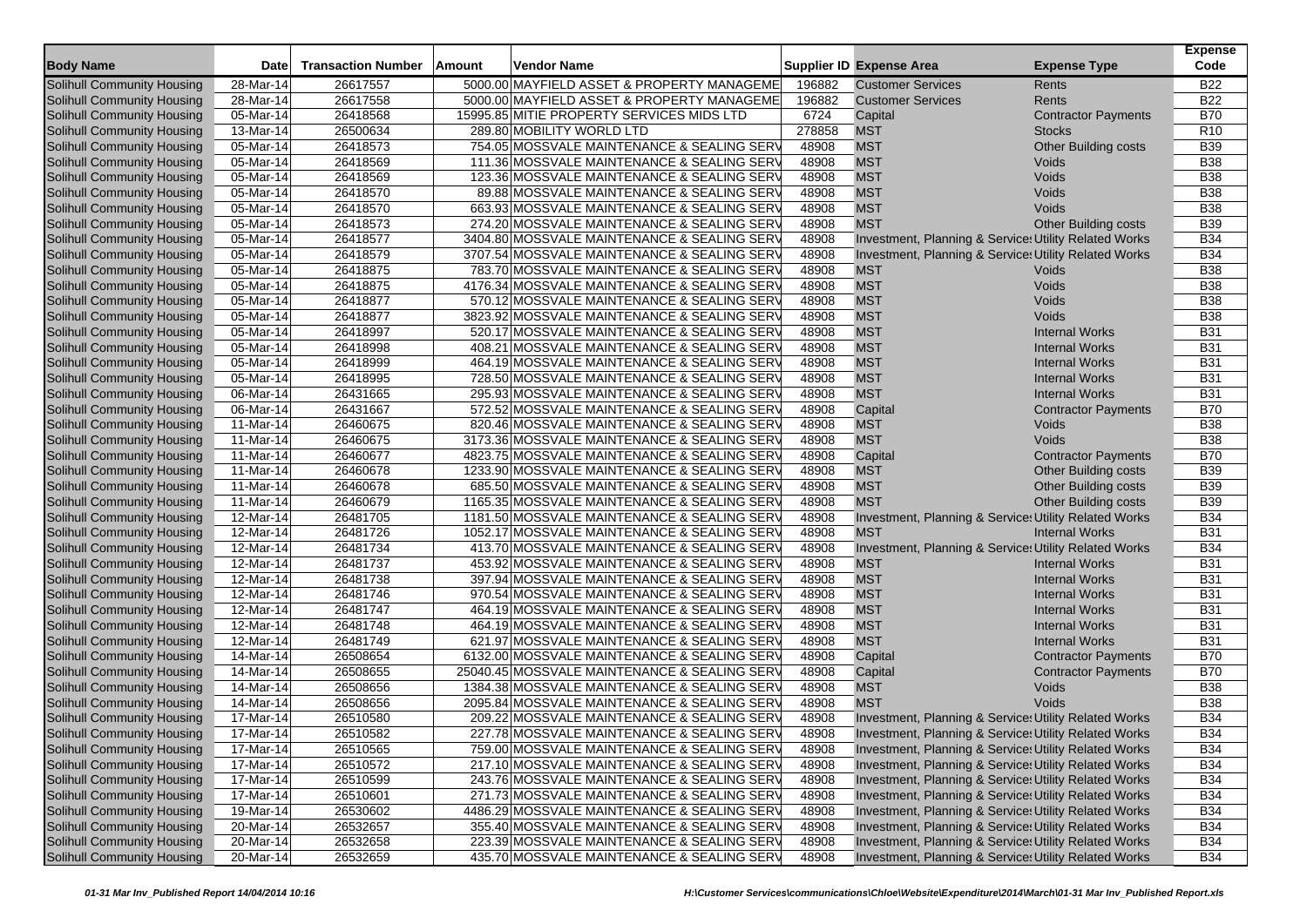|                                                                                                                                                                                                                           | Code                     |
|---------------------------------------------------------------------------------------------------------------------------------------------------------------------------------------------------------------------------|--------------------------|
| <b>Body Name</b><br>Date<br><b>Transaction Number</b><br>Amount<br><b>Vendor Name</b><br><b>Supplier ID Expense Area</b><br><b>Expense Type</b><br>5000.00 MAYFIELD ASSET & PROPERTY MANAGEME<br><b>Customer Services</b> | <b>B22</b>               |
| Solihull Community Housing<br>28-Mar-14<br>26617557<br>196882<br>Rents                                                                                                                                                    |                          |
| 5000.00 MAYFIELD ASSET & PROPERTY MANAGEME<br>196882<br>Solihull Community Housing<br>28-Mar-14<br>26617558<br><b>Customer Services</b><br>Rents                                                                          | <b>B22</b><br><b>B70</b> |
| 26418568<br>Solihull Community Housing<br>05-Mar-14<br>15995.85 MITIE PROPERTY SERVICES MIDS LTD<br>6724<br>Capital<br><b>Contractor Payments</b><br>289.80 MOBILITY WORLD LTD                                            |                          |
| Solihull Community Housing<br>13-Mar-14<br>26500634<br>278858<br><b>MST</b><br><b>Stocks</b>                                                                                                                              | R <sub>10</sub>          |
| <b>MST</b><br>26418573<br>754.05 MOSSVALE MAINTENANCE & SEALING SERV<br>48908<br>Solihull Community Housing<br>05-Mar-14<br><b>Other Building costs</b><br><b>MST</b>                                                     | <b>B39</b><br><b>B38</b> |
| 26418569<br>Solihull Community Housing<br>05-Mar-14<br>111.36 MOSSVALE MAINTENANCE & SEALING SERV<br>48908<br>Voids                                                                                                       |                          |
| <b>MST</b><br>Solihull Community Housing<br>05-Mar-14<br>26418569<br>123.36 MOSSVALE MAINTENANCE & SEALING SERV<br>48908<br>Voids                                                                                         | <b>B38</b>               |
| <b>MST</b><br>Solihull Community Housing<br>05-Mar-14<br>26418570<br>89.88 MOSSVALE MAINTENANCE & SEALING SERV<br>48908<br>Voids                                                                                          | <b>B38</b>               |
| 26418570<br><b>MST</b><br>Voids<br><b>Solihull Community Housing</b><br>05-Mar-14<br>663.93 MOSSVALE MAINTENANCE & SEALING SERV<br>48908                                                                                  | <b>B38</b>               |
| <b>MST</b><br>Solihull Community Housing<br>05-Mar-14<br>26418573<br>274.20 MOSSVALE MAINTENANCE & SEALING SERV<br>48908<br><b>Other Building costs</b>                                                                   | <b>B39</b>               |
| 26418577<br>Solihull Community Housing<br>$\overline{0}$ 5-Mar-14<br>3404.80 MOSSVALE MAINTENANCE & SEALING SERV<br>48908<br>Investment, Planning & Service: Utility Related Works                                        | <b>B34</b>               |
| 26418579<br>Investment, Planning & Service: Utility Related Works<br>Solihull Community Housing<br>05-Mar-14<br>3707.54 MOSSVALE MAINTENANCE & SEALING SER\<br>48908                                                      | <b>B34</b>               |
| 26418875<br>783.70 MOSSVALE MAINTENANCE & SEALING SERV<br>48908<br><b>MST</b><br>Solihull Community Housing<br>05-Mar-14<br>Voids                                                                                         | <b>B38</b>               |
| 4176.34 MOSSVALE MAINTENANCE & SEALING SERV<br>48908<br><b>MST</b><br>Solihull Community Housing<br>05-Mar-14<br>26418875<br>Voids                                                                                        | <b>B38</b>               |
| <b>MST</b><br>Solihull Community Housing<br>05-Mar-14<br>26418877<br>570.12 MOSSVALE MAINTENANCE & SEALING SERV<br>48908<br>Voids                                                                                         | <b>B38</b>               |
| 26418877<br>3823.92 MOSSVALE MAINTENANCE & SEALING SERV<br>48908<br><b>MST</b><br>Solihull Community Housing<br>05-Mar-14<br>Voids                                                                                        | <b>B38</b>               |
| 520.17 MOSSVALE MAINTENANCE & SEALING SER\<br>48908<br><b>MST</b><br>Solihull Community Housing<br>05-Mar-14<br>26418997<br><b>Internal Works</b>                                                                         | <b>B31</b>               |
| <b>MST</b><br>Solihull Community Housing<br>05-Mar-14<br>26418998<br>408.21 MOSSVALE MAINTENANCE & SEALING SERV<br>48908<br><b>Internal Works</b>                                                                         | <b>B31</b>               |
| 26418999<br>464.19 MOSSVALE MAINTENANCE & SEALING SERV<br>48908<br><b>MST</b><br>Solihull Community Housing<br>05-Mar-14<br><b>Internal Works</b>                                                                         | <b>B31</b>               |
| 26418995<br><b>MST</b><br>Solihull Community Housing<br>05-Mar-14<br>728.50 MOSSVALE MAINTENANCE & SEALING SERV<br>48908<br><b>Internal Works</b>                                                                         | <b>B31</b>               |
| <b>MST</b><br>Solihull Community Housing<br>06-Mar-14<br>26431665<br>295.93 MOSSVALE MAINTENANCE & SEALING SERV<br>48908<br><b>Internal Works</b>                                                                         | <b>B31</b>               |
| Solihull Community Housing<br>06-Mar-14<br>26431667<br>572.52 MOSSVALE MAINTENANCE & SEALING SERV<br>48908<br>Capital<br><b>Contractor Payments</b>                                                                       | <b>B70</b>               |
| <b>MST</b><br>Solihull Community Housing<br>11-Mar-14<br>26460675<br>820.46 MOSSVALE MAINTENANCE & SEALING SERV<br>48908<br>Voids                                                                                         | <b>B38</b>               |
| <b>Solihull Community Housing</b><br>26460675<br><b>MST</b><br>Voids<br>11-Mar-14<br>3173.36 MOSSVALE MAINTENANCE & SEALING SERV<br>48908                                                                                 | <b>B38</b>               |
| 26460677<br><b>Contractor Payments</b><br>Solihull Community Housing<br>11-Mar-14<br>4823.75 MOSSVALE MAINTENANCE & SEALING SERV<br>48908<br>Capital                                                                      | <b>B70</b>               |
| Other Building costs<br><b>Solihull Community Housing</b><br>11-Mar-14<br>26460678<br>1233.90 MOSSVALE MAINTENANCE & SEALING SERV<br>48908<br><b>MST</b>                                                                  | <b>B39</b>               |
| 26460678<br>48908<br><b>MST</b><br>Solihull Community Housing<br>11-Mar-14<br>685.50 MOSSVALE MAINTENANCE & SEALING SERV<br><b>Other Building costs</b>                                                                   | <b>B39</b>               |
| 26460679<br><b>MST</b><br>Solihull Community Housing<br>11-Mar-14<br>1165.35 MOSSVALE MAINTENANCE & SEALING SERV<br>48908<br><b>Other Building costs</b>                                                                  | <b>B39</b>               |
| 26481705<br>48908<br>Solihull Community Housing<br>12-Mar-14<br>1181.50 MOSSVALE MAINTENANCE & SEALING SERV<br>Investment, Planning & Service: Utility Related Works                                                      | <b>B34</b>               |
| 12-Mar-14<br>26481726<br>1052.17 MOSSVALE MAINTENANCE & SEALING SERV<br>48908<br><b>MST</b><br>Solihull Community Housing<br><b>Internal Works</b>                                                                        | <b>B31</b>               |
| 26481734<br>413.70 MOSSVALE MAINTENANCE & SEALING SERV<br>48908<br>Solihull Community Housing<br>12-Mar-14<br>Investment, Planning & Service: Utility Related Works                                                       | <b>B34</b>               |
| <b>MST</b><br>Solihull Community Housing<br>12-Mar-14<br>26481737<br>453.92 MOSSVALE MAINTENANCE & SEALING SERV<br>48908<br><b>Internal Works</b>                                                                         | <b>B31</b>               |
| 12-Mar-14<br>26481738<br>397.94 MOSSVALE MAINTENANCE & SEALING SERV<br>48908<br><b>MST</b><br>Solihull Community Housing<br><b>Internal Works</b>                                                                         | <b>B31</b>               |
| <b>MST</b><br>Solihull Community Housing<br>12-Mar-14<br>26481746<br>970.54 MOSSVALE MAINTENANCE & SEALING SERV<br>48908<br><b>Internal Works</b>                                                                         | <b>B31</b>               |
| <b>MST</b><br>Solihull Community Housing<br>12-Mar-14<br>26481747<br>464.19 MOSSVALE MAINTENANCE & SEALING SERV<br>48908<br><b>Internal Works</b>                                                                         | <b>B31</b>               |
| 12-Mar-14<br>26481748<br>48908<br><b>MST</b><br>Solihull Community Housing<br>464.19 MOSSVALE MAINTENANCE & SEALING SERV<br><b>Internal Works</b>                                                                         | <b>B31</b>               |
| <b>MST</b><br><b>Internal Works</b><br>Solihull Community Housing<br>12-Mar-14<br>26481749<br>621.97 MOSSVALE MAINTENANCE & SEALING SERV<br>48908                                                                         | <b>B31</b>               |
| Solihull Community Housing<br>26508654<br>6132.00 MOSSVALE MAINTENANCE & SEALING SERV<br>48908<br>Capital<br><b>Contractor Payments</b><br>14-Mar-14                                                                      | <b>B70</b>               |
| $14$ -Mar-14<br>Solihull Community Housing<br>26508655<br>25040.45 MOSSVALE MAINTENANCE & SEALING SERV<br>48908<br>Capital<br><b>Contractor Payments</b>                                                                  | <b>B70</b>               |
| <b>MST</b><br>Solihull Community Housing<br>14-Mar-14<br>26508656<br>1384.38 MOSSVALE MAINTENANCE & SEALING SERV<br>48908<br>Voids                                                                                        | <b>B38</b>               |
| 26508656<br>48908<br><b>MST</b><br>Voids<br>Solihull Community Housing<br>14-Mar-14<br>2095.84 MOSSVALE MAINTENANCE & SEALING SERV                                                                                        | <b>B38</b>               |
| 17-Mar-14<br>26510580<br>209.22 MOSSVALE MAINTENANCE & SEALING SER\<br>48908<br>Investment, Planning & Service: Utility Related Works<br>Solihull Community Housing                                                       | <b>B34</b>               |
| Solihull Community Housing<br>26510582<br>227.78 MOSSVALE MAINTENANCE & SEALING SERV<br>48908<br>Investment, Planning & Service: Utility Related Works<br>17-Mar-14                                                       | <b>B34</b>               |
| 759.00 MOSSVALE MAINTENANCE & SEALING SERV<br>Solihull Community Housing<br>17-Mar-14<br>26510565<br>48908<br>Investment, Planning & Service: Utility Related Works                                                       | <b>B34</b>               |
| Solihull Community Housing<br>17-Mar-14<br>26510572<br>217.10 MOSSVALE MAINTENANCE & SEALING SERV<br>48908<br>Investment, Planning & Service: Utility Related Works                                                       | <b>B34</b>               |
| Solihull Community Housing<br>Investment, Planning & Service: Utility Related Works<br>17-Mar-14<br>26510599<br>243.76 MOSSVALE MAINTENANCE & SEALING SERV<br>48908                                                       | <b>B34</b>               |
| Solihull Community Housing<br>26510601<br>48908<br>Investment, Planning & Service: Utility Related Works<br>17-Mar-14<br>271.73 MOSSVALE MAINTENANCE & SEALING SERV                                                       | <b>B34</b>               |
| Solihull Community Housing<br>19-Mar-14<br>48908<br>Investment, Planning & Service: Utility Related Works<br>26530602<br>4486.29 MOSSVALE MAINTENANCE & SEALING SERV                                                      | <b>B34</b>               |
| Solihull Community Housing<br>Investment, Planning & Service: Utility Related Works<br>20-Mar-14<br>26532657<br>355.40 MOSSVALE MAINTENANCE & SEALING SERV<br>48908                                                       | <b>B34</b>               |
| Solihull Community Housing<br>26532658<br>48908<br>20-Mar-14<br>223.39 MOSSVALE MAINTENANCE & SEALING SERV<br>Investment, Planning & Service: Utility Related Works                                                       | <b>B34</b>               |
| Solihull Community Housing<br>20-Mar-14<br>26532659<br>48908<br>435.70 MOSSVALE MAINTENANCE & SEALING SERV<br>Investment, Planning & Service: Utility Related Works                                                       | <b>B34</b>               |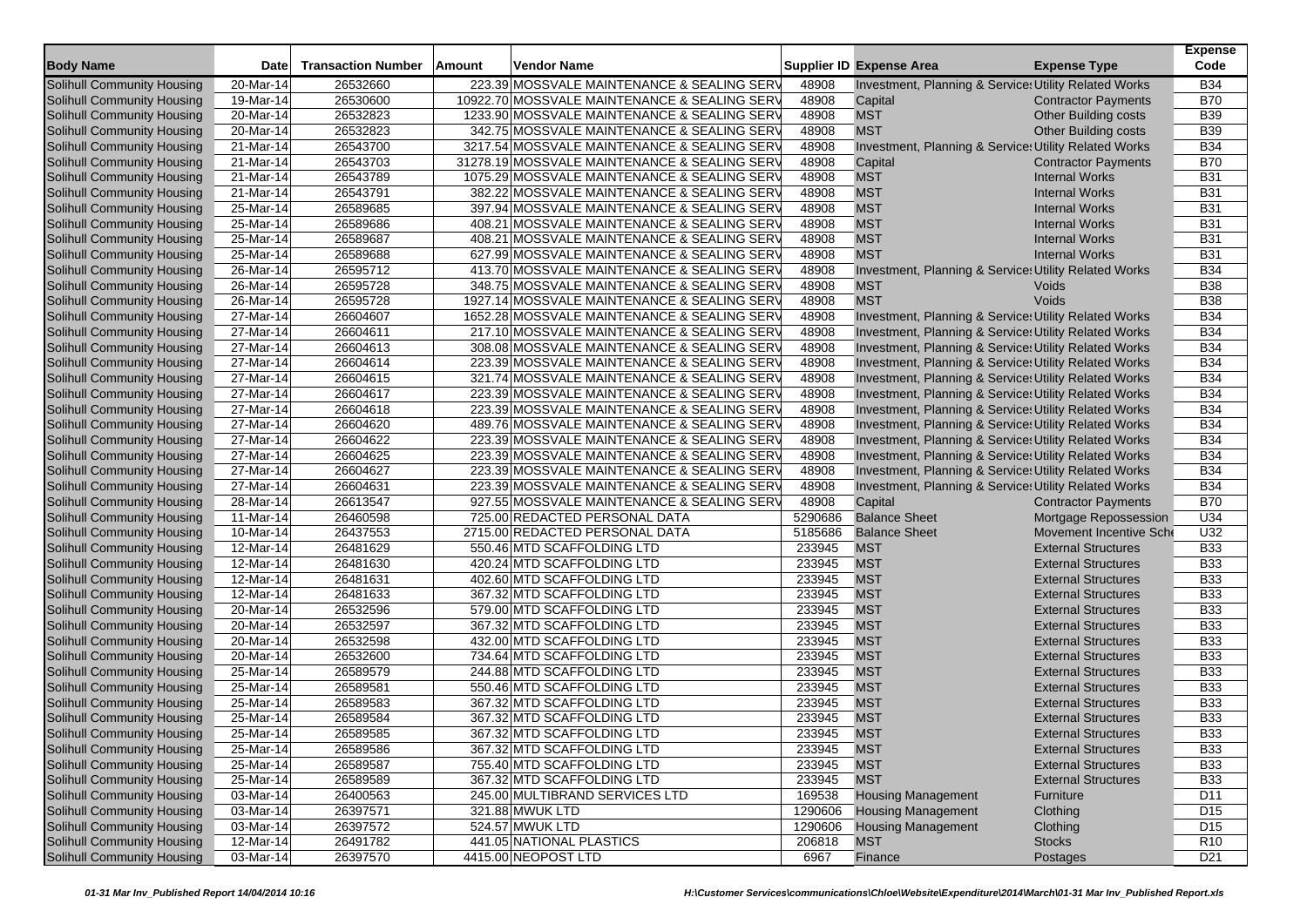|                                   |              |                           |        |                                              |         |                                                       |                             | <b>Expense</b>  |
|-----------------------------------|--------------|---------------------------|--------|----------------------------------------------|---------|-------------------------------------------------------|-----------------------------|-----------------|
| <b>Body Name</b>                  | <b>Date</b>  | <b>Transaction Number</b> | Amount | Vendor Name                                  |         | <b>Supplier ID Expense Area</b>                       | <b>Expense Type</b>         | Code            |
| Solihull Community Housing        | 20-Mar-14    | 26532660                  |        | 223.39 MOSSVALE MAINTENANCE & SEALING SERV   | 48908   | Investment, Planning & Service: Utility Related Works |                             | <b>B34</b>      |
| Solihull Community Housing        | 19-Mar-14    | 26530600                  |        | 10922.70 MOSSVALE MAINTENANCE & SEALING SERV | 48908   | Capital                                               | <b>Contractor Payments</b>  | <b>B70</b>      |
| Solihull Community Housing        | 20-Mar-14    | 26532823                  |        | 1233.90 MOSSVALE MAINTENANCE & SEALING SERV  | 48908   | <b>MST</b>                                            | <b>Other Building costs</b> | <b>B39</b>      |
| Solihull Community Housing        | 20-Mar-14    | 26532823                  |        | 342.75 MOSSVALE MAINTENANCE & SEALING SERV   | 48908   | <b>MST</b>                                            | <b>Other Building costs</b> | <b>B39</b>      |
| Solihull Community Housing        | 21-Mar-14    | 26543700                  |        | 3217.54 MOSSVALE MAINTENANCE & SEALING SERV  | 48908   | Investment, Planning & Service: Utility Related Works |                             | <b>B34</b>      |
| Solihull Community Housing        | 21-Mar-14    | 26543703                  |        | 31278.19 MOSSVALE MAINTENANCE & SEALING SERV | 48908   | Capital                                               | <b>Contractor Payments</b>  | <b>B70</b>      |
| Solihull Community Housing        | 21-Mar-14    | 26543789                  |        | 1075.29 MOSSVALE MAINTENANCE & SEALING SERV  | 48908   | <b>MST</b>                                            | <b>Internal Works</b>       | <b>B31</b>      |
| Solihull Community Housing        | 21-Mar-14    | 26543791                  |        | 382.22 MOSSVALE MAINTENANCE & SEALING SERV   | 48908   | <b>MST</b>                                            | <b>Internal Works</b>       | <b>B31</b>      |
| Solihull Community Housing        | 25-Mar-14    | 26589685                  |        | 397.94 MOSSVALE MAINTENANCE & SEALING SERV   | 48908   | <b>MST</b>                                            | <b>Internal Works</b>       | <b>B31</b>      |
| Solihull Community Housing        | $25$ -Mar-14 | 26589686                  |        | 408.21 MOSSVALE MAINTENANCE & SEALING SERV   | 48908   | <b>MST</b>                                            | <b>Internal Works</b>       | <b>B31</b>      |
| Solihull Community Housing        | 25-Mar-14    | 26589687                  |        | 408.21 MOSSVALE MAINTENANCE & SEALING SERV   | 48908   | <b>MST</b>                                            | <b>Internal Works</b>       | <b>B31</b>      |
| Solihull Community Housing        | $25$ -Mar-14 | 26589688                  |        | 627.99 MOSSVALE MAINTENANCE & SEALING SERV   | 48908   | <b>MST</b>                                            | <b>Internal Works</b>       | <b>B31</b>      |
| Solihull Community Housing        | 26-Mar-14    | 26595712                  |        | 413.70 MOSSVALE MAINTENANCE & SEALING SERV   | 48908   | Investment, Planning & Service: Utility Related Works |                             | <b>B34</b>      |
| Solihull Community Housing        | 26-Mar-14    | 26595728                  |        | 348.75 MOSSVALE MAINTENANCE & SEALING SERV   | 48908   | <b>MST</b>                                            | Voids                       | <b>B38</b>      |
| Solihull Community Housing        | 26-Mar-14    | 26595728                  |        | 1927.14 MOSSVALE MAINTENANCE & SEALING SERV  | 48908   | <b>MST</b>                                            | Voids                       | <b>B38</b>      |
| Solihull Community Housing        | 27-Mar-14    | 26604607                  |        | 1652.28 MOSSVALE MAINTENANCE & SEALING SERV  | 48908   | Investment, Planning & Service: Utility Related Works |                             | <b>B34</b>      |
| Solihull Community Housing        | 27-Mar-14    | 26604611                  |        | 217.10 MOSSVALE MAINTENANCE & SEALING SERV   | 48908   | Investment, Planning & Service: Utility Related Works |                             | <b>B34</b>      |
| Solihull Community Housing        | 27-Mar-14    | 26604613                  |        | 308.08 MOSSVALE MAINTENANCE & SEALING SERV   | 48908   | Investment, Planning & Service: Utility Related Works |                             | <b>B34</b>      |
| Solihull Community Housing        | 27-Mar-14    | 26604614                  |        | 223.39 MOSSVALE MAINTENANCE & SEALING SERV   | 48908   | Investment, Planning & Service: Utility Related Works |                             | <b>B34</b>      |
| Solihull Community Housing        | 27-Mar-14    | 26604615                  |        | 321.74 MOSSVALE MAINTENANCE & SEALING SERV   | 48908   | Investment, Planning & Service: Utility Related Works |                             | <b>B34</b>      |
| Solihull Community Housing        | 27-Mar-14    | 26604617                  |        | 223.39 MOSSVALE MAINTENANCE & SEALING SERV   | 48908   | Investment, Planning & Service: Utility Related Works |                             | <b>B34</b>      |
| Solihull Community Housing        | 27-Mar-14    | 26604618                  |        | 223.39 MOSSVALE MAINTENANCE & SEALING SERV   | 48908   | Investment, Planning & Service: Utility Related Works |                             | <b>B34</b>      |
| Solihull Community Housing        | 27-Mar-14    | 26604620                  |        | 489.76 MOSSVALE MAINTENANCE & SEALING SERV   | 48908   | Investment, Planning & Service: Utility Related Works |                             | <b>B34</b>      |
| Solihull Community Housing        | 27-Mar-14    | 26604622                  |        | 223.39 MOSSVALE MAINTENANCE & SEALING SERV   | 48908   | Investment, Planning & Service: Utility Related Works |                             | <b>B34</b>      |
| Solihull Community Housing        | 27-Mar-14    | 26604625                  |        | 223.39 MOSSVALE MAINTENANCE & SEALING SERV   | 48908   | Investment, Planning & Service: Utility Related Works |                             | <b>B34</b>      |
| Solihull Community Housing        | 27-Mar-14    | 26604627                  |        | 223.39 MOSSVALE MAINTENANCE & SEALING SERV   | 48908   | Investment, Planning & Service: Utility Related Works |                             | <b>B34</b>      |
| Solihull Community Housing        | 27-Mar-14    | 26604631                  |        | 223.39 MOSSVALE MAINTENANCE & SEALING SERV   | 48908   | Investment, Planning & Service: Utility Related Works |                             | <b>B34</b>      |
| Solihull Community Housing        | 28-Mar-14    | 26613547                  |        | 927.55 MOSSVALE MAINTENANCE & SEALING SERV   | 48908   | Capital                                               | <b>Contractor Payments</b>  | <b>B70</b>      |
| Solihull Community Housing        | 11-Mar-14    | 26460598                  |        | 725.00 REDACTED PERSONAL DATA                | 5290686 | <b>Balance Sheet</b>                                  | Mortgage Repossession       | U34             |
| Solihull Community Housing        | 10-Mar-14    | 26437553                  |        | 2715.00 REDACTED PERSONAL DATA               | 5185686 | <b>Balance Sheet</b>                                  | Movement Incentive Sche     | U32             |
| Solihull Community Housing        | 12-Mar-14    | 26481629                  |        | 550.46 MTD SCAFFOLDING LTD                   | 233945  | <b>MST</b>                                            | <b>External Structures</b>  | <b>B33</b>      |
| Solihull Community Housing        | 12-Mar-14    | 26481630                  |        | 420.24 MTD SCAFFOLDING LTD                   | 233945  | <b>MST</b>                                            | <b>External Structures</b>  | <b>B33</b>      |
| Solihull Community Housing        | 12-Mar-14    | 26481631                  |        | 402.60 MTD SCAFFOLDING LTD                   | 233945  | <b>MST</b>                                            | <b>External Structures</b>  | <b>B33</b>      |
| Solihull Community Housing        | 12-Mar-14    | 26481633                  |        | 367.32 MTD SCAFFOLDING LTD                   | 233945  | <b>MST</b>                                            | <b>External Structures</b>  | <b>B33</b>      |
| Solihull Community Housing        | 20-Mar-14    | 26532596                  |        | 579.00 MTD SCAFFOLDING LTD                   | 233945  | <b>MST</b>                                            | <b>External Structures</b>  | <b>B33</b>      |
| Solihull Community Housing        | 20-Mar-14    | 26532597                  |        | 367.32 MTD SCAFFOLDING LTD                   | 233945  | <b>MST</b>                                            | <b>External Structures</b>  | <b>B33</b>      |
| Solihull Community Housing        | 20-Mar-14    | 26532598                  |        | 432.00 MTD SCAFFOLDING LTD                   | 233945  | <b>MST</b>                                            | <b>External Structures</b>  | <b>B33</b>      |
| Solihull Community Housing        | 20-Mar-14    | 26532600                  |        | 734.64 MTD SCAFFOLDING LTD                   | 233945  | <b>MST</b>                                            | <b>External Structures</b>  | <b>B33</b>      |
| <b>Solihull Community Housing</b> | 25-Mar-14    | 26589579                  |        | 244.88 MTD SCAFFOLDING LTD                   | 233945  | <b>MST</b>                                            | <b>External Structures</b>  | <b>B33</b>      |
| Solihull Community Housing        | 25-Mar-14    | 26589581                  |        | 550.46 MTD SCAFFOLDING LTD                   | 233945  | <b>MST</b>                                            | <b>External Structures</b>  | <b>B33</b>      |
| Solihull Community Housing        | 25-Mar-14    | 26589583                  |        | 367.32 MTD SCAFFOLDING LTD                   | 233945  | <b>MST</b>                                            | <b>External Structures</b>  | <b>B33</b>      |
| Solihull Community Housing        | 25-Mar-14    | 26589584                  |        | 367.32 MTD SCAFFOLDING LTD                   | 233945  | <b>MST</b>                                            | <b>External Structures</b>  | <b>B33</b>      |
| Solihull Community Housing        | 25-Mar-14    | 26589585                  |        | 367.32 MTD SCAFFOLDING LTD                   | 233945  | <b>MST</b>                                            | <b>External Structures</b>  | <b>B33</b>      |
| Solihull Community Housing        | 25-Mar-14    | 26589586                  |        | 367.32 MTD SCAFFOLDING LTD                   | 233945  | <b>MST</b>                                            | <b>External Structures</b>  | <b>B33</b>      |
| Solihull Community Housing        | $25$ -Mar-14 | 26589587                  |        | 755.40 MTD SCAFFOLDING LTD                   | 233945  | <b>MST</b>                                            | <b>External Structures</b>  | <b>B33</b>      |
| Solihull Community Housing        | 25-Mar-14    | 26589589                  |        | 367.32 MTD SCAFFOLDING LTD                   | 233945  | <b>MST</b>                                            | <b>External Structures</b>  | <b>B33</b>      |
| Solihull Community Housing        | 03-Mar-14    | 26400563                  |        | 245.00 MULTIBRAND SERVICES LTD               | 169538  | <b>Housing Management</b>                             | Furniture                   | D11             |
| Solihull Community Housing        | 03-Mar-14    | 26397571                  |        | 321.88 MWUK LTD                              | 1290606 | <b>Housing Management</b>                             | Clothing                    | D <sub>15</sub> |
| Solihull Community Housing        | 03-Mar-14    | 26397572                  |        | 524.57 MWUK LTD                              | 1290606 | <b>Housing Management</b>                             | Clothing                    | D <sub>15</sub> |
| Solihull Community Housing        | 12-Mar-14    | 26491782                  |        | 441.05 NATIONAL PLASTICS                     | 206818  | <b>MST</b>                                            | <b>Stocks</b>               | <b>R10</b>      |
| Solihull Community Housing        | 03-Mar-14    | 26397570                  |        | 4415.00 NEOPOST LTD                          | 6967    | Finance                                               | Postages                    | D <sub>21</sub> |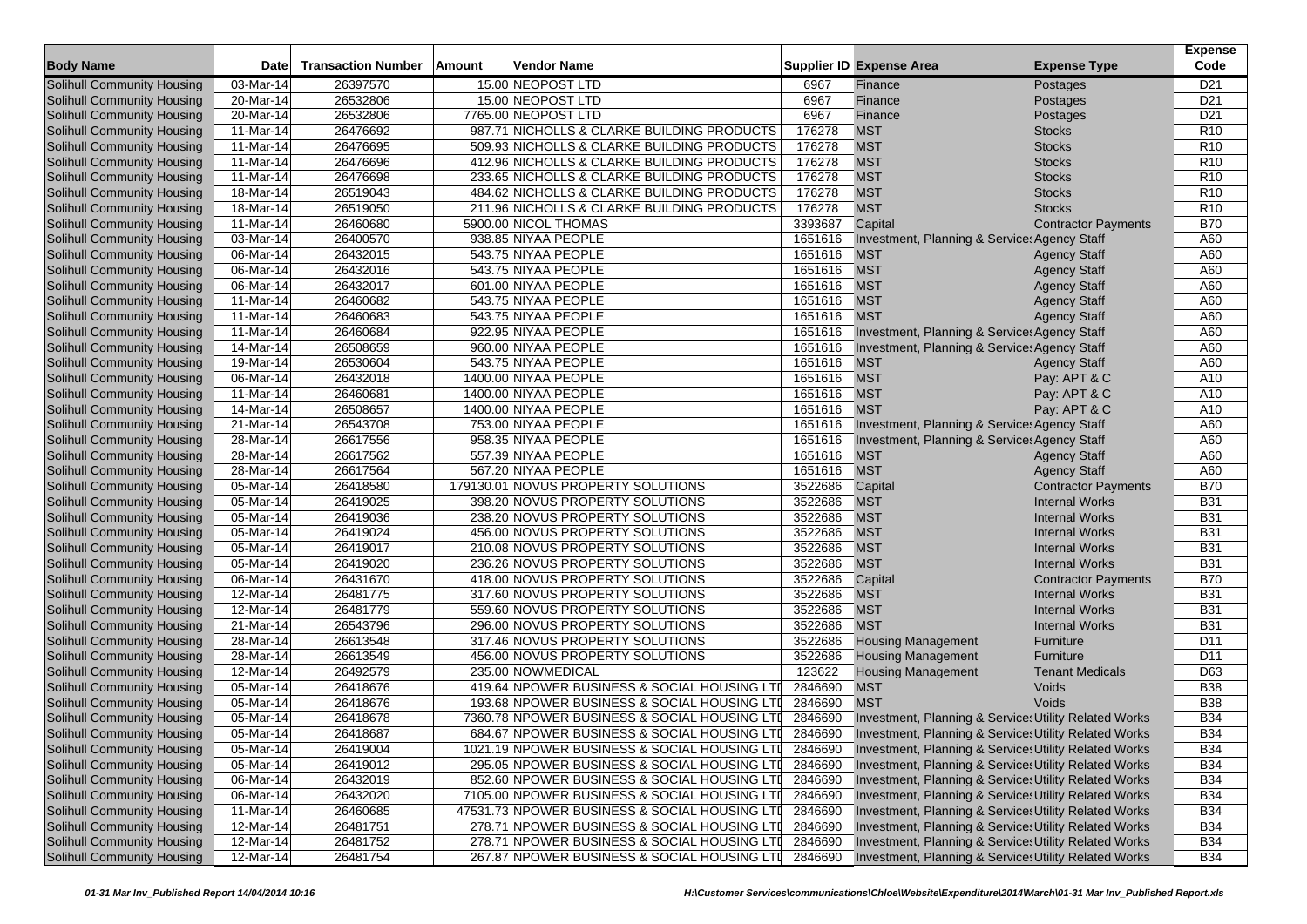| <b>Body Name</b>                  | Date                    | <b>Transaction Number</b> | Amount | Vendor Name                                   |         | <b>Supplier ID Expense Area</b>                       | <b>Expense Type</b>        | <b>Expense</b><br>Code |
|-----------------------------------|-------------------------|---------------------------|--------|-----------------------------------------------|---------|-------------------------------------------------------|----------------------------|------------------------|
| <b>Solihull Community Housing</b> | 03-Mar-14               | 26397570                  |        | 15.00 NEOPOST LTD                             | 6967    | Finance                                               | Postages                   | D <sub>21</sub>        |
| Solihull Community Housing        | 20-Mar-14               | 26532806                  |        | 15.00 NEOPOST LTD                             | 6967    | Finance                                               | Postages                   | D <sub>21</sub>        |
| Solihull Community Housing        | 20-Mar-14               | 26532806                  |        | 7765.00 NEOPOST LTD                           | 6967    | Finance                                               | Postages                   | D <sub>21</sub>        |
| Solihull Community Housing        | 11-Mar-14               | 26476692                  |        | 987.71 NICHOLLS & CLARKE BUILDING PRODUCTS    | 176278  | <b>MST</b>                                            | <b>Stocks</b>              | R <sub>10</sub>        |
| Solihull Community Housing        | 11-Mar-14               | 26476695                  |        | 509.93 NICHOLLS & CLARKE BUILDING PRODUCTS    | 176278  | <b>MST</b>                                            | <b>Stocks</b>              | R <sub>10</sub>        |
| Solihull Community Housing        | 11-Mar-14               | 26476696                  |        | 412.96 NICHOLLS & CLARKE BUILDING PRODUCTS    | 176278  | <b>MST</b>                                            | <b>Stocks</b>              | R <sub>10</sub>        |
| Solihull Community Housing        | 11-Mar-14               | 26476698                  |        | 233.65 NICHOLLS & CLARKE BUILDING PRODUCTS    | 176278  | <b>MST</b>                                            | <b>Stocks</b>              | R <sub>10</sub>        |
| Solihull Community Housing        | 18-Mar-14               | 26519043                  |        | 484.62 NICHOLLS & CLARKE BUILDING PRODUCTS    | 176278  | <b>MST</b>                                            | <b>Stocks</b>              | R <sub>10</sub>        |
| Solihull Community Housing        | 18-Mar-14               | 26519050                  |        | 211.96 NICHOLLS & CLARKE BUILDING PRODUCTS    | 176278  | <b>MST</b>                                            | <b>Stocks</b>              | R <sub>10</sub>        |
| Solihull Community Housing        | 11-Mar-14               | 26460680                  |        | 5900.00 NICOL THOMAS                          | 3393687 | Capital                                               | <b>Contractor Payments</b> | <b>B70</b>             |
| Solihull Community Housing        | 03-Mar-14               | 26400570                  |        | 938.85 NIYAA PEOPLE                           | 1651616 | Investment, Planning & Service: Agency Staff          |                            | A60                    |
| Solihull Community Housing        | 06-Mar-14               | 26432015                  |        | 543.75 NIYAA PEOPLE                           | 1651616 | <b>MST</b>                                            | <b>Agency Staff</b>        | A60                    |
| Solihull Community Housing        | 06-Mar-14               | 26432016                  |        | 543.75 NIYAA PEOPLE                           | 1651616 | <b>MST</b>                                            | <b>Agency Staff</b>        | A60                    |
| Solihull Community Housing        | 06-Mar-14               | 26432017                  |        | 601.00 NIYAA PEOPLE                           | 1651616 | <b>MST</b>                                            | <b>Agency Staff</b>        | A60                    |
| Solihull Community Housing        | 11-Mar-14               | 26460682                  |        | 543.75 NIYAA PEOPLE                           | 1651616 | <b>MST</b>                                            | <b>Agency Staff</b>        | A60                    |
| Solihull Community Housing        | 11-Mar-14               | 26460683                  |        | 543.75 NIYAA PEOPLE                           | 1651616 | <b>MST</b>                                            | <b>Agency Staff</b>        | A60                    |
| Solihull Community Housing        | 11-Mar-14               | 26460684                  |        | 922.95 NIYAA PEOPLE                           | 1651616 | Investment, Planning & Service: Agency Staff          |                            | A60                    |
| Solihull Community Housing        | 14-Mar-14               | 26508659                  |        | 960.00 NIYAA PEOPLE                           | 1651616 | Investment, Planning & Service: Agency Staff          |                            | A60                    |
| Solihull Community Housing        | 19-Mar-14               | 26530604                  |        | 543.75 NIYAA PEOPLE                           | 1651616 | <b>MST</b>                                            | <b>Agency Staff</b>        | A60                    |
| Solihull Community Housing        | 06-Mar-14               | 26432018                  |        | 1400.00 NIYAA PEOPLE                          | 1651616 | <b>MST</b>                                            | Pay: APT & C               | A10                    |
| Solihull Community Housing        | $11-Mar-14$             | 26460681                  |        | 1400.00 NIYAA PEOPLE                          | 1651616 | <b>MST</b>                                            | Pay: APT & C               | A10                    |
| Solihull Community Housing        | 14-Mar-14               | 26508657                  |        | 1400.00 NIYAA PEOPLE                          | 1651616 | <b>MST</b>                                            | Pay: APT & C               | A10                    |
| Solihull Community Housing        | 21-Mar-14               | 26543708                  |        | 753.00 NIYAA PEOPLE                           | 1651616 | Investment, Planning & Service: Agency Staff          |                            | A60                    |
| Solihull Community Housing        | $28$ -Mar-14            | 26617556                  |        | 958.35 NIYAA PEOPLE                           | 1651616 | Investment, Planning & Service: Agency Staff          |                            | A60                    |
| Solihull Community Housing        | 28-Mar-14               | 26617562                  |        | 557.39 NIYAA PEOPLE                           | 1651616 | <b>MST</b>                                            | <b>Agency Staff</b>        | A60                    |
| Solihull Community Housing        | 28-Mar-14               | 26617564                  |        | 567.20 NIYAA PEOPLE                           | 1651616 | <b>MST</b>                                            | <b>Agency Staff</b>        | A60                    |
| Solihull Community Housing        | 05-Mar-14               | 26418580                  |        | 179130.01 NOVUS PROPERTY SOLUTIONS            | 3522686 | Capital                                               | <b>Contractor Payments</b> | <b>B70</b>             |
| Solihull Community Housing        | 05-Mar-14               | 26419025                  |        | 398.20 NOVUS PROPERTY SOLUTIONS               | 3522686 | <b>MST</b>                                            | <b>Internal Works</b>      | <b>B31</b>             |
| Solihull Community Housing        | 05-Mar-14               | 26419036                  |        | 238.20 NOVUS PROPERTY SOLUTIONS               | 3522686 | <b>MST</b>                                            | <b>Internal Works</b>      | <b>B31</b>             |
| Solihull Community Housing        | 05-Mar-14               | 26419024                  |        | 456.00 NOVUS PROPERTY SOLUTIONS               | 3522686 | <b>MST</b>                                            | <b>Internal Works</b>      | <b>B31</b>             |
| Solihull Community Housing        | $\overline{0}$ 5-Mar-14 | 26419017                  |        | 210.08 NOVUS PROPERTY SOLUTIONS               | 3522686 | <b>MST</b>                                            | <b>Internal Works</b>      | <b>B31</b>             |
| Solihull Community Housing        | 05-Mar-14               | 26419020                  |        | 236.26 NOVUS PROPERTY SOLUTIONS               | 3522686 | <b>MST</b>                                            | <b>Internal Works</b>      | <b>B31</b>             |
| Solihull Community Housing        | 06-Mar-14               | 26431670                  |        | 418.00 NOVUS PROPERTY SOLUTIONS               | 3522686 | Capital                                               | <b>Contractor Payments</b> | <b>B70</b>             |
| Solihull Community Housing        | 12-Mar-14               | 26481775                  |        | 317.60 NOVUS PROPERTY SOLUTIONS               | 3522686 | <b>MST</b>                                            | <b>Internal Works</b>      | <b>B31</b>             |
| Solihull Community Housing        | 12-Mar-14               | 26481779                  |        | 559.60 NOVUS PROPERTY SOLUTIONS               | 3522686 | <b>MST</b>                                            | <b>Internal Works</b>      | <b>B31</b>             |
| Solihull Community Housing        | 21-Mar-14               | 26543796                  |        | 296.00 NOVUS PROPERTY SOLUTIONS               | 3522686 | <b>MST</b>                                            | <b>Internal Works</b>      | <b>B31</b>             |
| <b>Solihull Community Housing</b> | 28-Mar-14               | 26613548                  |        | 317.46 NOVUS PROPERTY SOLUTIONS               | 3522686 | <b>Housing Management</b>                             | Furniture                  | D <sub>11</sub>        |
| Solihull Community Housing        | 28-Mar-14               | 26613549                  |        | 456.00 NOVUS PROPERTY SOLUTIONS               | 3522686 | <b>Housing Management</b>                             | Furniture                  | D <sub>11</sub>        |
| Solihull Community Housing        | 12-Mar-14               | 26492579                  |        | 235.00 NOWMEDICAL                             | 123622  | <b>Housing Management</b>                             | <b>Tenant Medicals</b>     | D63                    |
| Solihull Community Housing        | 05-Mar-14               | 26418676                  |        | 419.64 NPOWER BUSINESS & SOCIAL HOUSING LTI   | 2846690 | <b>MST</b>                                            | Voids                      | <b>B38</b>             |
| Solihull Community Housing        | 05-Mar-14               | 26418676                  |        | 193.68 NPOWER BUSINESS & SOCIAL HOUSING LTI   | 2846690 | <b>MST</b>                                            | Voids                      | <b>B38</b>             |
| Solihull Community Housing        | 05-Mar-14               | 26418678                  |        | 7360.78 NPOWER BUSINESS & SOCIAL HOUSING LTI  | 2846690 | Investment, Planning & Service: Utility Related Works |                            | <b>B34</b>             |
| Solihull Community Housing        | 05-Mar-14               | 26418687                  |        | 684.67 NPOWER BUSINESS & SOCIAL HOUSING LTI   | 2846690 | Investment, Planning & Service: Utility Related Works |                            | <b>B34</b>             |
| Solihull Community Housing        | 05-Mar-14               | 26419004                  |        | 1021.19 NPOWER BUSINESS & SOCIAL HOUSING LTI  | 2846690 | Investment, Planning & Service: Utility Related Works |                            | <b>B34</b>             |
| Solihull Community Housing        | 05-Mar-14               | 26419012                  |        | 295.05 NPOWER BUSINESS & SOCIAL HOUSING LTI   | 2846690 | Investment, Planning & Service: Utility Related Works |                            | <b>B34</b>             |
| Solihull Community Housing        | 06-Mar-14               | 26432019                  |        | 852.60 NPOWER BUSINESS & SOCIAL HOUSING LTI   | 2846690 | Investment, Planning & Service: Utility Related Works |                            | <b>B34</b>             |
| Solihull Community Housing        | 06-Mar-14               | 26432020                  |        | 7105.00 NPOWER BUSINESS & SOCIAL HOUSING LTI  | 2846690 | Investment, Planning & Service: Utility Related Works |                            | <b>B34</b>             |
| Solihull Community Housing        | 11-Mar-14               | 26460685                  |        | 47531.73 NPOWER BUSINESS & SOCIAL HOUSING LTI | 2846690 | Investment, Planning & Service: Utility Related Works |                            | <b>B34</b>             |
| Solihull Community Housing        | 12-Mar-14               | 26481751                  |        | 278.71 NPOWER BUSINESS & SOCIAL HOUSING LTI   | 2846690 | Investment, Planning & Service: Utility Related Works |                            | <b>B34</b>             |
| Solihull Community Housing        | 12-Mar-14               | 26481752                  |        | 278.71 NPOWER BUSINESS & SOCIAL HOUSING LTI   | 2846690 | Investment, Planning & Service: Utility Related Works |                            | <b>B34</b>             |
| Solihull Community Housing        | 12-Mar-14               | 26481754                  |        | 267.87 NPOWER BUSINESS & SOCIAL HOUSING LTI   | 2846690 | Investment, Planning & Service: Utility Related Works |                            | <b>B34</b>             |
|                                   |                         |                           |        |                                               |         |                                                       |                            |                        |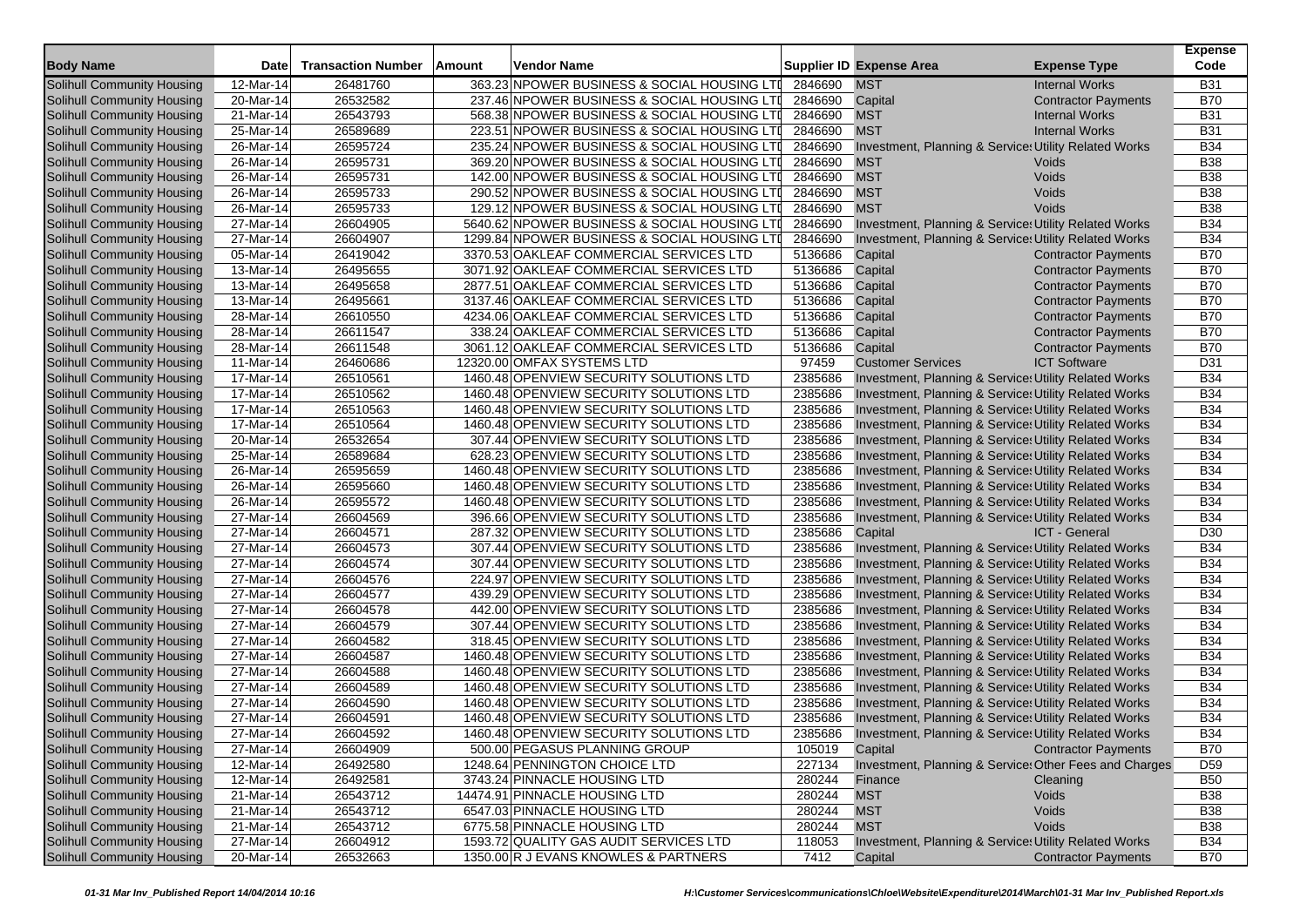|                            |                         |                           |        |                                              |         |                                                                  |                            | <b>Expense</b>  |
|----------------------------|-------------------------|---------------------------|--------|----------------------------------------------|---------|------------------------------------------------------------------|----------------------------|-----------------|
| <b>Body Name</b>           | <b>Date</b>             | <b>Transaction Number</b> | Amount | Vendor Name                                  |         | <b>Supplier ID Expense Area</b>                                  | <b>Expense Type</b>        | Code            |
| Solihull Community Housing | 12-Mar-14               | 26481760                  |        | 363.23 NPOWER BUSINESS & SOCIAL HOUSING LTI  | 2846690 | <b>MST</b>                                                       | <b>Internal Works</b>      | <b>B31</b>      |
| Solihull Community Housing | 20-Mar-14               | 26532582                  |        | 237.46 NPOWER BUSINESS & SOCIAL HOUSING LTI  | 2846690 | Capital                                                          | <b>Contractor Payments</b> | <b>B70</b>      |
| Solihull Community Housing | 21-Mar-14               | 26543793                  |        | 568.38 NPOWER BUSINESS & SOCIAL HOUSING LTI  | 2846690 | <b>MST</b>                                                       | <b>Internal Works</b>      | <b>B31</b>      |
| Solihull Community Housing | 25-Mar-14               | 26589689                  |        | 223.51 NPOWER BUSINESS & SOCIAL HOUSING LTI  | 2846690 | <b>MST</b>                                                       | <b>Internal Works</b>      | <b>B31</b>      |
| Solihull Community Housing | 26-Mar-14               | 26595724                  |        | 235.24 NPOWER BUSINESS & SOCIAL HOUSING LTD  | 2846690 | Investment, Planning & Service: Utility Related Works            |                            | <b>B34</b>      |
| Solihull Community Housing | $\overline{2}$ 6-Mar-14 | 26595731                  |        | 369.20 NPOWER BUSINESS & SOCIAL HOUSING LTI  | 2846690 | <b>MST</b>                                                       | Voids                      | <b>B38</b>      |
| Solihull Community Housing | 26-Mar-14               | 26595731                  |        | 142.00 NPOWER BUSINESS & SOCIAL HOUSING LTI  | 2846690 | <b>MST</b>                                                       | Voids                      | <b>B38</b>      |
| Solihull Community Housing | 26-Mar-14               | 26595733                  |        | 290.52 NPOWER BUSINESS & SOCIAL HOUSING LTD  | 2846690 | <b>MST</b>                                                       | Voids                      | <b>B38</b>      |
| Solihull Community Housing | 26-Mar-14               | 26595733                  |        | 129.12 NPOWER BUSINESS & SOCIAL HOUSING LTI  | 2846690 | <b>MST</b>                                                       | Voids                      | <b>B38</b>      |
| Solihull Community Housing | 27-Mar-14               | 26604905                  |        | 5640.62 NPOWER BUSINESS & SOCIAL HOUSING LTI | 2846690 | Investment, Planning & Service: Utility Related Works            |                            | <b>B34</b>      |
| Solihull Community Housing | 27-Mar-14               | 26604907                  |        | 1299.84 NPOWER BUSINESS & SOCIAL HOUSING LTI | 2846690 | Investment, Planning & Service: Utility Related Works            |                            | <b>B34</b>      |
| Solihull Community Housing | 05-Mar-14               | 26419042                  |        | 3370.53 OAKLEAF COMMERCIAL SERVICES LTD      | 5136686 | Capital                                                          | <b>Contractor Payments</b> | <b>B70</b>      |
| Solihull Community Housing | 13-Mar-14               | 26495655                  |        | 3071.92 OAKLEAF COMMERCIAL SERVICES LTD      | 5136686 | Capital                                                          | <b>Contractor Payments</b> | <b>B70</b>      |
| Solihull Community Housing | 13-Mar-14               | 26495658                  |        | 2877.51 OAKLEAF COMMERCIAL SERVICES LTD      | 5136686 | Capital                                                          | <b>Contractor Payments</b> | <b>B70</b>      |
| Solihull Community Housing | 13-Mar-14               | 26495661                  |        | 3137.46 OAKLEAF COMMERCIAL SERVICES LTD      | 5136686 | Capital                                                          | <b>Contractor Payments</b> | <b>B70</b>      |
| Solihull Community Housing | 28-Mar-14               | 26610550                  |        | 4234.06 OAKLEAF COMMERCIAL SERVICES LTD      | 5136686 | Capital                                                          | <b>Contractor Payments</b> | <b>B70</b>      |
| Solihull Community Housing | 28-Mar-14               | 26611547                  |        | 338.24 OAKLEAF COMMERCIAL SERVICES LTD       | 5136686 | Capital                                                          | <b>Contractor Payments</b> | <b>B70</b>      |
| Solihull Community Housing | 28-Mar-14               | 26611548                  |        | 3061.12 OAKLEAF COMMERCIAL SERVICES LTD      | 5136686 | Capital                                                          | <b>Contractor Payments</b> | <b>B70</b>      |
| Solihull Community Housing | 11-Mar-14               | 26460686                  |        | 12320.00 OMFAX SYSTEMS LTD                   | 97459   | <b>Customer Services</b>                                         | <b>ICT Software</b>        | D31             |
| Solihull Community Housing | 17-Mar-14               | 26510561                  |        | 1460.48 OPENVIEW SECURITY SOLUTIONS LTD      | 2385686 | Investment, Planning & Service: Utility Related Works            |                            | <b>B34</b>      |
| Solihull Community Housing | 17-Mar-14               | 26510562                  |        | 1460.48 OPENVIEW SECURITY SOLUTIONS LTD      | 2385686 | Investment, Planning & Service: Utility Related Works            |                            | <b>B34</b>      |
| Solihull Community Housing | 17-Mar-14               | 26510563                  |        | 1460.48 OPENVIEW SECURITY SOLUTIONS LTD      | 2385686 | Investment, Planning & Service: Utility Related Works            |                            | <b>B34</b>      |
| Solihull Community Housing | 17-Mar-14               | 26510564                  |        | 1460.48 OPENVIEW SECURITY SOLUTIONS LTD      | 2385686 | Investment, Planning & Service: Utility Related Works            |                            | <b>B34</b>      |
| Solihull Community Housing | 20-Mar-14               | 26532654                  |        | 307.44 OPENVIEW SECURITY SOLUTIONS LTD       | 2385686 | Investment, Planning & Service: Utility Related Works            |                            | <b>B34</b>      |
| Solihull Community Housing | 25-Mar-14               | 26589684                  |        | 628.23 OPENVIEW SECURITY SOLUTIONS LTD       | 2385686 | Investment, Planning & Service: Utility Related Works            |                            | <b>B34</b>      |
| Solihull Community Housing | 26-Mar-14               | 26595659                  |        | 1460.48 OPENVIEW SECURITY SOLUTIONS LTD      | 2385686 | <b>Investment, Planning &amp; Service: Utility Related Works</b> |                            | <b>B34</b>      |
| Solihull Community Housing | 26-Mar-14               | 26595660                  |        | 1460.48 OPENVIEW SECURITY SOLUTIONS LTD      | 2385686 | Investment, Planning & Service: Utility Related Works            |                            | <b>B34</b>      |
| Solihull Community Housing | 26-Mar-14               | 26595572                  |        | 1460.48 OPENVIEW SECURITY SOLUTIONS LTD      | 2385686 | Investment, Planning & Service: Utility Related Works            |                            | <b>B34</b>      |
| Solihull Community Housing | 27-Mar-14               | 26604569                  |        | 396.66 OPENVIEW SECURITY SOLUTIONS LTD       | 2385686 | Investment, Planning & Service: Utility Related Works            |                            | <b>B34</b>      |
| Solihull Community Housing | 27-Mar-14               | 26604571                  |        | 287.32 OPENVIEW SECURITY SOLUTIONS LTD       | 2385686 | Capital                                                          | ICT - General              | D <sub>30</sub> |
| Solihull Community Housing | 27-Mar-14               | 26604573                  |        | 307.44 OPENVIEW SECURITY SOLUTIONS LTD       | 2385686 | Investment, Planning & Service: Utility Related Works            |                            | <b>B34</b>      |
| Solihull Community Housing | 27-Mar-14               | 26604574                  |        | 307.44 OPENVIEW SECURITY SOLUTIONS LTD       | 2385686 | Investment, Planning & Service: Utility Related Works            |                            | <b>B34</b>      |
| Solihull Community Housing | 27-Mar-14               | 26604576                  |        | 224.97 OPENVIEW SECURITY SOLUTIONS LTD       | 2385686 | Investment, Planning & Service: Utility Related Works            |                            | <b>B34</b>      |
| Solihull Community Housing | 27-Mar-14               | 26604577                  |        | 439.29 OPENVIEW SECURITY SOLUTIONS LTD       | 2385686 | Investment, Planning & Service: Utility Related Works            |                            | <b>B34</b>      |
| Solihull Community Housing | 27-Mar-14               | 26604578                  |        | 442.00 OPENVIEW SECURITY SOLUTIONS LTD       | 2385686 | Investment, Planning & Service: Utility Related Works            |                            | <b>B34</b>      |
| Solihull Community Housing | 27-Mar-14               | 26604579                  |        | 307.44 OPENVIEW SECURITY SOLUTIONS LTD       | 2385686 | Investment, Planning & Service: Utility Related Works            |                            | <b>B34</b>      |
| Solihull Community Housing | 27-Mar-14               | 26604582                  |        | 318.45 OPENVIEW SECURITY SOLUTIONS LTD       | 2385686 | Investment, Planning & Service: Utility Related Works            |                            | <b>B34</b>      |
| Solihull Community Housing | 27-Mar-14               | 26604587                  |        | 1460.48 OPENVIEW SECURITY SOLUTIONS LTD      | 2385686 | <b>Investment, Planning &amp; Service: Utility Related Works</b> |                            | <b>B34</b>      |
| Solihull Community Housing | 27-Mar-14               | 26604588                  |        | 1460.48 OPENVIEW SECURITY SOLUTIONS LTD      | 2385686 | Investment, Planning & Service: Utility Related Works            |                            | <b>B34</b>      |
| Solihull Community Housing | 27-Mar-14               | 26604589                  |        | 1460.48 OPENVIEW SECURITY SOLUTIONS LTD      | 2385686 | Investment, Planning & Service: Utility Related Works            |                            | <b>B34</b>      |
| Solihull Community Housing | 27-Mar-14               | 26604590                  |        | 1460.48 OPENVIEW SECURITY SOLUTIONS LTD      | 2385686 | Investment, Planning & Service: Utility Related Works            |                            | <b>B34</b>      |
| Solihull Community Housing | 27-Mar-14               | 26604591                  |        | 1460.48 OPENVIEW SECURITY SOLUTIONS LTD      | 2385686 | Investment, Planning & Service: Utility Related Works            |                            | <b>B34</b>      |
| Solihull Community Housing | 27-Mar-14               | 26604592                  |        | 1460.48 OPENVIEW SECURITY SOLUTIONS LTD      | 2385686 | Investment, Planning & Service: Utility Related Works            |                            | <b>B34</b>      |
| Solihull Community Housing | 27-Mar-14               | 26604909                  |        | 500.00 PEGASUS PLANNING GROUP                | 105019  | Capital                                                          | <b>Contractor Payments</b> | <b>B70</b>      |
| Solihull Community Housing | 12-Mar-14               | 26492580                  |        | 1248.64 PENNINGTON CHOICE LTD                | 227134  | Investment, Planning & Service: Other Fees and Charges           |                            | D <sub>59</sub> |
| Solihull Community Housing | 12-Mar-14               | 26492581                  |        | 3743.24 PINNACLE HOUSING LTD                 | 280244  | Finance                                                          | Cleaning                   | <b>B50</b>      |
| Solihull Community Housing | 21-Mar-14               | 26543712                  |        | 14474.91 PINNACLE HOUSING LTD                | 280244  | <b>MST</b>                                                       | Voids                      | <b>B38</b>      |
| Solihull Community Housing | 21-Mar-14               | 26543712                  |        | 6547.03 PINNACLE HOUSING LTD                 | 280244  | <b>MST</b>                                                       | Voids                      | <b>B38</b>      |
| Solihull Community Housing | 21-Mar-14               | 26543712                  |        | 6775.58 PINNACLE HOUSING LTD                 | 280244  | <b>MST</b>                                                       | Voids                      | <b>B38</b>      |
| Solihull Community Housing | 27-Mar-14               | 26604912                  |        | 1593.72 QUALITY GAS AUDIT SERVICES LTD       | 118053  | Investment, Planning & Service: Utility Related Works            |                            | <b>B34</b>      |
| Solihull Community Housing | 20-Mar-14               | 26532663                  |        | 1350.00 R J EVANS KNOWLES & PARTNERS         | 7412    | Capital                                                          | <b>Contractor Payments</b> | <b>B70</b>      |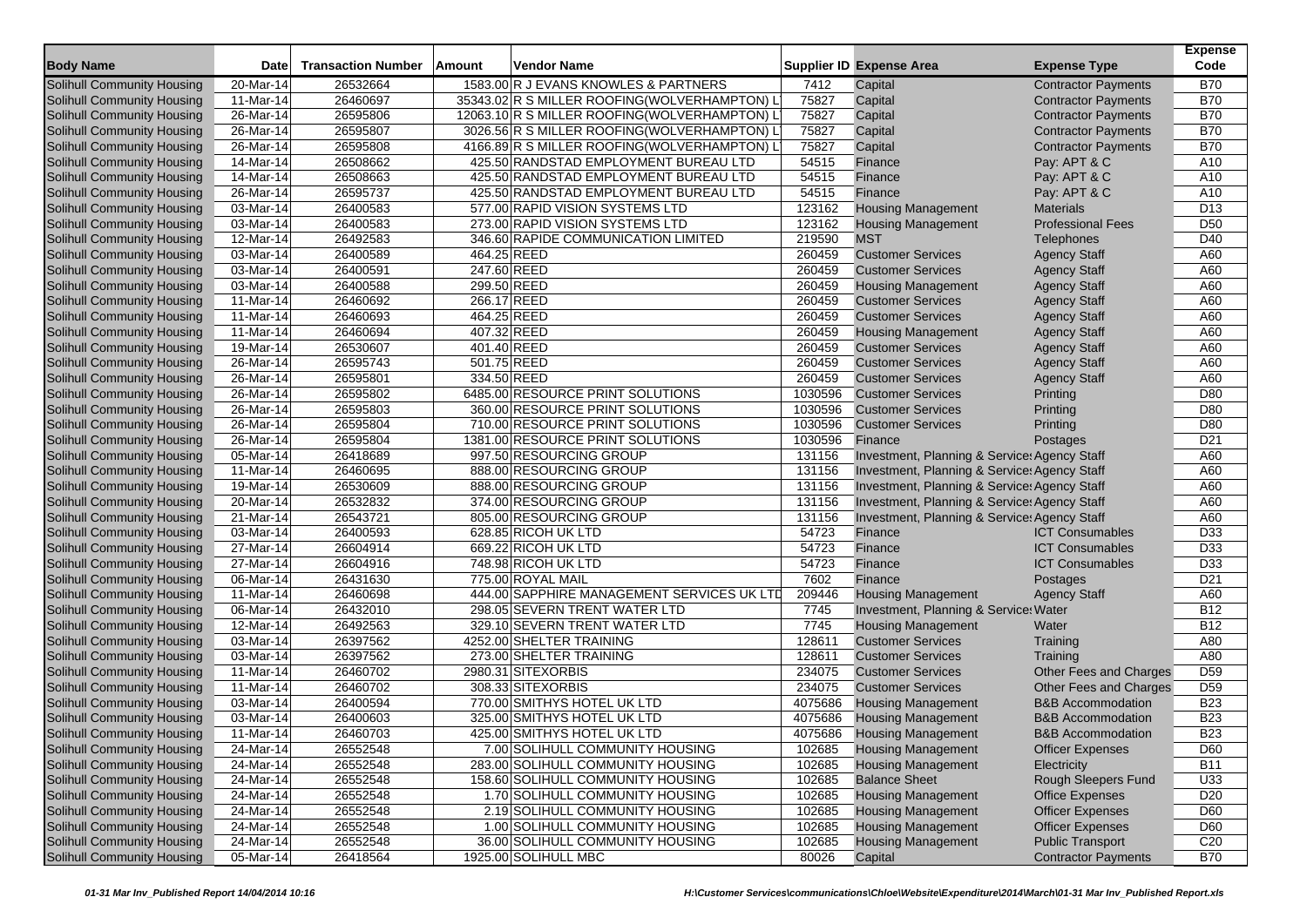|                                   |                         |                           |        |                                               |         |                                              |                              | <b>Expense</b>  |
|-----------------------------------|-------------------------|---------------------------|--------|-----------------------------------------------|---------|----------------------------------------------|------------------------------|-----------------|
| <b>Body Name</b>                  | Date                    | <b>Transaction Number</b> | Amount | Vendor Name                                   |         | <b>Supplier ID Expense Area</b>              | <b>Expense Type</b>          | Code            |
| <b>Solihull Community Housing</b> | 20-Mar-14               | 26532664                  |        | 1583.00 R J EVANS KNOWLES & PARTNERS          | 7412    | Capital                                      | <b>Contractor Payments</b>   | <b>B70</b>      |
| Solihull Community Housing        | 11-Mar-14               | 26460697                  |        | 35343.02 R S MILLER ROOFING(WOLVERHAMPTON) L  | 75827   | Capital                                      | <b>Contractor Payments</b>   | <b>B70</b>      |
| Solihull Community Housing        | 26-Mar-14               | 26595806                  |        | 12063.10 R S MILLER ROOFING (WOLVERHAMPTON) L | 75827   | Capital                                      | <b>Contractor Payments</b>   | <b>B70</b>      |
| Solihull Community Housing        | 26-Mar-14               | 26595807                  |        | 3026.56 R S MILLER ROOFING(WOLVERHAMPTON) L   | 75827   | Capital                                      | <b>Contractor Payments</b>   | <b>B70</b>      |
| Solihull Community Housing        | 26-Mar-14               | 26595808                  |        | 4166.89 R S MILLER ROOFING (WOLVERHAMPTON) L  | 75827   | Capital                                      | <b>Contractor Payments</b>   | <b>B70</b>      |
| Solihull Community Housing        | 14-Mar-14               | 26508662                  |        | 425.50 RANDSTAD EMPLOYMENT BUREAU LTD         | 54515   | Finance                                      | Pay: APT & C                 | A10             |
| Solihull Community Housing        | 14-Mar-14               | 26508663                  |        | 425.50 RANDSTAD EMPLOYMENT BUREAU LTD         | 54515   | Finance                                      | Pay: APT & C                 | A10             |
| Solihull Community Housing        | 26-Mar-14               | 26595737                  |        | 425.50 RANDSTAD EMPLOYMENT BUREAU LTD         | 54515   | Finance                                      | Pay: APT & C                 | A10             |
| Solihull Community Housing        | 03-Mar-14               | 26400583                  |        | 577.00 RAPID VISION SYSTEMS LTD               | 123162  | <b>Housing Management</b>                    | <b>Materials</b>             | D <sub>13</sub> |
| Solihull Community Housing        | 03-Mar-14               | 26400583                  |        | 273.00 RAPID VISION SYSTEMS LTD               | 123162  | <b>Housing Management</b>                    | <b>Professional Fees</b>     | D <sub>50</sub> |
| Solihull Community Housing        | 12-Mar-14               | 26492583                  |        | 346.60 RAPIDE COMMUNICATION LIMITED           | 219590  | <b>MST</b>                                   | Telephones                   | D <sub>40</sub> |
| <b>Solihull Community Housing</b> | 03-Mar-14               | 26400589                  |        | 464.25 REED                                   | 260459  | <b>Customer Services</b>                     | <b>Agency Staff</b>          | A60             |
| Solihull Community Housing        | 03-Mar-14               | 26400591                  |        | 247.60 REED                                   | 260459  | <b>Customer Services</b>                     | <b>Agency Staff</b>          | A60             |
| Solihull Community Housing        | 03-Mar-14               | 26400588                  |        | 299.50 REED                                   | 260459  | <b>Housing Management</b>                    | <b>Agency Staff</b>          | A60             |
| Solihull Community Housing        | 11-Mar-14               | 26460692                  |        | 266.17 REED                                   | 260459  | <b>Customer Services</b>                     | <b>Agency Staff</b>          | A60             |
| Solihull Community Housing        | 11-Mar-14               | 26460693                  |        | 464.25 REED                                   | 260459  | <b>Customer Services</b>                     | <b>Agency Staff</b>          | A60             |
| Solihull Community Housing        | 11-Mar-14               | 26460694                  |        | 407.32 REED                                   | 260459  | <b>Housing Management</b>                    | <b>Agency Staff</b>          | A60             |
| Solihull Community Housing        | 19-Mar-14               | 26530607                  |        | 401.40 REED                                   | 260459  | <b>Customer Services</b>                     | <b>Agency Staff</b>          | A60             |
| Solihull Community Housing        | 26-Mar-14               | 26595743                  |        | 501.75 REED                                   | 260459  | <b>Customer Services</b>                     | <b>Agency Staff</b>          | A60             |
| Solihull Community Housing        | 26-Mar-14               | 26595801                  |        | 334.50 REED                                   | 260459  | <b>Customer Services</b>                     | <b>Agency Staff</b>          | A60             |
| Solihull Community Housing        | 26-Mar-14               | 26595802                  |        | 6485.00 RESOURCE PRINT SOLUTIONS              | 1030596 | <b>Customer Services</b>                     | Printing                     | D80             |
| Solihull Community Housing        | 26-Mar-14               | 26595803                  |        | 360.00 RESOURCE PRINT SOLUTIONS               | 1030596 | <b>Customer Services</b>                     | Printing                     | D80             |
| Solihull Community Housing        | 26-Mar-14               | 26595804                  |        | 710.00 RESOURCE PRINT SOLUTIONS               | 1030596 | <b>Customer Services</b>                     | Printing                     | D80             |
| Solihull Community Housing        | 26-Mar-14               | 26595804                  |        | 1381.00 RESOURCE PRINT SOLUTIONS              | 1030596 | Finance                                      | Postages                     | D <sub>21</sub> |
| Solihull Community Housing        | 05-Mar-14               | 26418689                  |        | 997.50 RESOURCING GROUP                       | 131156  | Investment, Planning & Service: Agency Staff |                              | A60             |
| Solihull Community Housing        | 11-Mar-14               | 26460695                  |        | 888.00 RESOURCING GROUP                       | 131156  | Investment, Planning & Service: Agency Staff |                              | A60             |
| Solihull Community Housing        | 19-Mar-14               | 26530609                  |        | 888.00 RESOURCING GROUP                       | 131156  | Investment, Planning & Service: Agency Staff |                              | A60             |
| Solihull Community Housing        | 20-Mar-14               | 26532832                  |        | 374.00 RESOURCING GROUP                       | 131156  | Investment, Planning & Service: Agency Staff |                              | A60             |
| Solihull Community Housing        | 21-Mar-14               | 26543721                  |        | 805.00 RESOURCING GROUP                       | 131156  | Investment, Planning & Service Agency Staff  |                              | A60             |
| Solihull Community Housing        | 03-Mar-14               | 26400593                  |        | 628.85 RICOH UK LTD                           | 54723   | Finance                                      | <b>ICT Consumables</b>       | D33             |
| Solihull Community Housing        | $\overline{27}$ -Mar-14 | 26604914                  |        | 669.22 RICOH UK LTD                           | 54723   | Finance                                      | <b>ICT Consumables</b>       | D33             |
| Solihull Community Housing        | 27-Mar-14               | 26604916                  |        | 748.98 RICOH UK LTD                           | 54723   | Finance                                      | <b>ICT Consumables</b>       | D33             |
| Solihull Community Housing        | 06-Mar-14               | 26431630                  |        | 775.00 ROYAL MAIL                             | 7602    | Finance                                      | Postages                     | D <sub>21</sub> |
| Solihull Community Housing        | 11-Mar-14               | 26460698                  |        | 444.00 SAPPHIRE MANAGEMENT SERVICES UK LTD    | 209446  | <b>Housing Management</b>                    | <b>Agency Staff</b>          | A60             |
| Solihull Community Housing        | 06-Mar-14               | 26432010                  |        | 298.05 SEVERN TRENT WATER LTD                 | 7745    | Investment, Planning & Service: Water        |                              | <b>B12</b>      |
| Solihull Community Housing        | 12-Mar-14               | 26492563                  |        | 329.10 SEVERN TRENT WATER LTD                 | 7745    | <b>Housing Management</b>                    | Water                        | <b>B12</b>      |
| Solihull Community Housing        | 03-Mar-14               | 26397562                  |        | 4252.00 SHELTER TRAINING                      | 128611  | <b>Customer Services</b>                     | Training                     | A80             |
| Solihull Community Housing        | 03-Mar-14               | 26397562                  |        | 273.00 SHELTER TRAINING                       | 128611  | <b>Customer Services</b>                     | Training                     | A80             |
| Solihull Community Housing        | 11-Mar-14               | 26460702                  |        | 2980.31 SITEXORBIS                            | 234075  | <b>Customer Services</b>                     | Other Fees and Charges       | D <sub>59</sub> |
| <b>Solihull Community Housing</b> | 11-Mar-14               | 26460702                  |        | 308.33 SITEXORBIS                             | 234075  | <b>Customer Services</b>                     | Other Fees and Charges       | D <sub>59</sub> |
| Solihull Community Housing        | 03-Mar-14               | 26400594                  |        | 770.00 SMITHYS HOTEL UK LTD                   | 4075686 | <b>Housing Management</b>                    | <b>B&amp;B Accommodation</b> | <b>B23</b>      |
| Solihull Community Housing        | 03-Mar-14               | 26400603                  |        | 325.00 SMITHYS HOTEL UK LTD                   | 4075686 | <b>Housing Management</b>                    | <b>B&amp;B Accommodation</b> | <b>B23</b>      |
| Solihull Community Housing        | 11-Mar-14               | 26460703                  |        | 425.00 SMITHYS HOTEL UK LTD                   | 4075686 | <b>Housing Management</b>                    | <b>B&amp;B Accommodation</b> | <b>B23</b>      |
| Solihull Community Housing        | 24-Mar-14               | 26552548                  |        | 7.00 SOLIHULL COMMUNITY HOUSING               | 102685  | <b>Housing Management</b>                    | <b>Officer Expenses</b>      | D60             |
| Solihull Community Housing        | $24$ -Mar-14            | 26552548                  |        | 283.00 SOLIHULL COMMUNITY HOUSING             | 102685  | <b>Housing Management</b>                    | Electricity                  | <b>B11</b>      |
| Solihull Community Housing        | 24-Mar-14               | 26552548                  |        | 158.60 SOLIHULL COMMUNITY HOUSING             | 102685  | <b>Balance Sheet</b>                         | Rough Sleepers Fund          | U33             |
| Solihull Community Housing        | 24-Mar-14               | 26552548                  |        | 1.70 SOLIHULL COMMUNITY HOUSING               | 102685  | <b>Housing Management</b>                    | <b>Office Expenses</b>       | D <sub>20</sub> |
| Solihull Community Housing        | 24-Mar-14               | 26552548                  |        | 2.19 SOLIHULL COMMUNITY HOUSING               | 102685  | <b>Housing Management</b>                    | <b>Officer Expenses</b>      | D60             |
| Solihull Community Housing        | 24-Mar-14               | 26552548                  |        | 1.00 SOLIHULL COMMUNITY HOUSING               | 102685  | <b>Housing Management</b>                    | <b>Officer Expenses</b>      | D60             |
| Solihull Community Housing        | 24-Mar-14               | 26552548                  |        | 36.00 SOLIHULL COMMUNITY HOUSING              | 102685  | <b>Housing Management</b>                    | <b>Public Transport</b>      | C20             |
| Solihull Community Housing        | 05-Mar-14               | 26418564                  |        | 1925.00 SOLIHULL MBC                          | 80026   | Capital                                      | <b>Contractor Payments</b>   | <b>B70</b>      |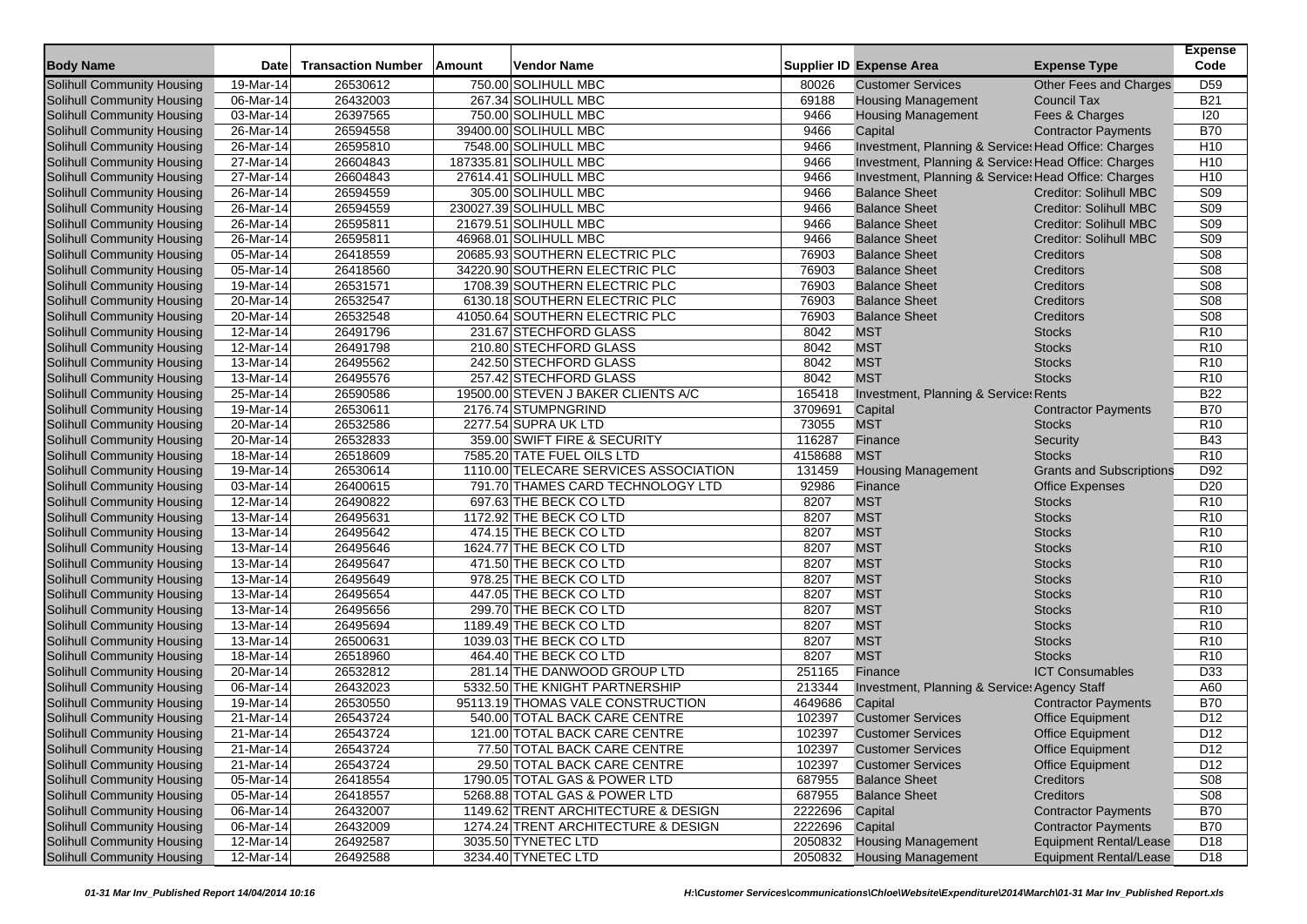| <b>Body Name</b>                  | Date                    | <b>Transaction Number</b> | <b>Amount</b> | Vendor Name                           |              | <b>Supplier ID Expense Area</b>                                              | <b>Expense Type</b>                                            | <b>Expense</b><br>Code |
|-----------------------------------|-------------------------|---------------------------|---------------|---------------------------------------|--------------|------------------------------------------------------------------------------|----------------------------------------------------------------|------------------------|
| Solihull Community Housing        | 19-Mar-14               | 26530612                  |               | 750.00 SOLIHULL MBC                   | 80026        | <b>Customer Services</b>                                                     | Other Fees and Charges                                         | D <sub>59</sub>        |
| Solihull Community Housing        | 06-Mar-14               | 26432003                  |               | 267.34 SOLIHULL MBC                   | 69188        | <b>Housing Management</b>                                                    | <b>Council Tax</b>                                             | <b>B21</b>             |
| Solihull Community Housing        | 03-Mar-14               | 26397565                  |               | 750.00 SOLIHULL MBC                   | 9466         | <b>Housing Management</b>                                                    | Fees & Charges                                                 | 120                    |
| Solihull Community Housing        | 26-Mar-14               | 26594558                  |               | 39400.00 SOLIHULL MBC                 | 9466         | Capital                                                                      | <b>Contractor Payments</b>                                     | <b>B70</b>             |
| <b>Solihull Community Housing</b> | 26-Mar-14               | 26595810                  |               | 7548.00 SOLIHULL MBC                  | 9466         | Investment, Planning & Service: Head Office: Charges                         |                                                                | H <sub>10</sub>        |
|                                   | 27-Mar-14               | 26604843                  |               | 187335.81 SOLIHULL MBC                | 9466         | Investment, Planning & Service: Head Office: Charges                         |                                                                | H <sub>10</sub>        |
| Solihull Community Housing        |                         |                           |               | 27614.41 SOLIHULL MBC                 |              |                                                                              |                                                                | H <sub>10</sub>        |
| Solihull Community Housing        | 27-Mar-14               | 26604843                  |               |                                       | 9466<br>9466 | Investment, Planning & Service: Head Office: Charges<br><b>Balance Sheet</b> |                                                                | S <sub>09</sub>        |
| Solihull Community Housing        | 26-Mar-14               | 26594559                  |               | 305.00 SOLIHULL MBC                   | 9466         | <b>Balance Sheet</b>                                                         | <b>Creditor: Solihull MBC</b><br><b>Creditor: Solihull MBC</b> | <b>S09</b>             |
| Solihull Community Housing        | 26-Mar-14               | 26594559                  |               | 230027.39 SOLIHULL MBC                |              |                                                                              |                                                                |                        |
| Solihull Community Housing        | 26-Mar-14               | 26595811                  |               | 21679.51 SOLIHULL MBC                 | 9466         | <b>Balance Sheet</b>                                                         | <b>Creditor: Solihull MBC</b>                                  | S09                    |
| Solihull Community Housing        | 26-Mar-14               | 26595811                  |               | 46968.01 SOLIHULL MBC                 | 9466         | <b>Balance Sheet</b>                                                         | <b>Creditor: Solihull MBC</b>                                  | S09                    |
| Solihull Community Housing        | 05-Mar-14               | 26418559                  |               | 20685.93 SOUTHERN ELECTRIC PLC        | 76903        | <b>Balance Sheet</b>                                                         | Creditors                                                      | <b>S08</b>             |
| Solihull Community Housing        | 05-Mar-14               | 26418560                  |               | 34220.90 SOUTHERN ELECTRIC PLC        | 76903        | <b>Balance Sheet</b>                                                         | Creditors                                                      | S08                    |
| Solihull Community Housing        | 19-Mar-14               | 26531571                  |               | 1708.39 SOUTHERN ELECTRIC PLC         | 76903        | <b>Balance Sheet</b>                                                         | Creditors                                                      | S08                    |
| Solihull Community Housing        | 20-Mar-14               | 26532547                  |               | 6130.18 SOUTHERN ELECTRIC PLC         | 76903        | <b>Balance Sheet</b>                                                         | Creditors                                                      | S <sub>08</sub>        |
| Solihull Community Housing        | 20-Mar-14               | 26532548                  |               | 41050.64 SOUTHERN ELECTRIC PLC        | 76903        | <b>Balance Sheet</b>                                                         | Creditors                                                      | S08                    |
| Solihull Community Housing        | 12-Mar-14               | 26491796                  |               | 231.67 STECHFORD GLASS                | 8042         | <b>MST</b>                                                                   | <b>Stocks</b>                                                  | R <sub>10</sub>        |
| Solihull Community Housing        | 12-Mar-14               | 26491798                  |               | 210.80 STECHFORD GLASS                | 8042         | <b>MST</b>                                                                   | <b>Stocks</b>                                                  | R <sub>10</sub>        |
| Solihull Community Housing        | 13-Mar-14               | 26495562                  |               | 242.50 STECHFORD GLASS                | 8042         | <b>MST</b>                                                                   | <b>Stocks</b>                                                  | R <sub>10</sub>        |
| <b>Solihull Community Housing</b> | 13-Mar-14               | 26495576                  |               | 257.42 STECHFORD GLASS                | 8042         | <b>MST</b>                                                                   | <b>Stocks</b>                                                  | R <sub>10</sub>        |
| Solihull Community Housing        | 25-Mar-14               | 26590586                  |               | 19500.00 STEVEN J BAKER CLIENTS A/C   | 165418       | Investment, Planning & Service: Rents                                        |                                                                | <b>B22</b>             |
| Solihull Community Housing        | 19-Mar-14               | 26530611                  |               | 2176.74 STUMPNGRIND                   | 3709691      | Capital                                                                      | <b>Contractor Payments</b>                                     | <b>B70</b>             |
| Solihull Community Housing        | 20-Mar-14               | 26532586                  |               | 2277.54 SUPRA UK LTD                  | 73055        | <b>MST</b>                                                                   | <b>Stocks</b>                                                  | R <sub>10</sub>        |
| <b>Solihull Community Housing</b> | $\overline{20}$ -Mar-14 | 26532833                  |               | 359.00 SWIFT FIRE & SECURITY          | 116287       | Finance                                                                      | Security                                                       | <b>B43</b>             |
| Solihull Community Housing        | 18-Mar-14               | 26518609                  |               | 7585.20 TATE FUEL OILS LTD            | 4158688      | <b>MST</b>                                                                   | <b>Stocks</b>                                                  | R <sub>10</sub>        |
| Solihull Community Housing        | 19-Mar-14               | 26530614                  |               | 1110.00 TELECARE SERVICES ASSOCIATION | 131459       | <b>Housing Management</b>                                                    | <b>Grants and Subscriptions</b>                                | D92                    |
| <b>Solihull Community Housing</b> | 03-Mar-14               | 26400615                  |               | 791.70 THAMES CARD TECHNOLOGY LTD     | 92986        | Finance                                                                      | <b>Office Expenses</b>                                         | D <sub>20</sub>        |
| Solihull Community Housing        | 12-Mar-14               | 26490822                  |               | 697.63 THE BECK CO LTD                | 8207         | <b>MST</b>                                                                   | <b>Stocks</b>                                                  | R <sub>10</sub>        |
| Solihull Community Housing        | 13-Mar-14               | 26495631                  |               | 1172.92 THE BECK CO LTD               | 8207         | <b>MST</b>                                                                   | <b>Stocks</b>                                                  | R <sub>10</sub>        |
| Solihull Community Housing        | 13-Mar-14               | 26495642                  |               | 474.15 THE BECK CO LTD                | 8207         | <b>MST</b>                                                                   | <b>Stocks</b>                                                  | R <sub>10</sub>        |
| Solihull Community Housing        | $\overline{13}$ -Mar-14 | 26495646                  |               | 1624.77 THE BECK CO LTD               | 8207         | <b>MST</b>                                                                   | <b>Stocks</b>                                                  | R <sub>10</sub>        |
| Solihull Community Housing        | 13-Mar-14               | 26495647                  |               | 471.50 THE BECK CO LTD                | 8207         | <b>MST</b>                                                                   | <b>Stocks</b>                                                  | R <sub>10</sub>        |
| Solihull Community Housing        | 13-Mar-14               | 26495649                  |               | 978.25 THE BECK CO LTD                | 8207         | <b>MST</b>                                                                   | <b>Stocks</b>                                                  | R <sub>10</sub>        |
| Solihull Community Housing        | 13-Mar-14               | 26495654                  |               | 447.05 THE BECK CO LTD                | 8207         | <b>MST</b>                                                                   | <b>Stocks</b>                                                  | R <sub>10</sub>        |
| Solihull Community Housing        | 13-Mar-14               | 26495656                  |               | 299.70 THE BECK CO LTD                | 8207         | <b>MST</b>                                                                   | <b>Stocks</b>                                                  | R <sub>10</sub>        |
| Solihull Community Housing        | 13-Mar-14               | 26495694                  |               | 1189.49 THE BECK CO LTD               | 8207         | <b>MST</b>                                                                   | <b>Stocks</b>                                                  | R <sub>10</sub>        |
| Solihull Community Housing        | 13-Mar-14               | 26500631                  |               | 1039.03 THE BECK CO LTD               | 8207         | <b>MST</b>                                                                   | <b>Stocks</b>                                                  | R <sub>10</sub>        |
| Solihull Community Housing        | 18-Mar-14               | 26518960                  |               | 464.40 THE BECK CO LTD                | 8207         | <b>MST</b>                                                                   | <b>Stocks</b>                                                  | R <sub>10</sub>        |
| Solihull Community Housing        | 20-Mar-14               | 26532812                  |               | 281.14 THE DANWOOD GROUP LTD          | 251165       | Finance                                                                      | <b>ICT Consumables</b>                                         | D33                    |
| Solihull Community Housing        | 06-Mar-14               | 26432023                  |               | 5332.50 THE KNIGHT PARTNERSHIP        | 213344       | Investment, Planning & Service: Agency Staff                                 |                                                                | A60                    |
| Solihull Community Housing        | 19-Mar-14               | 26530550                  |               | 95113.19 THOMAS VALE CONSTRUCTION     | 4649686      | Capital                                                                      | <b>Contractor Payments</b>                                     | <b>B70</b>             |
| Solihull Community Housing        | 21-Mar-14               | 26543724                  |               | 540.00 TOTAL BACK CARE CENTRE         | 102397       | <b>Customer Services</b>                                                     | <b>Office Equipment</b>                                        | D <sub>12</sub>        |
| Solihull Community Housing        | 21-Mar-14               | 26543724                  |               | 121.00 TOTAL BACK CARE CENTRE         | 102397       | <b>Customer Services</b>                                                     | <b>Office Equipment</b>                                        | D <sub>12</sub>        |
| Solihull Community Housing        | 21-Mar-14               | 26543724                  |               | 77.50 TOTAL BACK CARE CENTRE          | 102397       | <b>Customer Services</b>                                                     | <b>Office Equipment</b>                                        | D <sub>12</sub>        |
| Solihull Community Housing        | 21-Mar-14               | 26543724                  |               | 29.50 TOTAL BACK CARE CENTRE          | 102397       | <b>Customer Services</b>                                                     | <b>Office Equipment</b>                                        | D12                    |
| Solihull Community Housing        | 05-Mar-14               | 26418554                  |               | 1790.05 TOTAL GAS & POWER LTD         | 687955       | <b>Balance Sheet</b>                                                         | Creditors                                                      | S08                    |
| Solihull Community Housing        | 05-Mar-14               | 26418557                  |               | 5268.88 TOTAL GAS & POWER LTD         | 687955       | <b>Balance Sheet</b>                                                         | Creditors                                                      | S08                    |
| Solihull Community Housing        | $\overline{06}$ -Mar-14 | 26432007                  |               | 1149.62 TRENT ARCHITECTURE & DESIGN   | 2222696      | Capital                                                                      | <b>Contractor Payments</b>                                     | <b>B70</b>             |
| Solihull Community Housing        | 06-Mar-14               | 26432009                  |               | 1274.24 TRENT ARCHITECTURE & DESIGN   | 2222696      | Capital                                                                      | <b>Contractor Payments</b>                                     | <b>B70</b>             |
| Solihull Community Housing        | 12-Mar-14               | 26492587                  |               | 3035.50 TYNETEC LTD                   | 2050832      | <b>Housing Management</b>                                                    | <b>Equipment Rental/Lease</b>                                  | D <sub>18</sub>        |
| Solihull Community Housing        | 12-Mar-14               | 26492588                  |               | 3234.40 TYNETEC LTD                   | 2050832      | <b>Housing Management</b>                                                    | <b>Equipment Rental/Lease</b>                                  | D18                    |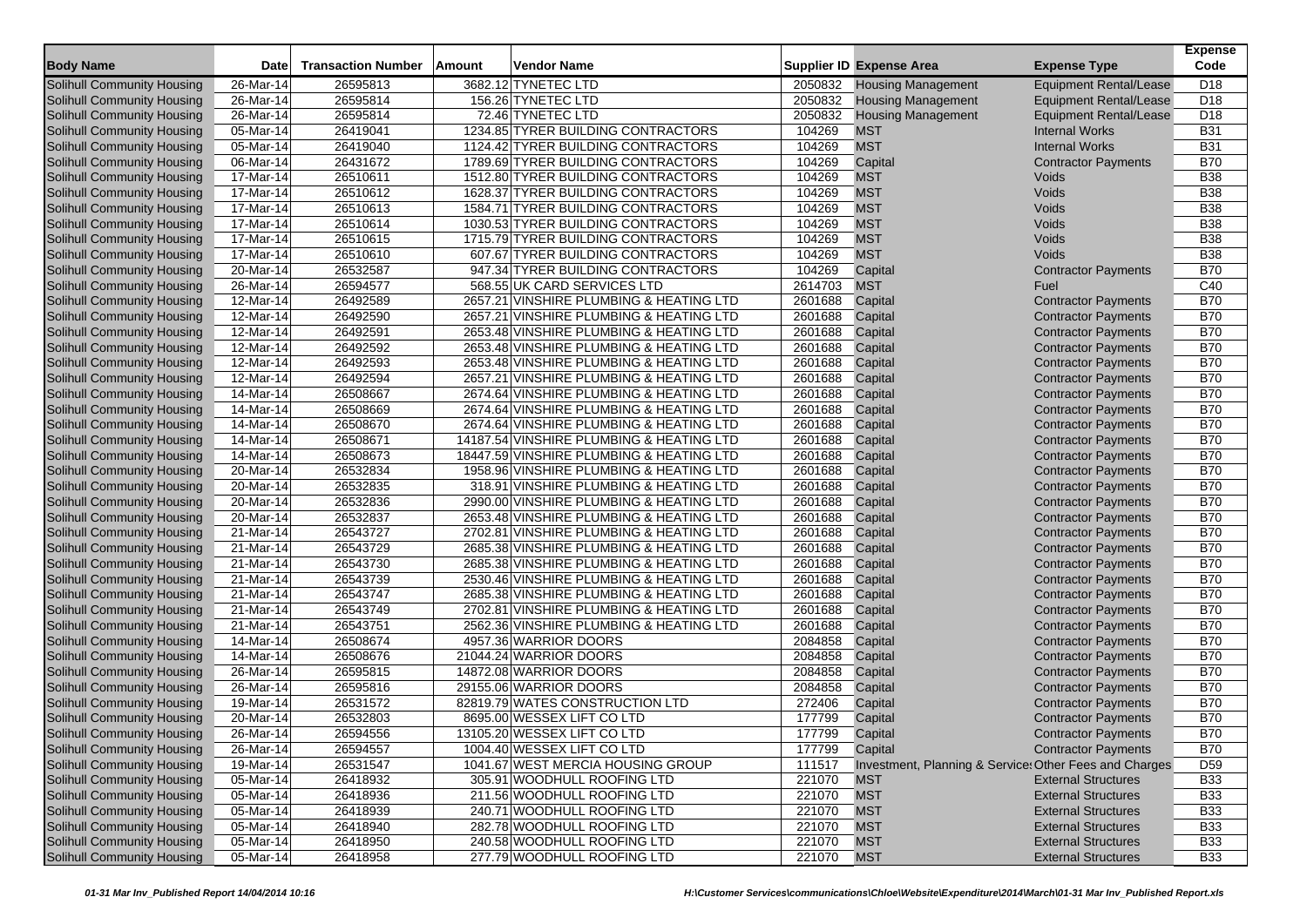|                                   |                         |                           |               |                                          |         |                                                        |                               | <b>Expense</b>  |
|-----------------------------------|-------------------------|---------------------------|---------------|------------------------------------------|---------|--------------------------------------------------------|-------------------------------|-----------------|
| <b>Body Name</b>                  | <b>Date</b>             | <b>Transaction Number</b> | <b>Amount</b> | Vendor Name                              |         | <b>Supplier ID Expense Area</b>                        | <b>Expense Type</b>           | Code            |
| Solihull Community Housing        | 26-Mar-14               | 26595813                  |               | 3682.12 TYNETEC LTD                      | 2050832 | <b>Housing Management</b>                              | <b>Equipment Rental/Lease</b> | D <sub>18</sub> |
| Solihull Community Housing        | 26-Mar-14               | 26595814                  |               | 156.26 TYNETEC LTD                       | 2050832 | <b>Housing Management</b>                              | <b>Equipment Rental/Lease</b> | D <sub>18</sub> |
| Solihull Community Housing        | 26-Mar-14               | 26595814                  |               | 72.46 TYNETEC LTD                        | 2050832 | <b>Housing Management</b>                              | <b>Equipment Rental/Lease</b> | D <sub>18</sub> |
| Solihull Community Housing        | 05-Mar-14               | 26419041                  |               | 1234.85 TYRER BUILDING CONTRACTORS       | 104269  | <b>MST</b>                                             | <b>Internal Works</b>         | <b>B31</b>      |
| Solihull Community Housing        | 05-Mar-14               | 26419040                  |               | 1124.42 TYRER BUILDING CONTRACTORS       | 104269  | <b>MST</b>                                             | <b>Internal Works</b>         | <b>B31</b>      |
| Solihull Community Housing        | 06-Mar-14               | 26431672                  |               | 1789.69 TYRER BUILDING CONTRACTORS       | 104269  | Capital                                                | <b>Contractor Payments</b>    | <b>B70</b>      |
| Solihull Community Housing        | 17-Mar-14               | 26510611                  |               | 1512.80 TYRER BUILDING CONTRACTORS       | 104269  | <b>MST</b>                                             | Voids                         | <b>B38</b>      |
| Solihull Community Housing        | 17-Mar-14               | 26510612                  |               | 1628.37 TYRER BUILDING CONTRACTORS       | 104269  | <b>MST</b>                                             | Voids                         | <b>B38</b>      |
| Solihull Community Housing        | 17-Mar-14               | 26510613                  |               | 1584.71 TYRER BUILDING CONTRACTORS       | 104269  | <b>MST</b>                                             | Voids                         | <b>B38</b>      |
| Solihull Community Housing        | 17-Mar-14               | 26510614                  |               | 1030.53 TYRER BUILDING CONTRACTORS       | 104269  | <b>MST</b>                                             | Voids                         | <b>B38</b>      |
| Solihull Community Housing        | 17-Mar-14               | 26510615                  |               | 1715.79 TYRER BUILDING CONTRACTORS       | 104269  | <b>MST</b>                                             | Voids                         | <b>B38</b>      |
| Solihull Community Housing        | $17-Mar-14$             | 26510610                  |               | 607.67 TYRER BUILDING CONTRACTORS        | 104269  | <b>MST</b>                                             | Voids                         | <b>B38</b>      |
| Solihull Community Housing        | $\overline{20}$ -Mar-14 | 26532587                  |               | 947.34 TYRER BUILDING CONTRACTORS        | 104269  | Capital                                                | <b>Contractor Payments</b>    | <b>B70</b>      |
| Solihull Community Housing        | 26-Mar-14               | 26594577                  |               | 568.55 UK CARD SERVICES LTD              | 2614703 | <b>MST</b>                                             | Fuel                          | C40             |
| Solihull Community Housing        | 12-Mar-14               | 26492589                  |               | 2657.21 VINSHIRE PLUMBING & HEATING LTD  | 2601688 | Capital                                                | <b>Contractor Payments</b>    | <b>B70</b>      |
| Solihull Community Housing        | 12-Mar-14               | 26492590                  |               | 2657.21 VINSHIRE PLUMBING & HEATING LTD  | 2601688 | Capital                                                | <b>Contractor Payments</b>    | <b>B70</b>      |
| Solihull Community Housing        | 12-Mar-14               | 26492591                  |               | 2653.48 VINSHIRE PLUMBING & HEATING LTD  | 2601688 | Capital                                                | <b>Contractor Payments</b>    | <b>B70</b>      |
| Solihull Community Housing        | 12-Mar-14               | 26492592                  |               | 2653.48 VINSHIRE PLUMBING & HEATING LTD  | 2601688 | Capital                                                | <b>Contractor Payments</b>    | <b>B70</b>      |
| Solihull Community Housing        | 12-Mar-14               | 26492593                  |               | 2653.48 VINSHIRE PLUMBING & HEATING LTD  | 2601688 | Capital                                                | <b>Contractor Payments</b>    | <b>B70</b>      |
| Solihull Community Housing        | 12-Mar-14               | 26492594                  |               | 2657.21 VINSHIRE PLUMBING & HEATING LTD  | 2601688 | Capital                                                | <b>Contractor Payments</b>    | <b>B70</b>      |
| Solihull Community Housing        | 14-Mar-14               | 26508667                  |               | 2674.64 VINSHIRE PLUMBING & HEATING LTD  | 2601688 | Capital                                                | <b>Contractor Payments</b>    | <b>B70</b>      |
| Solihull Community Housing        | 14-Mar-14               | 26508669                  |               | 2674.64 VINSHIRE PLUMBING & HEATING LTD  | 2601688 | Capital                                                | <b>Contractor Payments</b>    | <b>B70</b>      |
| Solihull Community Housing        | 14-Mar-14               | 26508670                  |               | 2674.64 VINSHIRE PLUMBING & HEATING LTD  | 2601688 | Capital                                                | <b>Contractor Payments</b>    | <b>B70</b>      |
| Solihull Community Housing        | 14-Mar-14               | 26508671                  |               | 14187.54 VINSHIRE PLUMBING & HEATING LTD | 2601688 | Capital                                                | <b>Contractor Payments</b>    | <b>B70</b>      |
| Solihull Community Housing        | 14-Mar-14               | 26508673                  |               | 18447.59 VINSHIRE PLUMBING & HEATING LTD | 2601688 | Capital                                                | <b>Contractor Payments</b>    | <b>B70</b>      |
| Solihull Community Housing        | 20-Mar-14               | 26532834                  |               | 1958.96 VINSHIRE PLUMBING & HEATING LTD  | 2601688 | Capital                                                | <b>Contractor Payments</b>    | <b>B70</b>      |
| Solihull Community Housing        | 20-Mar-14               | 26532835                  |               | 318.91 VINSHIRE PLUMBING & HEATING LTD   | 2601688 | Capital                                                | <b>Contractor Payments</b>    | <b>B70</b>      |
| Solihull Community Housing        | 20-Mar-14               | 26532836                  |               | 2990.00 VINSHIRE PLUMBING & HEATING LTD  | 2601688 | Capital                                                | <b>Contractor Payments</b>    | <b>B70</b>      |
| Solihull Community Housing        | 20-Mar-14               | 26532837                  |               | 2653.48 VINSHIRE PLUMBING & HEATING LTD  | 2601688 | Capital                                                | <b>Contractor Payments</b>    | <b>B70</b>      |
| <b>Solihull Community Housing</b> | 21-Mar-14               | 26543727                  |               | 2702.81 VINSHIRE PLUMBING & HEATING LTD  | 2601688 | Capital                                                | <b>Contractor Payments</b>    | <b>B70</b>      |
| Solihull Community Housing        | 21-Mar-14               | 26543729                  |               | 2685.38 VINSHIRE PLUMBING & HEATING LTD  | 2601688 | Capital                                                | <b>Contractor Payments</b>    | <b>B70</b>      |
| Solihull Community Housing        | 21-Mar-14               | 26543730                  |               | 2685.38 VINSHIRE PLUMBING & HEATING LTD  | 2601688 | Capital                                                | <b>Contractor Payments</b>    | <b>B70</b>      |
| Solihull Community Housing        | 21-Mar-14               | 26543739                  |               | 2530.46 VINSHIRE PLUMBING & HEATING LTD  | 2601688 | Capital                                                | <b>Contractor Payments</b>    | <b>B70</b>      |
| Solihull Community Housing        | 21-Mar-14               | 26543747                  |               | 2685.38 VINSHIRE PLUMBING & HEATING LTD  | 2601688 | Capital                                                | <b>Contractor Payments</b>    | <b>B70</b>      |
| Solihull Community Housing        | 21-Mar-14               | 26543749                  |               | 2702.81 VINSHIRE PLUMBING & HEATING LTD  | 2601688 | Capital                                                | <b>Contractor Payments</b>    | <b>B70</b>      |
| Solihull Community Housing        | 21-Mar-14               | 26543751                  |               | 2562.36 VINSHIRE PLUMBING & HEATING LTD  | 2601688 | Capital                                                | <b>Contractor Payments</b>    | <b>B70</b>      |
| Solihull Community Housing        | 14-Mar-14               | 26508674                  |               | 4957.36 WARRIOR DOORS                    | 2084858 | Capital                                                | <b>Contractor Payments</b>    | <b>B70</b>      |
| Solihull Community Housing        | 14-Mar-14               | 26508676                  |               | 21044.24 WARRIOR DOORS                   | 2084858 | Capital                                                | <b>Contractor Payments</b>    | <b>B70</b>      |
| Solihull Community Housing        | 26-Mar-14               | 26595815                  |               | 14872.08 WARRIOR DOORS                   | 2084858 | Capital                                                | <b>Contractor Payments</b>    | <b>B70</b>      |
| <b>Solihull Community Housing</b> | 26-Mar-14               | 26595816                  |               | 29155.06 WARRIOR DOORS                   | 2084858 | Capital                                                | <b>Contractor Payments</b>    | <b>B70</b>      |
| Solihull Community Housing        | 19-Mar-14               | 26531572                  |               | 82819.79 WATES CONSTRUCTION LTD          | 272406  | Capital                                                | <b>Contractor Payments</b>    | <b>B70</b>      |
| Solihull Community Housing        | 20-Mar-14               | 26532803                  |               | 8695.00 WESSEX LIFT CO LTD               | 177799  | Capital                                                | <b>Contractor Payments</b>    | <b>B70</b>      |
| Solihull Community Housing        | 26-Mar-14               | 26594556                  |               | 13105.20 WESSEX LIFT CO LTD              | 177799  | Capital                                                | <b>Contractor Payments</b>    | <b>B70</b>      |
| Solihull Community Housing        | 26-Mar-14               | 26594557                  |               | 1004.40 WESSEX LIFT CO LTD               | 177799  | Capital                                                | <b>Contractor Payments</b>    | <b>B70</b>      |
| Solihull Community Housing        | $19-Mar-14$             | 26531547                  |               | 1041.67 WEST MERCIA HOUSING GROUP        | 111517  | Investment, Planning & Service: Other Fees and Charges |                               | D <sub>59</sub> |
| Solihull Community Housing        | 05-Mar-14               | 26418932                  |               | 305.91 WOODHULL ROOFING LTD              | 221070  | <b>MST</b>                                             | <b>External Structures</b>    | <b>B33</b>      |
| Solihull Community Housing        | 05-Mar-14               | 26418936                  |               | 211.56 WOODHULL ROOFING LTD              | 221070  | <b>MST</b>                                             | <b>External Structures</b>    | <b>B33</b>      |
| Solihull Community Housing        | 05-Mar-14               | 26418939                  |               | 240.71 WOODHULL ROOFING LTD              | 221070  | <b>MST</b>                                             | <b>External Structures</b>    | <b>B33</b>      |
| Solihull Community Housing        | $\overline{05}$ -Mar-14 | 26418940                  |               | 282.78 WOODHULL ROOFING LTD              | 221070  | <b>MST</b>                                             | <b>External Structures</b>    | <b>B33</b>      |
| Solihull Community Housing        | 05-Mar-14               | 26418950                  |               | 240.58 WOODHULL ROOFING LTD              | 221070  | <b>MST</b>                                             | <b>External Structures</b>    | <b>B33</b>      |
| Solihull Community Housing        | 05-Mar-14               | 26418958                  |               | 277.79 WOODHULL ROOFING LTD              | 221070  | <b>MST</b>                                             | <b>External Structures</b>    | <b>B33</b>      |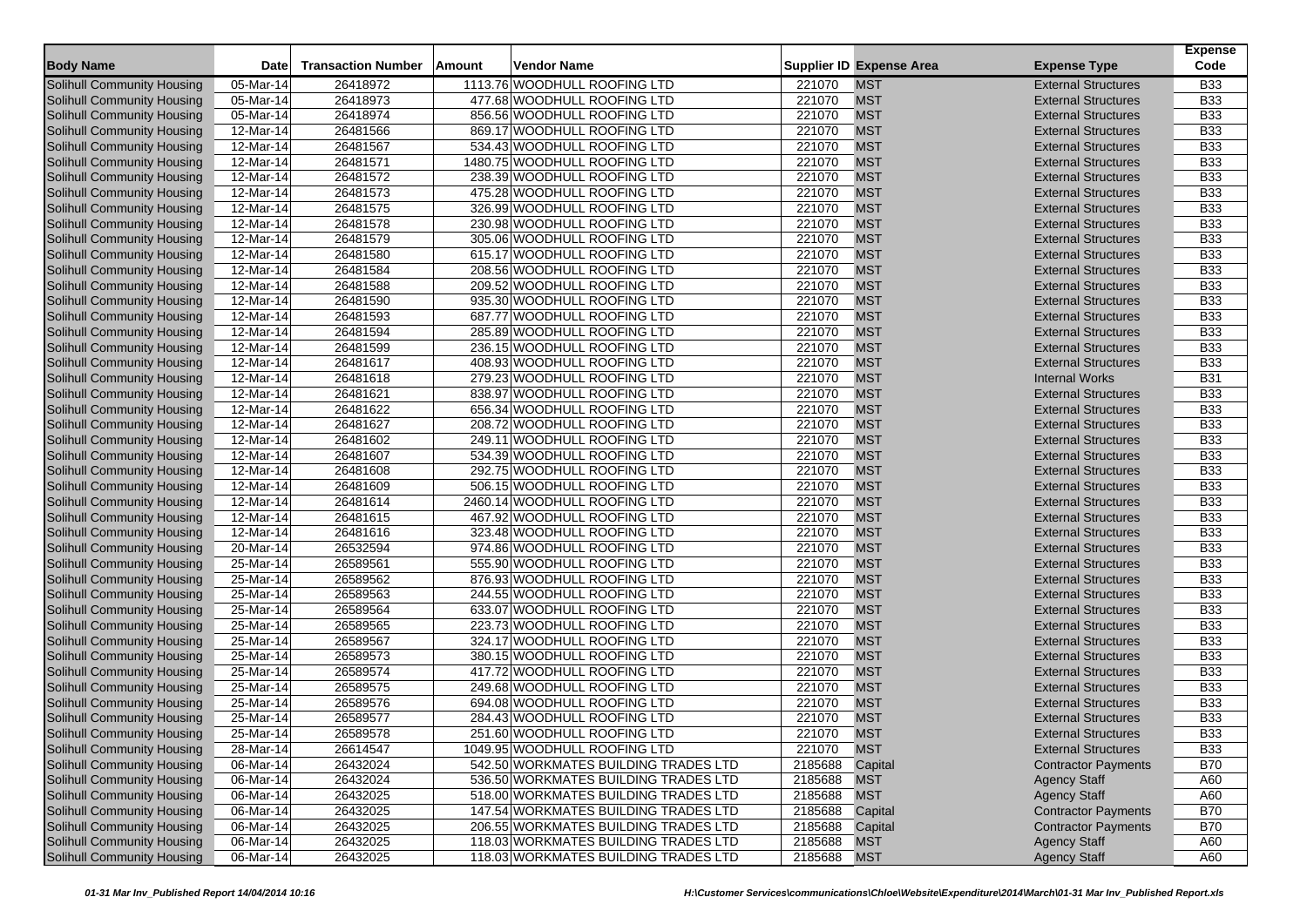|                                   |              |                           |        |                                      |             |                                 |                            | <b>Expense</b> |
|-----------------------------------|--------------|---------------------------|--------|--------------------------------------|-------------|---------------------------------|----------------------------|----------------|
| <b>Body Name</b>                  | <b>Date</b>  | <b>Transaction Number</b> | Amount | Vendor Name                          |             | <b>Supplier ID Expense Area</b> | <b>Expense Type</b>        | Code           |
| Solihull Community Housing        | 05-Mar-14    | 26418972                  |        | 1113.76 WOODHULL ROOFING LTD         | 221070      | <b>MST</b>                      | <b>External Structures</b> | <b>B33</b>     |
| Solihull Community Housing        | 05-Mar-14    | 26418973                  |        | 477.68 WOODHULL ROOFING LTD          | 221070      | <b>MST</b>                      | <b>External Structures</b> | <b>B33</b>     |
| Solihull Community Housing        | 05-Mar-14    | 26418974                  |        | 856.56 WOODHULL ROOFING LTD          | 221070      | <b>MST</b>                      | <b>External Structures</b> | <b>B33</b>     |
| Solihull Community Housing        | 12-Mar-14    | 26481566                  |        | 869.17 WOODHULL ROOFING LTD          | 221070      | <b>MST</b>                      | <b>External Structures</b> | <b>B33</b>     |
| Solihull Community Housing        | 12-Mar-14    | 26481567                  |        | 534.43 WOODHULL ROOFING LTD          | 221070      | <b>MST</b>                      | <b>External Structures</b> | <b>B33</b>     |
| Solihull Community Housing        | 12-Mar-14    | 26481571                  |        | 1480.75 WOODHULL ROOFING LTD         | 221070      | <b>MST</b>                      | <b>External Structures</b> | <b>B33</b>     |
| <b>Solihull Community Housing</b> | 12-Mar-14    | 26481572                  |        | 238.39 WOODHULL ROOFING LTD          | 221070      | <b>MST</b>                      | <b>External Structures</b> | <b>B33</b>     |
| Solihull Community Housing        | 12-Mar-14    | 26481573                  |        | 475.28 WOODHULL ROOFING LTD          | 221070      | <b>MST</b>                      | <b>External Structures</b> | <b>B33</b>     |
| Solihull Community Housing        | 12-Mar-14    | 26481575                  |        | 326.99 WOODHULL ROOFING LTD          | 221070      | <b>MST</b>                      | <b>External Structures</b> | <b>B33</b>     |
| <b>Solihull Community Housing</b> | 12-Mar-14    | 26481578                  |        | 230.98 WOODHULL ROOFING LTD          | 221070      | <b>MST</b>                      | <b>External Structures</b> | <b>B33</b>     |
| Solihull Community Housing        | 12-Mar-14    | 26481579                  |        | 305.06 WOODHULL ROOFING LTD          | 221070      | <b>MST</b>                      | <b>External Structures</b> | <b>B33</b>     |
| Solihull Community Housing        | 12-Mar-14    | 26481580                  |        | 615.17 WOODHULL ROOFING LTD          | 221070      | <b>MST</b>                      | <b>External Structures</b> | <b>B33</b>     |
| Solihull Community Housing        | 12-Mar-14    | 26481584                  |        | 208.56 WOODHULL ROOFING LTD          | 221070      | <b>MST</b>                      | <b>External Structures</b> | <b>B33</b>     |
| Solihull Community Housing        | 12-Mar-14    | 26481588                  |        | 209.52 WOODHULL ROOFING LTD          | 221070      | <b>MST</b>                      | <b>External Structures</b> | <b>B33</b>     |
| Solihull Community Housing        | 12-Mar-14    | 26481590                  |        | 935.30 WOODHULL ROOFING LTD          | 221070      | <b>MST</b>                      | <b>External Structures</b> | <b>B33</b>     |
| Solihull Community Housing        | 12-Mar-14    | 26481593                  |        | 687.77 WOODHULL ROOFING LTD          | 221070      | <b>MST</b>                      | <b>External Structures</b> | <b>B33</b>     |
| Solihull Community Housing        | 12-Mar-14    | 26481594                  |        | 285.89 WOODHULL ROOFING LTD          | 221070      | <b>MST</b>                      | <b>External Structures</b> | <b>B33</b>     |
| Solihull Community Housing        | 12-Mar-14    | 26481599                  |        | 236.15 WOODHULL ROOFING LTD          | 221070      | <b>MST</b>                      | <b>External Structures</b> | <b>B33</b>     |
| <b>Solihull Community Housing</b> | 12-Mar-14    | 26481617                  |        | 408.93 WOODHULL ROOFING LTD          | 221070      | <b>MST</b>                      | <b>External Structures</b> | <b>B33</b>     |
| Solihull Community Housing        | 12-Mar-14    | 26481618                  |        | 279.23 WOODHULL ROOFING LTD          | 221070      | <b>MST</b>                      | <b>Internal Works</b>      | <b>B31</b>     |
| Solihull Community Housing        | 12-Mar-14    | 26481621                  |        | 838.97 WOODHULL ROOFING LTD          | 221070      | <b>MST</b>                      | <b>External Structures</b> | <b>B33</b>     |
| Solihull Community Housing        | 12-Mar-14    | 26481622                  |        | 656.34 WOODHULL ROOFING LTD          | 221070      | <b>MST</b>                      | <b>External Structures</b> | <b>B33</b>     |
| Solihull Community Housing        | 12-Mar-14    | 26481627                  |        | 208.72 WOODHULL ROOFING LTD          | 221070      | <b>MST</b>                      | <b>External Structures</b> | <b>B33</b>     |
| Solihull Community Housing        | 12-Mar-14    | 26481602                  |        | 249.11 WOODHULL ROOFING LTD          | 221070      | <b>MST</b>                      | <b>External Structures</b> | <b>B33</b>     |
| Solihull Community Housing        | 12-Mar-14    | 26481607                  |        | 534.39 WOODHULL ROOFING LTD          | 221070      | <b>MST</b>                      | <b>External Structures</b> | <b>B33</b>     |
| Solihull Community Housing        | 12-Mar-14    | 26481608                  |        | 292.75 WOODHULL ROOFING LTD          | 221070      | <b>MST</b>                      | <b>External Structures</b> | <b>B33</b>     |
| Solihull Community Housing        | 12-Mar-14    | 26481609                  |        | 506.15 WOODHULL ROOFING LTD          | 221070      | <b>MST</b>                      | <b>External Structures</b> | <b>B33</b>     |
| Solihull Community Housing        | 12-Mar-14    | 26481614                  |        | 2460.14 WOODHULL ROOFING LTD         | 221070      | <b>MST</b>                      | <b>External Structures</b> | <b>B33</b>     |
| Solihull Community Housing        | 12-Mar-14    | 26481615                  |        | 467.92 WOODHULL ROOFING LTD          | 221070      | <b>MST</b>                      | <b>External Structures</b> | <b>B33</b>     |
| <b>Solihull Community Housing</b> | 12-Mar-14    | 26481616                  |        | 323.48 WOODHULL ROOFING LTD          | 221070      | <b>MST</b>                      | <b>External Structures</b> | <b>B33</b>     |
| Solihull Community Housing        | 20-Mar-14    | 26532594                  |        | 974.86 WOODHULL ROOFING LTD          | 221070      | <b>MST</b>                      | <b>External Structures</b> | <b>B33</b>     |
| Solihull Community Housing        | 25-Mar-14    | 26589561                  |        | 555.90 WOODHULL ROOFING LTD          | 221070      | <b>MST</b>                      | <b>External Structures</b> | <b>B33</b>     |
| Solihull Community Housing        | 25-Mar-14    | 26589562                  |        | 876.93 WOODHULL ROOFING LTD          | 221070      | <b>MST</b>                      | <b>External Structures</b> | <b>B33</b>     |
| Solihull Community Housing        | 25-Mar-14    | 26589563                  |        | 244.55 WOODHULL ROOFING LTD          | 221070      | <b>MST</b>                      | <b>External Structures</b> | <b>B33</b>     |
| Solihull Community Housing        | 25-Mar-14    | 26589564                  |        | 633.07 WOODHULL ROOFING LTD          | 221070      | <b>MST</b>                      | <b>External Structures</b> | <b>B33</b>     |
| <b>Solihull Community Housing</b> | $25$ -Mar-14 | 26589565                  |        | 223.73 WOODHULL ROOFING LTD          | 221070      | <b>MST</b>                      | <b>External Structures</b> | <b>B33</b>     |
| Solihull Community Housing        | 25-Mar-14    | 26589567                  |        | 324.17 WOODHULL ROOFING LTD          | 221070      | <b>MST</b>                      | <b>External Structures</b> | <b>B33</b>     |
| Solihull Community Housing        | 25-Mar-14    | 26589573                  |        | 380.15 WOODHULL ROOFING LTD          | 221070      | <b>MST</b>                      | <b>External Structures</b> | <b>B33</b>     |
| <b>Solihull Community Housing</b> | 25-Mar-14    | 26589574                  |        | 417.72 WOODHULL ROOFING LTD          | 221070      | <b>MST</b>                      | <b>External Structures</b> | <b>B33</b>     |
| Solihull Community Housing        | 25-Mar-14    | 26589575                  |        | 249.68 WOODHULL ROOFING LTD          | 221070      | <b>MST</b>                      | <b>External Structures</b> | <b>B33</b>     |
| Solihull Community Housing        | 25-Mar-14    | 26589576                  |        | 694.08 WOODHULL ROOFING LTD          | 221070      | <b>MST</b>                      | <b>External Structures</b> | <b>B33</b>     |
| Solihull Community Housing        | 25-Mar-14    | 26589577                  |        | 284.43 WOODHULL ROOFING LTD          | 221070      | <b>MST</b>                      | <b>External Structures</b> | <b>B33</b>     |
| Solihull Community Housing        | 25-Mar-14    | 26589578                  |        | 251.60 WOODHULL ROOFING LTD          | 221070      | <b>MST</b>                      | <b>External Structures</b> | <b>B33</b>     |
| Solihull Community Housing        | 28-Mar-14    | 26614547                  |        | 1049.95 WOODHULL ROOFING LTD         | 221070      | <b>MST</b>                      | <b>External Structures</b> | <b>B33</b>     |
| Solihull Community Housing        | 06-Mar-14    | 26432024                  |        | 542.50 WORKMATES BUILDING TRADES LTD | 2185688     | Capital                         | <b>Contractor Payments</b> | <b>B70</b>     |
| Solihull Community Housing        | 06-Mar-14    | 26432024                  |        | 536.50 WORKMATES BUILDING TRADES LTD | 2185688 MST |                                 | <b>Agency Staff</b>        | A60            |
| Solihull Community Housing        | 06-Mar-14    | 26432025                  |        | 518.00 WORKMATES BUILDING TRADES LTD | 2185688 MST |                                 | <b>Agency Staff</b>        | A60            |
| Solihull Community Housing        | 06-Mar-14    | 26432025                  |        | 147.54 WORKMATES BUILDING TRADES LTD | 2185688     | Capital                         | <b>Contractor Payments</b> | <b>B70</b>     |
| Solihull Community Housing        | 06-Mar-14    | 26432025                  |        | 206.55 WORKMATES BUILDING TRADES LTD | 2185688     | Capital                         | <b>Contractor Payments</b> | <b>B70</b>     |
| Solihull Community Housing        | 06-Mar-14    | 26432025                  |        | 118.03 WORKMATES BUILDING TRADES LTD | 2185688 MST |                                 | <b>Agency Staff</b>        | A60            |
| Solihull Community Housing        | 06-Mar-14    | 26432025                  |        | 118.03 WORKMATES BUILDING TRADES LTD | 2185688 MST |                                 | <b>Agency Staff</b>        | A60            |